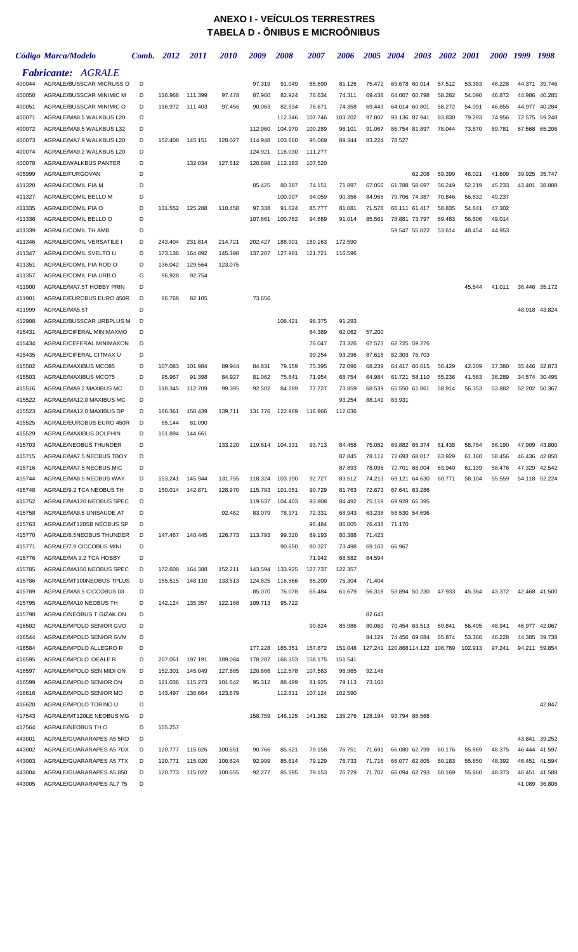## **ANEXO I - VEÍCULOS TERRESTRES TABELA D - ÔNIBUS E MICROÔNIBUS**

|                  | Código Marca/Modelo                                  | Comb.  | 2012            | <i>2011</i> | <i>2010</i> | 2009               | 2008               | <i><b>2007</b></i> | 2006               | <i><b>2005</b></i> | 2004                           | 2003          | 2002   | <b>2001</b>      | <i><b>2000</b></i> | 1999             | 1998             |
|------------------|------------------------------------------------------|--------|-----------------|-------------|-------------|--------------------|--------------------|--------------------|--------------------|--------------------|--------------------------------|---------------|--------|------------------|--------------------|------------------|------------------|
|                  | <b>Fabricante: AGRALE</b>                            |        |                 |             |             |                    |                    |                    |                    |                    |                                |               |        |                  |                    |                  |                  |
| 400044           | AGRALE/BUSSCAR MICRUSS O                             | D      |                 |             |             | 97.319             | 91.049             | 85.690             | 81.126             | 75.472             | 69.678 60.014                  |               | 57.512 | 53.383           | 46.228             | 44.371           | 39.746           |
| 400050           | AGRALE/BUSSCAR MINIMIC M                             | D      | 116.968         | 111.399     | 97.478      | 87.960             | 82.924             | 76.634             | 74.311             | 69.438             | 64.007                         | 60.798        | 58.282 | 54.090           | 46.872             | 44.986           | 40.285           |
| 400051           | AGRALE/BUSSCAR MINIMIC O                             | D      | 116.972         | 111.403     | 97.456      | 90.063             | 82.934             | 76.671             | 74.358             | 69.443             | 64.014 60.801                  |               | 58.272 | 54.091           | 46.855             | 44.977           | 40.284           |
| 400071           | AGRALE/MA8.5 WALKBUS L20                             | D      |                 |             |             |                    | 112.346            | 107.746            | 103.202            | 97.807             | 93.136                         | 87.941        | 83.830 | 79.293           | 74.956             | 72.575           | 59.248           |
| 400072           | AGRALE/MA8.5 WALKBUS L32                             | D      |                 |             |             | 112.960            | 104.970            | 100.289            | 96.101             | 91.067             | 86.754 81.897                  |               | 78.044 | 73.870           | 69.781             | 67.568           | 65.206           |
| 400073           | AGRALE/MA7.9 WALKBUS L20                             | D      | 152.408         | 145.151     | 128.027     | 114.948            | 103.660            | 95.069             | 89.344             | 83.224             | 78.527                         |               |        |                  |                    |                  |                  |
| 400074           | AGRALE/MA9.2 WALKBUS L20                             | D      |                 |             |             | 124.921            | 116.030            | 111.277            |                    |                    |                                |               |        |                  |                    |                  |                  |
| 400078           | AGRALE/WALKBUS PANTER                                | D<br>D |                 | 132.034     | 127.612     | 120.698            | 112.183            | 107.520            |                    |                    |                                | 62.208        | 59.399 |                  | 41.609             |                  |                  |
| 405999<br>411320 | AGRALE/FURGOVAN<br>AGRALE/COMIL PIA M                | D      |                 |             |             | 85.425             | 80.387             | 74.151             | 71.897             | 67.056             | 61.788                         | 58.697        | 56.249 | 48.021<br>52.219 | 45.233             | 39.925<br>43.401 | 35.747<br>38.888 |
| 411327           | AGRALE/COMIL BELLO M                                 | D      |                 |             |             |                    | 100.007            | 94.059             | 90.356             | 84.966             | 79.706                         | 74.387        | 70.846 | 56.832           | 49.237             |                  |                  |
| 411335           | AGRALE/COMIL PIA O                                   | D      | 131.552         | 125.288     | 110.458     | 97.338             | 91.024             | 85.777             | 81.081             | 71.578             | 66.111 61.417                  |               | 58.835 | 54.641           | 47.302             |                  |                  |
| 411336           | AGRALE/COMIL BELLO O                                 | D      |                 |             |             | 107.661            | 100.782            | 94.689             | 91.014             | 85.561             | 78.881 73.797                  |               | 69.483 | 56.606           | 49.014             |                  |                  |
| 411339           | <b>AGRALE/COMIL TH AMB</b>                           | D      |                 |             |             |                    |                    |                    |                    |                    | 59.547 55.822                  |               | 53.614 | 48.454           | 44.953             |                  |                  |
| 411346           | AGRALE/COMIL VERSATILE I                             | D      | 243.404         | 231.814     | 214.721     | 202.427            | 188.901            | 180.163            | 172.590            |                    |                                |               |        |                  |                    |                  |                  |
| 411347           | AGRALE/COMIL SVELTO U                                | D      | 173.136         | 164.892     | 145.398     | 137.207            | 127.981            | 121.721            | 116.596            |                    |                                |               |        |                  |                    |                  |                  |
| 411351           | AGRALE/COMIL PIA ROD O                               | D      | 136.042         | 129.564     | 123.075     |                    |                    |                    |                    |                    |                                |               |        |                  |                    |                  |                  |
| 411357           | AGRALE/COMIL PIA URB O                               | G      | 96.928          | 92.754      |             |                    |                    |                    |                    |                    |                                |               |        |                  |                    |                  |                  |
| 411900           | AGRALE/MA7.5T HOBBY PRIN                             | D      |                 |             |             |                    |                    |                    |                    |                    |                                |               |        | 45.544           | 41.011             | 36.446 35.172    |                  |
| 411901           | AGRALE/EUROBUS EURO 450R                             | D      | 86.768          | 82.105      |             | 73.656             |                    |                    |                    |                    |                                |               |        |                  |                    |                  |                  |
| 411999           | AGRALE/MA5.5T                                        | D      |                 |             |             |                    |                    |                    |                    |                    |                                |               |        |                  |                    |                  | 48.918 43.824    |
| 412908           | AGRALE/BUSSCAR URBPLUS M                             | D      |                 |             |             |                    | 108.421            | 98.375             | 91.293             |                    |                                |               |        |                  |                    |                  |                  |
| 415431           | AGRALE/CIFERAL MINIMAXMO                             | D      |                 |             |             |                    |                    | 64.389             | 62.062             | 57.200             |                                |               |        |                  |                    |                  |                  |
| 415434<br>415435 | AGRALE/CEFERAL MINIMAXON<br>AGRALE/CIFERAL CITMAX U  | D<br>D |                 |             |             |                    |                    | 76.047<br>99.254   | 73.326<br>93.296   | 67.573<br>87.618   | 62.725 59.276<br>82.303 76.703 |               |        |                  |                    |                  |                  |
| 415502           | AGRALE/MAXIBUS MCO85                                 | D      | 107.083         | 101.984     | 89.944      | 84.831             | 79.159             | 75.395             | 72.096             | 68.239             | 64.417 60.615                  |               | 56.429 | 42.209           | 37.380             | 35.446           | 32.873           |
| 415503           | AGRALE/MAXIBUS MCO75                                 | D      | 95.967          | 91.398      | 84.927      | 81.062             | 75.641             | 71.954             | 68.754             | 64.984             | 61.721 58.110                  |               | 55.236 | 41.563           | 36.289             | 34.574           | 30.495           |
| 415516           | AGRALE/MA9.2 MAXIBUS MC                              | D      | 118.345         | 112.709     | 99.395      | 92.502             | 84.289             | 77.727             | 73.859             | 68.539             | 65.550 61.861                  |               | 58.914 | 56.353           | 53.882             | 52.202 50.367    |                  |
| 415522           | AGRALE/MA12.0 MAXIBUS MC                             | D      |                 |             |             |                    |                    |                    | 93.254             | 88.141             | 83.931                         |               |        |                  |                    |                  |                  |
| 415523           | AGRALE/MA12.0 MAXIBUS DP                             | D      | 166.361         | 158.439     | 139.711     | 131.776            | 122.969            | 116.966            | 112.036            |                    |                                |               |        |                  |                    |                  |                  |
| 415525           | AGRALE/EUROBUS EURO 450R                             | D      | 85.144          | 81.090      |             |                    |                    |                    |                    |                    |                                |               |        |                  |                    |                  |                  |
| 415529           | AGRALE/MAXIBUS DOLPHIN                               | D      | 151.894         | 144.661     |             |                    |                    |                    |                    |                    |                                |               |        |                  |                    |                  |                  |
| 415703           | AGRALE/NEOBUS THUNDER                                | D      |                 |             | 133.220     | 119.614            | 104.331            | 93.713             | 84.458             | 75.082             | 69.882 65.374                  |               | 61.438 | 58.784           | 56.190             | 47.909           | 43.800           |
| 415715           | AGRALE/MA7.5 NEOBUS TBOY                             | D      |                 |             |             |                    |                    |                    | 87.845             | 78.112             | 72.693 68.017                  |               | 63.929 | 61.160           | 58.456             | 46.436           | 42.850           |
| 415716           | AGRALE/MA7.5 NEOBUS MIC                              | D      |                 |             |             |                    |                    |                    | 87.893             | 78.096             | 72.701 68.004                  |               | 63.940 | 61.139           | 58.476             | 47.329           | 42.542           |
| 415744           | AGRALE/MA8.5 NEOBUS WAY                              | D      | 153.241         | 145.944     | 131.755     | 118.324            | 103.190            | 92.727             | 83.512             | 74.213             | 69.121 64.630                  |               | 60.771 | 58.104           | 55.559             | 54.118 52.224    |                  |
| 415748           | AGRALE/9.2 TCA NEOBUS TH<br>AGRALE/MA120 NEOBUS SPEC | D<br>D | 150.014         | 142.871     | 128.970     | 115.793            | 101.051<br>104.403 | 90.729<br>93.808   | 81.763<br>84.492   | 72.673             | 67.641 63.286<br>69.928 65.395 |               |        |                  |                    |                  |                  |
| 415752<br>415758 | AGRALE/MA8.5 UNISAUDE AT                             | D      |                 |             | 92.482      | 119.637<br>83.079  | 78.371             | 72.331             | 68.943             | 75.119<br>63.238   | 58.530 54.696                  |               |        |                  |                    |                  |                  |
| 415763           | AGRALE/MT120SB NEOBUS SP                             | D      |                 |             |             |                    |                    | 95.484             | 86.005             | 76.438             | 71.170                         |               |        |                  |                    |                  |                  |
| 415770           | AGRALE/8.5NEOBUS THUNDER                             | D      | 147.467         | 140.445     | 126.773     | 113.793            | 99.320             | 89.193             | 80.388             | 71.423             |                                |               |        |                  |                    |                  |                  |
| 415771           | AGRALE/7.9 CICCOBUS MINI                             | D      |                 |             |             |                    | 90.650             | 80.327             | 73.498             | 69.163             | 66.967                         |               |        |                  |                    |                  |                  |
| 415776           | AGRALE/MA 9.2 TCA HOBBY                              | D      |                 |             |             |                    |                    | 71.942             | 68.582             | 64.594             |                                |               |        |                  |                    |                  |                  |
| 415785           | AGRALE/MA150 NEOBUS SPEC                             | D      | 172.608         | 164.388     | 152.211     | 143.594            | 133.925            | 127.737            | 122.357            |                    |                                |               |        |                  |                    |                  |                  |
| 415786           | AGRALE/MT100NEOBUS TPLUS                             | D      | 155.515 148.110 |             | 133.513     | 124.825            | 116.566            | 85.200             | 75.304             | 71.404             |                                |               |        |                  |                    |                  |                  |
| 415789           | AGRALE/MA8.5 CICCOBUS 03                             | D      |                 |             |             | 85.070             | 76.078             | 65.484             | 61.679             | 56.318             |                                | 53.894 50.230 | 47.933 | 45.384           | 43.372             |                  | 42.468 41.500    |
| 415795           | AGRALE/MA10 NEOBUS TH                                | D      | 142.124         | 135.357     | 122.168     | 109.713            | 95.722             |                    |                    |                    |                                |               |        |                  |                    |                  |                  |
| 415798           | AGRALE/NEOBUS T GIZAK.ON                             | D      |                 |             |             |                    |                    |                    |                    | 82.643             |                                |               |        |                  |                    |                  |                  |
| 416502           | AGRALE/MPOLO SENIOR GVO                              | D      |                 |             |             |                    |                    | 90.824             | 85.986             | 80.060             | 70.454 63.513                  |               | 60.841 | 56.495           | 48.941             | 46.977 42.067    |                  |
| 416544           | AGRALE/MPOLO SENIOR GVM                              | D      |                 |             |             |                    |                    |                    |                    | 84.129             | 74.456 69.684                  |               | 65.874 | 53.366           | 46.228             |                  | 44.385 39.738    |
| 416584<br>416595 | AGRALE/MPOLO ALLEGRO R<br>AGRALE/MPOLO IDEALE R      | D<br>D | 207.051         | 197.191     | 189.084     | 177.228<br>178.287 | 165.351<br>166.353 | 157.672<br>158.175 | 151.048<br>151.541 |                    | 127.241 120.868114.122 108.789 |               |        | 102.913          | 97.241             |                  | 94.211 59.854    |
| 416597           | AGRALE/MPOLO SEN MIDI ON                             | D      | 152.301         | 145.049     | 127.885     | 120.666            | 112.578            | 107.563            | 96.965             | 92.146             |                                |               |        |                  |                    |                  |                  |
| 416599           | AGRALE/MPOLO SENIOR ON                               | D      | 121.036         | 115.273     | 101.642     | 95.312             | 88.499             | 81.925             | 79.113             | 73.160             |                                |               |        |                  |                    |                  |                  |
| 416616           | AGRALE/MPOLO SENIOR MO                               | D      | 143.497         | 136.664     | 123.679     |                    | 112.611            | 107.124            | 102.590            |                    |                                |               |        |                  |                    |                  |                  |
| 416620           | AGRALE/MPOLO TORINO U                                | D      |                 |             |             |                    |                    |                    |                    |                    |                                |               |        |                  |                    |                  | 42.847           |
| 417543           | AGRALE/MT120LE NEOBUS MG                             | D      |                 |             |             | 158.759            | 148.125            | 141.262            | 135.276 128.194    |                    | 93.794 88.568                  |               |        |                  |                    |                  |                  |
| 417564           | AGRALE/NEOBUS TH O                                   | D      | 155.257         |             |             |                    |                    |                    |                    |                    |                                |               |        |                  |                    |                  |                  |
| 443001           | AGRALE/GUARARAPES A5 5RD                             | D      |                 |             |             |                    |                    |                    |                    |                    |                                |               |        |                  |                    | 43.841           | 39.252           |
| 443002           | AGRALE/GUARARAPES A5 7DX                             | D      | 120.777 115.026 |             | 100.651     | 90.766             | 85.621             | 79.158             | 76.751             | 71.691             | 66.080 62.799                  |               | 60.176 | 55.869           | 48.375             |                  | 46.444 41.597    |
| 443003           | AGRALE/GUARARAPES A5 7TX                             | D      | 120.771         | 115.020     | 100.624     | 92.999             | 85.614             | 79.129             | 76.733             | 71.716             | 66.077 62.805                  |               | 60.183 | 55.850           | 48.392             |                  | 46.451 41.594    |
| 443004           | AGRALE/GUARARAPES A5 850                             | D      | 120.773 115.022 |             | 100.655     | 92.277             | 85.595             | 79.153             | 76.729             | 71.702             | 66.094 62.793                  |               | 60.169 | 55.860           | 48.373             |                  | 46.451 41.588    |
| 443005           | AGRALE/GUARARAPES AL7 75                             | D      |                 |             |             |                    |                    |                    |                    |                    |                                |               |        |                  |                    |                  | 41.089 36.806    |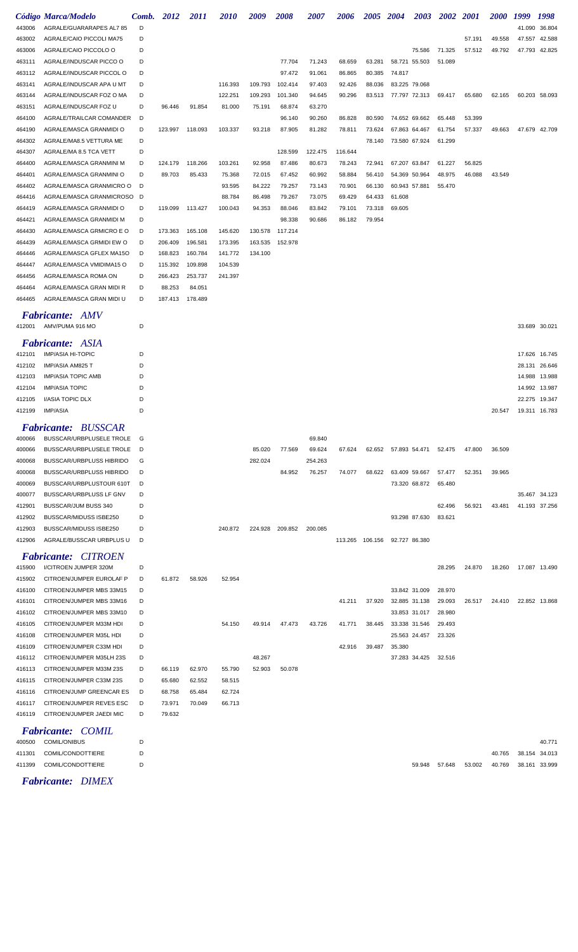|        | Código Marca/Modelo                  | Comb. | <b>2012</b> | <i>2011</i> | <i>2010</i> | 2009    | 2008    | <i><b>2007</b></i> | 2006            | <b>2005</b> | <b>2004</b>   |               | 2003 2002 | <b>2001</b> | <i>2000</i> | 1999          | 1998          |
|--------|--------------------------------------|-------|-------------|-------------|-------------|---------|---------|--------------------|-----------------|-------------|---------------|---------------|-----------|-------------|-------------|---------------|---------------|
| 443006 | AGRALE/GUARARAPES AL7 85             | D     |             |             |             |         |         |                    |                 |             |               |               |           |             |             | 41.090        | 36.804        |
| 463002 | AGRALE/CAIO PICCOLI MA75             | D     |             |             |             |         |         |                    |                 |             |               |               |           | 57.191      | 49.558      |               | 47.557 42.588 |
| 463006 | AGRALE/CAIO PICCOLO O                | D     |             |             |             |         |         |                    |                 |             |               | 75.586        | 71.325    | 57.512      | 49.792      |               | 47.793 42.825 |
| 463111 | AGRALE/INDUSCAR PICCO O              | D     |             |             |             |         | 77.704  | 71.243             | 68.659          | 63.281      |               | 58.721 55.503 | 51.089    |             |             |               |               |
| 463112 | AGRALE/INDUSCAR PICCOL O             | D     |             |             |             |         | 97.472  | 91.061             | 86.865          | 80.385      | 74.817        |               |           |             |             |               |               |
| 463141 | AGRALE/INDUSCAR APA U MT             | D     |             |             | 116.393     | 109.793 | 102.414 | 97.403             | 92.426          | 88.036      | 83.225 79.068 |               |           |             |             |               |               |
| 463144 | AGRALE/INDUSCAR FOZ O MA             | D     |             |             | 122.251     | 109.293 | 101.340 | 94.645             | 90.296          | 83.513      |               | 77.797 72.313 | 69.417    | 65.680      | 62.165      |               | 60.203 58.093 |
| 463151 | AGRALE/INDUSCAR FOZ U                | D     | 96.446      | 91.854      | 81.000      | 75.191  | 68.874  | 63.270             |                 |             |               |               |           |             |             |               |               |
| 464100 | AGRALE/TRAILCAR COMANDER             | D     |             |             |             |         | 96.140  | 90.260             | 86.828          | 80.590      |               | 74.652 69.662 | 65.448    | 53.399      |             |               |               |
| 464190 | AGRALE/MASCA GRANMIDI O              | D     | 123.997     | 118.093     | 103.337     | 93.218  | 87.905  | 81.282             | 78.811          | 73.624      |               | 67.863 64.467 | 61.754    | 57.337      | 49.663      |               | 47.679 42.709 |
| 464302 | AGRALE/MA8.5 VETTURA ME              | D     |             |             |             |         |         |                    |                 | 78.140      |               | 73.580 67.924 | 61.299    |             |             |               |               |
| 464307 | AGRALE/MA 8.5 TCA VETT               | D     |             |             |             |         | 128.599 | 122.475            | 116.644         |             |               |               |           |             |             |               |               |
| 464400 | AGRALE/MASCA GRANMINI M              | D     | 124.179     | 118.266     | 103.261     | 92.958  | 87.486  | 80.673             | 78.243          | 72.941      |               | 67.207 63.847 | 61.227    | 56.825      |             |               |               |
| 464401 | AGRALE/MASCA GRANMINI O              | D     | 89.703      | 85.433      | 75.368      | 72.015  | 67.452  | 60.992             | 58.884          | 56.410      | 54.369 50.964 |               | 48.975    | 46.088      | 43.549      |               |               |
| 464402 | AGRALE/MASCA GRANMICRO O             | D     |             |             | 93.595      | 84.222  | 79.257  | 73.143             | 70.901          | 66.130      | 60.943 57.881 |               | 55.470    |             |             |               |               |
| 464416 | AGRALE/MASCA GRANMICROSO             | D     |             |             | 88.784      | 86.498  | 79.267  | 73.075             | 69.429          | 64.433      | 61.608        |               |           |             |             |               |               |
| 464419 | AGRALE/MASCA GRANMIDI O              | D     | 119.099     | 113.427     | 100.043     | 94.353  | 88.046  | 83.842             | 79.101          | 73.318      | 69.605        |               |           |             |             |               |               |
| 464421 | AGRALE/MASCA GRANMIDI M              | D     |             |             |             |         | 98.338  | 90.686             | 86.182          | 79.954      |               |               |           |             |             |               |               |
| 464430 | AGRALE/MASCA GRMICRO E O             | D     | 173.363     | 165.108     | 145.620     | 130.578 | 117.214 |                    |                 |             |               |               |           |             |             |               |               |
| 464439 | AGRALE/MASCA GRMIDI EW O             | D     | 206.409     | 196.581     | 173.395     | 163.535 | 152.978 |                    |                 |             |               |               |           |             |             |               |               |
| 464446 | AGRALE/MASCA GFLEX MA15O             | D     | 168.823     | 160.784     | 141.772     | 134.100 |         |                    |                 |             |               |               |           |             |             |               |               |
| 464447 | AGRALE/MASCA VMIDIMA15 O             | D     | 115.392     | 109.898     | 104.539     |         |         |                    |                 |             |               |               |           |             |             |               |               |
| 464456 | AGRALE/MASCA ROMA ON                 | D     | 266.423     | 253.737     | 241.397     |         |         |                    |                 |             |               |               |           |             |             |               |               |
| 464464 | AGRALE/MASCA GRAN MIDI R             | D     | 88.253      | 84.051      |             |         |         |                    |                 |             |               |               |           |             |             |               |               |
| 464465 | AGRALE/MASCA GRAN MIDI U             | D     | 187.413     | 178.489     |             |         |         |                    |                 |             |               |               |           |             |             |               |               |
|        | <b>Fabricante: AMV</b>               |       |             |             |             |         |         |                    |                 |             |               |               |           |             |             |               |               |
| 412001 | AMV/PUMA 916 MO                      | D     |             |             |             |         |         |                    |                 |             |               |               |           |             |             | 33.689 30.021 |               |
|        | <b>Fabricante: ASIA</b>              |       |             |             |             |         |         |                    |                 |             |               |               |           |             |             |               |               |
| 412101 | <b>IMP/ASIA HI-TOPIC</b>             | D     |             |             |             |         |         |                    |                 |             |               |               |           |             |             | 17.626        | 16.745        |
| 412102 | IMP/ASIA AM825 T                     | D     |             |             |             |         |         |                    |                 |             |               |               |           |             |             | 28.131        | 26.646        |
| 412103 | <b>IMP/ASIA TOPIC AMB</b>            | D     |             |             |             |         |         |                    |                 |             |               |               |           |             |             | 14.988        | 13.988        |
| 412104 | <b>IMP/ASIA TOPIC</b>                | D     |             |             |             |         |         |                    |                 |             |               |               |           |             |             | 14.992        | 13.987        |
| 412105 | I/ASIA TOPIC DLX                     | D     |             |             |             |         |         |                    |                 |             |               |               |           |             |             | 22.275        | 19.347        |
| 412199 | IMP/ASIA                             | D     |             |             |             |         |         |                    |                 |             |               |               |           |             | 20.547      | 19.311 16.783 |               |
|        |                                      |       |             |             |             |         |         |                    |                 |             |               |               |           |             |             |               |               |
|        | Fabricante: BUSSCAR                  |       |             |             |             |         |         |                    |                 |             |               |               |           |             |             |               |               |
| 400066 | BUSSCAR/URBPLUSELE TROLE             | G     |             |             |             |         |         | 69.840             |                 |             |               |               |           |             |             |               |               |
| 400066 | BUSSCAR/URBPLUSELE TROLE             | D     |             |             |             | 85.020  | 77.569  | 69.624             | 67.624          | 62.652      | 57.893 54.471 |               | 52.475    | 47.800      | 36.509      |               |               |
| 400068 | BUSSCAR/URBPLUSS HIBRIDO             | G     |             |             |             | 282.024 |         | 254.263            |                 |             |               |               |           |             |             |               |               |
| 400068 | BUSSCAR/URBPLUSS HIBRIDO             | D     |             |             |             |         | 84.952  | 76.257             | 74.077          | 68.622      |               | 63.409 59.667 | 57.477    | 52.351      | 39.965      |               |               |
| 400069 | BUSSCAR/URBPLUSTOUR 610T             | D     |             |             |             |         |         |                    |                 |             |               | 73.320 68.872 | 65.480    |             |             |               |               |
| 400077 | BUSSCAR/URBPLUSS LF GNV              | D     |             |             |             |         |         |                    |                 |             |               |               |           |             |             |               | 35.467 34.123 |
| 412901 | BUSSCAR/JUM BUSS 340                 | D     |             |             |             |         |         |                    |                 |             |               |               | 62.496    | 56.921      | 43.481      | 41.193 37.256 |               |
| 412902 | BUSSCAR/MIDUSS ISBE250               | D     |             |             |             |         |         |                    |                 |             |               | 93.298 87.630 | 83.621    |             |             |               |               |
| 412903 | BUSSCAR/MIDUSS ISBE250               | D     |             |             | 240.872     | 224.928 | 209.852 | 200.085            |                 |             |               |               |           |             |             |               |               |
| 412906 | AGRALE/BUSSCAR URBPLUS U             | D     |             |             |             |         |         |                    | 113.265 106.156 |             | 92.727 86.380 |               |           |             |             |               |               |
|        | <b>Fabricante:</b><br><b>CITROEN</b> |       |             |             |             |         |         |                    |                 |             |               |               |           |             |             |               |               |
| 415900 | I/CITROEN JUMPER 320M                | D     |             |             |             |         |         |                    |                 |             |               |               | 28.295    | 24.870      | 18.260      | 17.087 13.490 |               |
| 415902 | CITROEN/JUMPER EUROLAF P             | D     | 61.872      | 58.926      | 52.954      |         |         |                    |                 |             |               |               |           |             |             |               |               |
| 416100 | CITROEN/JUMPER MBS 33M15             | D     |             |             |             |         |         |                    |                 |             |               | 33.842 31.009 | 28.970    |             |             |               |               |
| 416101 | CITROEN/JUMPER MBS 33M16             | D     |             |             |             |         |         |                    | 41.211          | 37.920      |               | 32.885 31.138 | 29.093    | 26.517      | 24.410      |               | 22.852 13.868 |
| 416102 | CITROEN/JUMPER MBS 33M10             | D     |             |             |             |         |         |                    |                 |             |               | 33.853 31.017 | 28.980    |             |             |               |               |
| 416105 | CITROEN/JUMPER M33M HDI              | D     |             |             | 54.150      | 49.914  | 47.473  | 43.726             | 41.771          | 38.445      |               | 33.338 31.546 | 29.493    |             |             |               |               |
| 416108 | CITROEN/JUMPER M35L HDI              | D     |             |             |             |         |         |                    |                 |             |               | 25.563 24.457 | 23.326    |             |             |               |               |
| 416109 | CITROEN/JUMPER C33M HDI              | D     |             |             |             |         |         |                    | 42.916          | 39.487      | 35.380        |               |           |             |             |               |               |
| 416112 | CITROEN/JUMPER M35LH 23S             | D     |             |             |             | 48.267  |         |                    |                 |             |               | 37.283 34.425 | 32.516    |             |             |               |               |
| 416113 | CITROEN/JUMPER M33M 23S              | D     | 66.119      | 62.970      | 55.790      | 52.903  | 50.078  |                    |                 |             |               |               |           |             |             |               |               |
| 416115 | CITROEN/JUMPER C33M 23S              | D     | 65.680      | 62.552      | 58.515      |         |         |                    |                 |             |               |               |           |             |             |               |               |
| 416116 | CITROEN/JUMP GREENCAR ES             | D     | 68.758      | 65.484      | 62.724      |         |         |                    |                 |             |               |               |           |             |             |               |               |
| 416117 | CITROEN/JUMPER REVES ESC             | D     | 73.971      | 70.049      | 66.713      |         |         |                    |                 |             |               |               |           |             |             |               |               |
| 416119 | CITROEN/JUMPER JAEDI MIC             | D     | 79.632      |             |             |         |         |                    |                 |             |               |               |           |             |             |               |               |
|        | <b>Fabricante:</b><br><b>COMIL</b>   |       |             |             |             |         |         |                    |                 |             |               |               |           |             |             |               |               |
| 400500 | <b>COMIL/ONIBUS</b>                  | D     |             |             |             |         |         |                    |                 |             |               |               |           |             |             |               | 40.771        |
| 411301 | COMIL/CONDOTTIERE                    | D     |             |             |             |         |         |                    |                 |             |               |               |           |             | 40.765      |               | 38.154 34.013 |
| 411399 | COMIL/CONDOTTIERE                    | D     |             |             |             |         |         |                    |                 |             |               | 59.948 57.648 |           | 53.002      | 40.769      |               | 38.161 33.999 |

*Fabricante: DIMEX*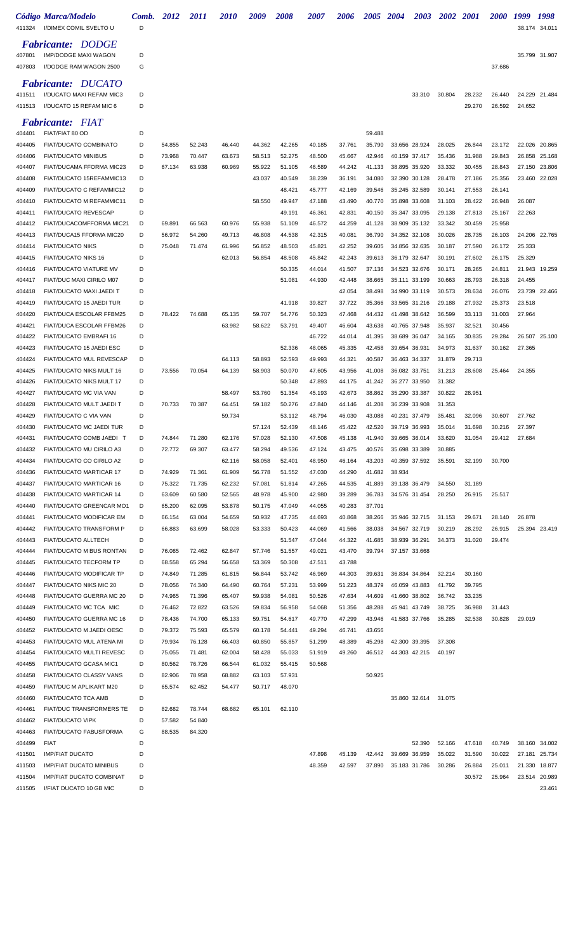| 411324           | Código Marca/Modelo<br>I/DIMEX COMIL SVELTO U              | Comb.<br>D | 2012             | <i>2011</i>      | <i><b>2010</b></i> | 2009             | 2008             | <i><b>2007</b></i> | <i><b>2006</b></i> | <i><b>2005</b></i> | 2004                           | 2003                           | <i>2002</i>      | <i>2001</i>      | <i><b>2000</b></i> | 1999<br>38.174   | 1998<br>34.011                 |
|------------------|------------------------------------------------------------|------------|------------------|------------------|--------------------|------------------|------------------|--------------------|--------------------|--------------------|--------------------------------|--------------------------------|------------------|------------------|--------------------|------------------|--------------------------------|
|                  | <b>Fabricante: DODGE</b>                                   |            |                  |                  |                    |                  |                  |                    |                    |                    |                                |                                |                  |                  |                    |                  |                                |
| 407801           | <b>IMP/DODGE MAXI WAGON</b>                                | D          |                  |                  |                    |                  |                  |                    |                    |                    |                                |                                |                  |                  |                    |                  | 35.799 31.907                  |
| 407803           | I/DODGE RAM WAGON 2500                                     | G          |                  |                  |                    |                  |                  |                    |                    |                    |                                |                                |                  |                  | 37.686             |                  |                                |
| 411511           | <b>Fabricante: DUCATO</b><br>I/DUCATO MAXI REFAM MIC3      | D          |                  |                  |                    |                  |                  |                    |                    |                    |                                | 33.310                         | 30.804           | 28.232           | 26.440             |                  | 24.229 21.484                  |
| 411513           | I/DUCATO 15 REFAM MIC 6                                    | D          |                  |                  |                    |                  |                  |                    |                    |                    |                                |                                |                  | 29.270           | 26.592             | 24.652           |                                |
|                  |                                                            |            |                  |                  |                    |                  |                  |                    |                    |                    |                                |                                |                  |                  |                    |                  |                                |
| 404401           | <b>Fabricante: FIAT</b><br>FIAT/FIAT 80 OD                 | D          |                  |                  |                    |                  |                  |                    |                    | 59.488             |                                |                                |                  |                  |                    |                  |                                |
| 404405           | <b>FIAT/DUCATO COMBINATO</b>                               | D          | 54.855           | 52.243           | 46.440             | 44.362           | 42.265           | 40.185             | 37.761             | 35.790             |                                | 33.656 28.924                  | 28.025           | 26.844           | 23.172             | 22.026           | 20.865                         |
| 404406           | <b>FIAT/DUCATO MINIBUS</b>                                 | D          | 73.968           | 70.447           | 63.673             | 58.513           | 52.275           | 48.500             | 45.667             | 42.946             |                                | 40.159 37.417                  | 35.436           | 31.988           | 29.843             |                  | 26.858 25.168                  |
| 404407           | FIAT/DUCAMA FFORMA MIC23                                   | D          | 67.134           | 63.938           | 60.969             | 55.922           | 51.105           | 46.589             | 44.242             | 41.133             |                                | 38.895 35.920                  | 33.332           | 30.455           | 28.843             | 27.150           | 23.806                         |
| 404408           | FIAT/DUCATO 15REFAMMIC13                                   | D          |                  |                  |                    | 43.037           | 40.549           | 38.239             | 36.191             | 34.080             |                                | 32.390 30.128                  | 28.478           | 27.186           | 25.356             |                  | 23.460 22.028                  |
| 404409<br>404410 | FIAT/DUCATO C REFAMMIC12<br>FIAT/DUCATO M REFAMMIC11       | D<br>D     |                  |                  |                    | 58.550           | 48.421<br>49.947 | 45.777<br>47.188   | 42.169<br>43.490   | 39.546<br>40.770   |                                | 35.245 32.589<br>35.898 33.608 | 30.141<br>31.103 | 27.553<br>28.422 | 26.141<br>26.948   | 26.087           |                                |
| 404411           | <b>FIAT/DUCATO REVESCAP</b>                                | D          |                  |                  |                    |                  | 49.191           | 46.361             | 42.831             | 40.150             |                                | 35.347 33.095                  | 29.138           | 27.813           | 25.167             | 22.263           |                                |
| 404412           | FIAT/DUCACOMFFORMA MIC21                                   | D          | 69.891           | 66.563           | 60.976             | 55.938           | 51.109           | 46.572             | 44.259             | 41.128             |                                | 38.909 35.132                  | 33.342           | 30.459           | 25.958             |                  |                                |
| 404413           | FIAT/DUCA15 FFORMA MIC20                                   | D          | 56.972           | 54.260           | 49.713             | 46.808           | 44.538           | 42.315             | 40.081             | 36.790             |                                | 34.352 32.108                  | 30.026           | 28.735           | 26.103             |                  | 24.206 22.765                  |
| 404414           | <b>FIAT/DUCATO NIKS</b>                                    | D          | 75.048           | 71.474           | 61.996             | 56.852           | 48.503           | 45.821             | 42.252             | 39.605             |                                | 34.856 32.635                  | 30.187           | 27.590           | 26.172             | 25.333           |                                |
| 404415           | FIAT/DUCATO NIKS 16                                        | D          |                  |                  | 62.013             | 56.854           | 48.508           | 45.842             | 42.243             | 39.613             |                                | 36.179 32.647                  | 30.191           | 27.602           | 26.175             | 25.329           |                                |
| 404416           | FIAT/DUCATO VIATURE MV                                     | D          |                  |                  |                    |                  | 50.335           | 44.014             | 41.507             | 37.136             |                                | 34.523 32.676                  | 30.171           | 28.265           | 24.811             |                  | 21.943 19.259                  |
| 404417<br>404418 | FIAT/DUC MAXI CIRILO M07<br>FIAT/DUCATO MAXI JAEDI T       | D<br>D     |                  |                  |                    |                  | 51.081           | 44.930             | 42.448<br>42.054   | 38.665<br>38.498   |                                | 35.111 33.199<br>34.990 33.119 | 30.663<br>30.573 | 28.793<br>28.634 | 26.318<br>26.076   | 24.455<br>23.739 | 22.466                         |
| 404419           | FIAT/DUCATO 15 JAEDI TUR                                   | D          |                  |                  |                    |                  | 41.918           | 39.827             | 37.722             | 35.366             |                                | 33.565 31.216                  | 29.188           | 27.932           | 25.373             | 23.518           |                                |
| 404420           | FIAT/DUCA ESCOLAR FFBM25                                   | D          | 78.422           | 74.688           | 65.135             | 59.707           | 54.776           | 50.323             | 47.468             | 44.432             | 41.498 38.642                  |                                | 36.599           | 33.113           | 31.003             | 27.964           |                                |
| 404421           | FIAT/DUCA ESCOLAR FFBM26                                   | D          |                  |                  | 63.982             | 58.622           | 53.791           | 49.407             | 46.604             | 43.638             |                                | 40.765 37.948                  | 35.937           | 32.521           | 30.456             |                  |                                |
| 404422           | FIAT/DUCATO EMBRAFI 16                                     | D          |                  |                  |                    |                  |                  | 46.722             | 44.014             | 41.395             |                                | 38.689 36.047                  | 34.165           | 30.835           | 29.284             |                  | 26.507 25.100                  |
| 404423           | FIAT/DUCATO 15 JAEDI ESC                                   | D          |                  |                  |                    |                  | 52.336           | 48.065             | 45.335             | 42.458             | 39.654 36.931                  |                                | 34.973           | 31.637           | 30.162             | 27.365           |                                |
| 404424           | FIAT/DUCATO MUL REVESCAP                                   | D          |                  |                  | 64.113             | 58.893           | 52.593           | 49.993             | 44.321             | 40.587             | 36.463 34.337                  |                                | 31.879           | 29.713           |                    |                  |                                |
| 404425           | FIAT/DUCATO NIKS MULT 16                                   | D          | 73.556           | 70.054           | 64.139             | 58.903           | 50.070           | 47.605             | 43.956             | 41.008             | 36.082 33.751                  |                                | 31.213           | 28.608           | 25.464             | 24.355           |                                |
| 404426<br>404427 | FIAT/DUCATO NIKS MULT 17<br>FIAT/DUCATO MC VIA VAN         | D<br>D     |                  |                  | 58.497             | 53.760           | 50.348<br>51.354 | 47.893<br>45.193   | 44.175<br>42.673   | 41.242<br>38.862   | 36.277 33.950<br>35.290 33.387 |                                | 31.382<br>30.822 | 28.951           |                    |                  |                                |
| 404428           | FIAT/DUCATO MULT JAEDI T                                   | D          | 70.733           | 70.387           | 64.451             | 59.182           | 50.276           | 47.840             | 44.146             | 41.208             | 36.239 33.908                  |                                | 31.353           |                  |                    |                  |                                |
| 404429           | FIAT/DUCATO C VIA VAN                                      | D          |                  |                  | 59.734             |                  | 53.112           | 48.794             | 46.030             | 43.088             |                                | 40.231 37.479                  | 35.481           | 32.096           | 30.607             | 27.762           |                                |
| 404430           | FIAT/DUCATO MC JAEDI TUR                                   | D          |                  |                  |                    | 57.124           | 52.439           | 48.146             | 45.422             | 42.520             | 39.719 36.993                  |                                | 35.014           | 31.698           | 30.216             | 27.397           |                                |
| 404431           | FIAT/DUCATO COMB JAEDI T                                   | D          | 74.844           | 71.280           | 62.176             | 57.028           | 52.130           | 47.508             | 45.138             | 41.940             |                                | 39.665 36.014                  | 33.620           | 31.054           | 29.412             | 27.684           |                                |
| 404432           | FIAT/DUCATO MU CIRILO A3                                   | D          | 72.772           | 69.307           | 63.477             | 58.294           | 49.536           | 47.124             | 43.475             | 40.576             | 35.698 33.389                  |                                | 30.885           |                  |                    |                  |                                |
| 404434           | FIAT/DUCATO CO CIRILO A2                                   | D          |                  |                  | 62.116             | 58.058           | 52.401           | 48.950             | 46.164             | 43.203             |                                | 40.359 37.592                  | 35.591           | 32.199           | 30.700             |                  |                                |
| 404436           | <b>FIAT/DUCATO MARTICAR 17</b>                             | D          | 74.929           | 71.361           | 61.909             | 56.778           | 51.552           | 47.030             | 44.290             | 41.682             | 38.934                         |                                |                  |                  |                    |                  |                                |
| 404437<br>404438 | FIAT/DUCATO MARTICAR 16<br><b>FIAT/DUCATO MARTICAR 14</b>  | D<br>D     | 75.322<br>63.609 | 71.735<br>60.580 | 62.232<br>52.565   | 57.081<br>48.978 | 51.814<br>45.900 | 47.265<br>42.980   | 44.535<br>39.289   | 41.889<br>36.783   | 39.138 36.479                  | 34.576 31.454                  | 34.550<br>28.250 | 31.189<br>26.915 | 25.517             |                  |                                |
| 404440           | FIAT/DUCATO GREENCAR MO1                                   | D          | 65.200           | 62.095           | 53.878             | 50.175           | 47.049           | 44.055             | 40.283             | 37.701             |                                |                                |                  |                  |                    |                  |                                |
| 404441           | FIAT/DUCATO MODIFICAR EM                                   | D          | 66.154           | 63.004           | 54.659             | 50.932           | 47.735           | 44.693             | 40.868             | 38.266             |                                | 35.946 32.715                  | 31.153           | 29.671           | 28.140             | 26.878           |                                |
| 404442           | <b>FIAT/DUCATO TRANSFORM P</b>                             | D          | 66.883           | 63.699           | 58.028             | 53.333           | 50.423           | 44.069             | 41.566             | 38.038             |                                | 34.567 32.719                  | 30.219           | 28.292           | 26.915             |                  | 25.394 23.419                  |
| 404443           | FIAT/DUCATO ALLTECH                                        | D          |                  |                  |                    |                  | 51.547           | 47.044             | 44.322             | 41.685             | 38.939 36.291                  |                                | 34.373           | 31.020           | 29.474             |                  |                                |
| 404444           | FIAT/DUCATO M BUS RONTAN                                   | D          | 76.085           | 72.462           | 62.847             | 57.746           | 51.557           | 49.021             | 43.470             | 39.794             | 37.157 33.668                  |                                |                  |                  |                    |                  |                                |
| 404445           | FIAT/DUCATO TECFORM TP                                     | D          | 68.558           | 65.294           | 56.658             | 53.369           | 50.308           | 47.511             | 43.788             |                    |                                |                                |                  |                  |                    |                  |                                |
| 404446<br>404447 | <b>FIAT/DUCATO MODIFICAR TP</b><br>FIAT/DUCATO NIKS MIC 20 | D<br>D     | 74.849<br>78.056 | 71.285<br>74.340 | 61.815<br>64.490   | 56.844<br>60.764 | 53.742<br>57.231 | 46.969<br>53.999   | 44.303<br>51.223   | 39.631<br>48.379   | 36.834 34.864<br>46.059 43.883 |                                | 32.214<br>41.792 | 30.160<br>39.795 |                    |                  |                                |
| 404448           | FIAT/DUCATO GUERRA MC 20                                   | D          | 74.965           | 71.396           | 65.407             | 59.938           | 54.081           | 50.526             | 47.634             | 44.609             |                                | 41.660 38.802                  | 36.742           | 33.235           |                    |                  |                                |
| 404449           | FIAT/DUCATO MC TCA MIC                                     | D          | 76.462           | 72.822           | 63.526             | 59.834           | 56.958           | 54.068             | 51.356             | 48.288             | 45.941 43.749                  |                                | 38.725           | 36.988           | 31.443             |                  |                                |
| 404450           | FIAT/DUCATO GUERRA MC 16                                   | D          | 78.436           | 74.700           | 65.133             | 59.751           | 54.617           | 49.770             | 47.299             | 43.946             |                                | 41.583 37.766                  | 35.285           | 32.538           | 30.828             | 29.019           |                                |
| 404452           | FIAT/DUCATO M JAEDI OESC                                   | D          | 79.372           | 75.593           | 65.579             | 60.178           | 54.441           | 49.294             | 46.741             | 43.656             |                                |                                |                  |                  |                    |                  |                                |
| 404453           | FIAT/DUCATO MUL ATENA MI                                   | D          | 79.934           | 76.128           | 66.403             | 60.850           | 55.857           | 51.299             | 48.389             | 45.298             |                                | 42.300 39.395                  | 37.308           |                  |                    |                  |                                |
| 404454           | FIAT/DUCATO MULTI REVESC                                   | D          | 75.055           | 71.481           | 62.004             | 58.428           | 55.033           | 51.919             | 49.260             | 46.512             | 44.303 42.215                  |                                | 40.197           |                  |                    |                  |                                |
| 404455<br>404458 | FIAT/DUCATO GCASA MIC1<br>FIAT/DUCATO CLASSY VANS          | D<br>D     | 80.562<br>82.906 | 76.726<br>78.958 | 66.544<br>68.882   | 61.032<br>63.103 | 55.415<br>57.931 | 50.568             |                    | 50.925             |                                |                                |                  |                  |                    |                  |                                |
| 404459           | FIAT/DUC M APLIKART M20                                    | D          | 65.574           | 62.452           | 54.477             | 50.717           | 48.070           |                    |                    |                    |                                |                                |                  |                  |                    |                  |                                |
| 404460           | FIAT/DUCATO TCA AMB                                        | D          |                  |                  |                    |                  |                  |                    |                    |                    |                                | 35.860 32.614                  | 31.075           |                  |                    |                  |                                |
| 404461           | <b>FIAT/DUC TRANSFORMERS TE</b>                            | D          | 82.682           | 78.744           | 68.682             | 65.101           | 62.110           |                    |                    |                    |                                |                                |                  |                  |                    |                  |                                |
| 404462           | <b>FIAT/DUCATO VIPK</b>                                    | D          | 57.582           | 54.840           |                    |                  |                  |                    |                    |                    |                                |                                |                  |                  |                    |                  |                                |
| 404463           | FIAT/DUCATO FABUSFORMA                                     | G          | 88.535           | 84.320           |                    |                  |                  |                    |                    |                    |                                |                                |                  |                  |                    |                  |                                |
| 404499           | <b>FIAT</b>                                                | D          |                  |                  |                    |                  |                  |                    |                    |                    |                                | 52.390                         | 52.166           | 47.618           | 40.749             |                  | 38.160 34.002                  |
| 411501<br>411503 | <b>IMP/FIAT DUCATO</b><br><b>IMP/FIAT DUCATO MINIBUS</b>   | D<br>D     |                  |                  |                    |                  |                  | 47.898<br>48.359   | 45.139<br>42.597   | 42.442<br>37.890   | 39.669 36.959                  | 35.183 31.786                  | 35.022<br>30.286 | 31.590<br>26.884 | 30.022<br>25.011   |                  | 27.181 25.734<br>21.330 18.877 |
| 411504           | <b>IMP/FIAT DUCATO COMBINAT</b>                            | D          |                  |                  |                    |                  |                  |                    |                    |                    |                                |                                |                  | 30.572           | 25.964             |                  | 23.514 20.989                  |
| 411505           | I/FIAT DUCATO 10 GB MIC                                    | D          |                  |                  |                    |                  |                  |                    |                    |                    |                                |                                |                  |                  |                    |                  | 23.461                         |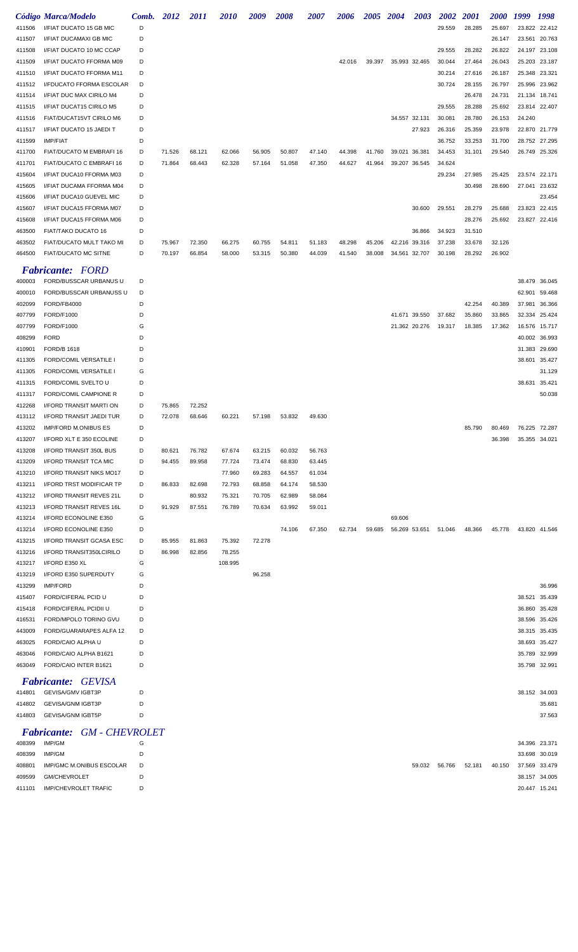|                  | Código Marca/Modelo                         | Comb.  | 2012   | 2011   | <i>2010</i> | 2009   | <i><b>2008</b></i> | <i><b>2007</b></i> | <i><b>2006</b></i> | <i><b>2005</b></i> | 2004          | <b>2003</b>   | <b>2002</b> | <i>2001</i> | <i><b>2000</b></i> | 1999   | 1998                    |
|------------------|---------------------------------------------|--------|--------|--------|-------------|--------|--------------------|--------------------|--------------------|--------------------|---------------|---------------|-------------|-------------|--------------------|--------|-------------------------|
| 411506           | I/FIAT DUCATO 15 GB MIC                     | D      |        |        |             |        |                    |                    |                    |                    |               |               | 29.559      | 28.285      | 25.697             | 23.822 | 22.412                  |
| 411507           | I/FIAT DUCAMAXI GB MIC                      | D      |        |        |             |        |                    |                    |                    |                    |               |               |             |             | 26.147             | 23.561 | 20.763                  |
| 411508           | I/FIAT DUCATO 10 MC CCAP                    | D      |        |        |             |        |                    |                    |                    |                    |               |               | 29.555      | 28.282      | 26.822             | 24.197 | 23.108                  |
| 411509           | I/FIAT DUCATO FFORMA M09                    | D      |        |        |             |        |                    |                    | 42.016             | 39.397             | 35.993 32.465 |               | 30.044      | 27.464      | 26.043             | 25.203 | 23.187                  |
| 411510           | I/FIAT DUCATO FFORMA M11                    | D      |        |        |             |        |                    |                    |                    |                    |               |               | 30.214      | 27.616      | 26.187             | 25.348 | 23.321                  |
| 411512           | I/FDUCATO FFORMA ESCOLAR                    | D      |        |        |             |        |                    |                    |                    |                    |               |               | 30.724      | 28.155      | 26.797             | 25.996 | 23.962                  |
| 411514           | I/FIAT DUC MAX CIRILO M4                    | D      |        |        |             |        |                    |                    |                    |                    |               |               |             | 26.478      | 24.731             | 21.134 | 18.741                  |
| 411515           | I/FIAT DUCAT15 CIRILO M5                    | D      |        |        |             |        |                    |                    |                    |                    |               |               | 29.555      | 28.288      | 25.692             |        | 23.814 22.407           |
| 411516           | FIAT/DUCAT15VT CIRILO M6                    | D      |        |        |             |        |                    |                    |                    |                    | 34.557 32.131 |               | 30.081      | 28.780      | 26.153             | 24.240 |                         |
| 411517           | I/FIAT DUCATO 15 JAEDI T                    | D      |        |        |             |        |                    |                    |                    |                    |               | 27.923        | 26.316      | 25.359      | 23.978             |        | 22.870 21.779           |
| 411599           | <b>IMP/FIAT</b>                             | D      |        |        |             |        |                    |                    |                    |                    |               |               | 36.752      | 33.253      | 31.700             |        | 28.752 27.295           |
| 411700           | FIAT/DUCATO M EMBRAFI 16                    | D      | 71.526 | 68.121 | 62.066      | 56.905 | 50.807             | 47.140             | 44.398             | 41.760             | 39.021 36.381 |               | 34.453      | 31.101      | 29.540             |        | 26.749 25.326           |
| 411701           | FIAT/DUCATO C EMBRAFI 16                    | D      | 71.864 | 68.443 | 62.328      | 57.164 | 51.058             | 47.350             | 44.627             | 41.964             |               | 39.207 36.545 | 34.624      |             |                    |        |                         |
| 415604           | I/FIAT DUCA10 FFORMA M03                    | D      |        |        |             |        |                    |                    |                    |                    |               |               | 29.234      | 27.985      | 25.425             | 23.574 | 22.171                  |
| 415605           | I/FIAT DUCAMA FFORMA M04                    | D      |        |        |             |        |                    |                    |                    |                    |               |               |             | 30.498      | 28.690             | 27.041 | 23.632                  |
| 415606           | I/FIAT DUCA10 GUEVEL MIC                    | D      |        |        |             |        |                    |                    |                    |                    |               |               |             |             |                    |        | 23.454                  |
| 415607           | I/FIAT DUCA15 FFORMA M07                    | D      |        |        |             |        |                    |                    |                    |                    |               | 30.600        | 29.551      | 28.279      | 25.688             |        | 23.823 22.415           |
| 415608           | I/FIAT DUCA15 FFORMA M06                    | D      |        |        |             |        |                    |                    |                    |                    |               |               |             | 28.276      | 25.692             |        | 23.827 22.416           |
| 463500           | FIAT/TAKO DUCATO 16                         | D      |        |        |             |        |                    |                    |                    |                    |               | 36.866        | 34.923      | 31.510      |                    |        |                         |
| 463502           | FIAT/DUCATO MULT TAKO MI                    | D      | 75.967 | 72.350 | 66.275      | 60.755 | 54.811             | 51.183             | 48.298             | 45.206             |               | 42.216 39.316 | 37.238      | 33.678      | 32.126             |        |                         |
| 464500           | FIAT/DUCATO MC SITNE                        | D      | 70.197 | 66.854 | 58.000      | 53.315 | 50.380             | 44.039             | 41.540             | 38.008             | 34.561 32.707 |               | 30.198      | 28.292      | 26.902             |        |                         |
|                  |                                             |        |        |        |             |        |                    |                    |                    |                    |               |               |             |             |                    |        |                         |
|                  | <b>Fabricante:</b> FORD                     |        |        |        |             |        |                    |                    |                    |                    |               |               |             |             |                    |        |                         |
| 400003           | FORD/BUSSCAR URBANUS U                      | D      |        |        |             |        |                    |                    |                    |                    |               |               |             |             |                    | 38.479 | 36.045                  |
| 400010           | FORD/BUSSCAR URBANUSS U                     | D      |        |        |             |        |                    |                    |                    |                    |               |               |             |             |                    | 62.901 | 59.468                  |
| 402099           | FORD/FB4000                                 | D      |        |        |             |        |                    |                    |                    |                    |               |               |             | 42.254      | 40.389             | 37.981 | 36.366                  |
| 407799           | FORD/F1000                                  | D      |        |        |             |        |                    |                    |                    |                    |               | 41.671 39.550 | 37.682      | 35.860      | 33.865             | 32.334 | 25.424                  |
| 407799           | FORD/F1000                                  | G      |        |        |             |        |                    |                    |                    |                    |               | 21.362 20.276 | 19.317      | 18.385      | 17.362             | 16.576 | 15.717                  |
| 408299           | <b>FORD</b>                                 | D      |        |        |             |        |                    |                    |                    |                    |               |               |             |             |                    | 40.002 | 36.993                  |
| 410901           | FORD/B 1618                                 | D      |        |        |             |        |                    |                    |                    |                    |               |               |             |             |                    | 31.383 | 29.690                  |
| 411305           | FORD/COMIL VERSATILE I                      | D      |        |        |             |        |                    |                    |                    |                    |               |               |             |             |                    | 38.601 | 35.427                  |
| 411305           | FORD/COMIL VERSATILE I                      | G      |        |        |             |        |                    |                    |                    |                    |               |               |             |             |                    |        | 31.129                  |
| 411315           | FORD/COMIL SVELTO U                         | D      |        |        |             |        |                    |                    |                    |                    |               |               |             |             |                    | 38.631 | 35.421                  |
| 411317           | FORD/COMIL CAMPIONE R                       | D      |        |        |             |        |                    |                    |                    |                    |               |               |             |             |                    |        | 50.038                  |
| 412268           | I/FORD TRANSIT MARTI ON                     | D      | 75.865 | 72.252 |             |        |                    |                    |                    |                    |               |               |             |             |                    |        |                         |
| 413112           | I/FORD TRANSIT JAEDI TUR                    | D      | 72.078 | 68.646 | 60.221      | 57.198 | 53.832             | 49.630             |                    |                    |               |               |             |             |                    |        |                         |
| 413202           | <b>IMP/FORD M.ONIBUS ES</b>                 | D      |        |        |             |        |                    |                    |                    |                    |               |               |             | 85.790      | 80.469             |        | 76.225 72.287           |
| 413207           | I/FORD XLT E 350 ECOLINE                    | D      |        |        |             |        |                    |                    |                    |                    |               |               |             |             | 36.398             |        | 35.355 34.021           |
| 413208           | I/FORD TRANSIT 350L BUS                     | D      | 80.621 | 76.782 | 67.674      | 63.215 | 60.032             | 56.763             |                    |                    |               |               |             |             |                    |        |                         |
| 413209           | I/FORD TRANSIT TCA MIC                      | D      | 94.455 | 89.958 | 77.724      | 73.474 | 68.830             | 63.445             |                    |                    |               |               |             |             |                    |        |                         |
| 413210           | I/FORD TRANSIT NIKS MO17                    | D      |        |        | 77.960      | 69.283 | 64.557             | 61.034             |                    |                    |               |               |             |             |                    |        |                         |
| 413211           | I/FORD TRST MODIFICAR TP                    | D      | 86.833 | 82.698 | 72.793      | 68.858 | 64.174             | 58.530             |                    |                    |               |               |             |             |                    |        |                         |
| 413212           | I/FORD TRANSIT REVES 21L                    | D      |        | 80.932 | 75.321      | 70.705 | 62.989             | 58.084             |                    |                    |               |               |             |             |                    |        |                         |
| 413213           | I/FORD TRANSIT REVES 16L                    | D      | 91.929 | 87.551 | 76.789      | 70.634 | 63.992             | 59.011             |                    |                    |               |               |             |             |                    |        |                         |
| 413214           | I/FORD ECONOLINE E350                       | G      |        |        |             |        |                    |                    |                    |                    | 69.606        |               |             |             |                    |        |                         |
| 413214           | I/FORD ECONOLINE E350                       | D      |        |        |             |        | 74.106             | 67.350             | 62.734             | 59.685             | 56.269 53.651 |               | 51.046      | 48.366      | 45.778             |        | 43.820 41.546           |
| 413215           | I/FORD TRANSIT GCASA ESC                    | D      | 85.955 | 81.863 | 75.392      | 72.278 |                    |                    |                    |                    |               |               |             |             |                    |        |                         |
| 413216           | I/FORD TRANSIT350LCIRILO                    | D      | 86.998 | 82.856 | 78.255      |        |                    |                    |                    |                    |               |               |             |             |                    |        |                         |
| 413217           | I/FORD E350 XL                              | G      |        |        | 108.995     |        |                    |                    |                    |                    |               |               |             |             |                    |        |                         |
| 413219           | I/FORD E350 SUPERDUTY                       | G      |        |        |             | 96.258 |                    |                    |                    |                    |               |               |             |             |                    |        |                         |
| 413299           | IMP/FORD                                    | D      |        |        |             |        |                    |                    |                    |                    |               |               |             |             |                    |        | 36.996                  |
| 415407           | FORD/CIFERAL PCID U                         | D      |        |        |             |        |                    |                    |                    |                    |               |               |             |             |                    | 38.521 | 35.439                  |
| 415418           | FORD/CIFERAL PCIDII U                       | D      |        |        |             |        |                    |                    |                    |                    |               |               |             |             |                    | 36.860 | 35.428                  |
| 416531           | FORD/MPOLO TORINO GVU                       | D      |        |        |             |        |                    |                    |                    |                    |               |               |             |             |                    | 38.596 | 35.426                  |
| 443009           | FORD/GUARARAPES ALFA 12                     | D      |        |        |             |        |                    |                    |                    |                    |               |               |             |             |                    |        | 38.315 35.435           |
| 463025           | FORD/CAIO ALPHA U                           | D      |        |        |             |        |                    |                    |                    |                    |               |               |             |             |                    | 38.693 | 35.427                  |
| 463046           | FORD/CAIO ALPHA B1621                       | D      |        |        |             |        |                    |                    |                    |                    |               |               |             |             |                    | 35.789 | 32.999                  |
| 463049           | FORD/CAIO INTER B1621                       | D      |        |        |             |        |                    |                    |                    |                    |               |               |             |             |                    |        | 35.798 32.991           |
|                  | <b>Fabricante: GEVISA</b>                   |        |        |        |             |        |                    |                    |                    |                    |               |               |             |             |                    |        |                         |
| 414801           | GEVISA/GMV IGBT3P                           | D      |        |        |             |        |                    |                    |                    |                    |               |               |             |             |                    |        | 38.152 34.003           |
| 414802           | <b>GEVISA/GNM IGBT3P</b>                    | D      |        |        |             |        |                    |                    |                    |                    |               |               |             |             |                    |        | 35.681                  |
| 414803           | <b>GEVISA/GNM IGBT5P</b>                    | D      |        |        |             |        |                    |                    |                    |                    |               |               |             |             |                    |        | 37.563                  |
|                  |                                             |        |        |        |             |        |                    |                    |                    |                    |               |               |             |             |                    |        |                         |
|                  | <b>Fabricante: GM - CHEVROLET</b>           |        |        |        |             |        |                    |                    |                    |                    |               |               |             |             |                    |        |                         |
| 408399           | IMP/GM                                      | G      |        |        |             |        |                    |                    |                    |                    |               |               |             |             |                    |        | 34.396 23.371           |
| 408399           | IMP/GM                                      | D      |        |        |             |        |                    |                    |                    |                    |               |               |             |             |                    | 33.698 | 30.019                  |
| 408801           | IMP/GMC M.ONIBUS ESCOLAR                    | D      |        |        |             |        |                    |                    |                    |                    |               | 59.032        | 56.766      | 52.181      | 40.150             | 37.569 | 33.479                  |
| 409599<br>411101 | GM/CHEVROLET<br><b>IMP/CHEVROLET TRAFIC</b> | D<br>D |        |        |             |        |                    |                    |                    |                    |               |               |             |             |                    | 38.157 | 34.005<br>20.447 15.241 |
|                  |                                             |        |        |        |             |        |                    |                    |                    |                    |               |               |             |             |                    |        |                         |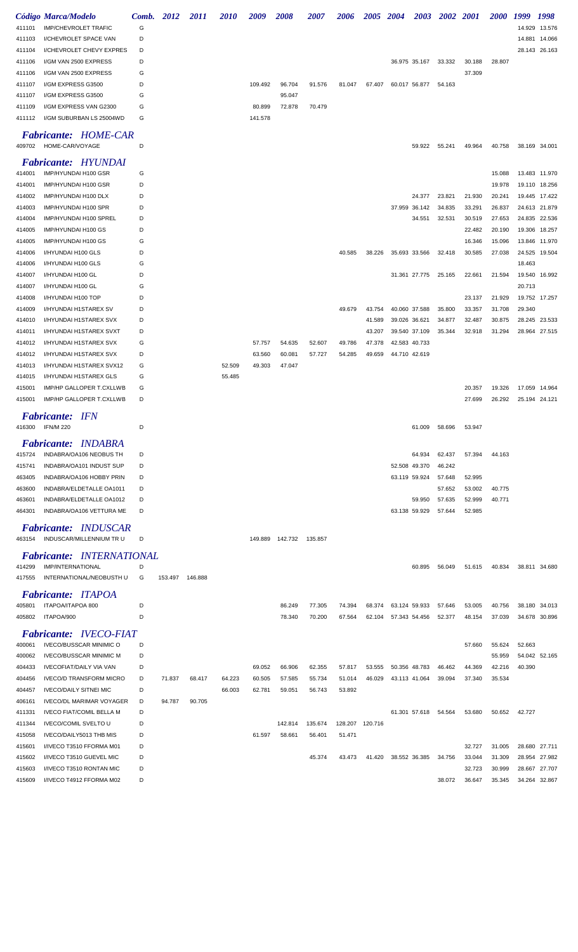|        | Código Marca/Modelo              | Comb. | 2012    | <i>2011</i> | <i><b>2010</b></i> | 2009    | <i><b>2008</b></i>        | <i><b>2007</b></i> | 2006    | 2005 2004 |               | 2003          | 2002 2001 |        | <i>2000</i> | 1999   | 1998          |
|--------|----------------------------------|-------|---------|-------------|--------------------|---------|---------------------------|--------------------|---------|-----------|---------------|---------------|-----------|--------|-------------|--------|---------------|
| 411101 | <b>IMP/CHEVROLET TRAFIC</b>      | G     |         |             |                    |         |                           |                    |         |           |               |               |           |        |             |        | 14.929 13.576 |
| 411103 | I/CHEVROLET SPACE VAN            | D     |         |             |                    |         |                           |                    |         |           |               |               |           |        |             |        | 14.881 14.066 |
| 411104 | I/CHEVROLET CHEVY EXPRES         | D     |         |             |                    |         |                           |                    |         |           |               |               |           |        |             |        | 28.143 26.163 |
| 411106 | I/GM VAN 2500 EXPRESS            | D     |         |             |                    |         |                           |                    |         |           |               | 36.975 35.167 | 33.332    | 30.188 | 28.807      |        |               |
| 411106 | I/GM VAN 2500 EXPRESS            | G     |         |             |                    |         |                           |                    |         |           |               |               |           | 37.309 |             |        |               |
| 411107 | I/GM EXPRESS G3500               | D     |         |             |                    | 109.492 | 96.704                    | 91.576             | 81.047  | 67.407    |               | 60.017 56.877 | 54.163    |        |             |        |               |
| 411107 | I/GM EXPRESS G3500               | G     |         |             |                    |         | 95.047                    |                    |         |           |               |               |           |        |             |        |               |
| 411109 | I/GM EXPRESS VAN G2300           | G     |         |             |                    | 80.899  | 72.878                    | 70.479             |         |           |               |               |           |        |             |        |               |
| 411112 | I/GM SUBURBAN LS 25004WD         | G     |         |             |                    | 141.578 |                           |                    |         |           |               |               |           |        |             |        |               |
|        |                                  |       |         |             |                    |         |                           |                    |         |           |               |               |           |        |             |        |               |
|        | <b>Fabricante: HOME-CAR</b>      |       |         |             |                    |         |                           |                    |         |           |               |               |           |        |             |        |               |
| 409702 | HOME-CAR/VOYAGE                  | D     |         |             |                    |         |                           |                    |         |           |               | 59.922        | 55.241    | 49.964 | 40.758      |        | 38.169 34.001 |
|        | <b>Fabricante: HYUNDAI</b>       |       |         |             |                    |         |                           |                    |         |           |               |               |           |        |             |        |               |
| 414001 | IMP/HYUNDAI H100 GSR             | G     |         |             |                    |         |                           |                    |         |           |               |               |           |        | 15.088      |        | 13.483 11.970 |
| 414001 | IMP/HYUNDAI H100 GSR             | D     |         |             |                    |         |                           |                    |         |           |               |               |           |        | 19.978      | 19.110 | 18.256        |
| 414002 | IMP/HYUNDAI H100 DLX             | D     |         |             |                    |         |                           |                    |         |           |               | 24.377        | 23.821    | 21.930 | 20.241      |        | 19.445 17.422 |
| 414003 | IMP/HYUNDAI H100 SPR             | D     |         |             |                    |         |                           |                    |         |           |               | 37.959 36.142 | 34.835    | 33.291 | 26.837      |        | 24.613 21.879 |
| 414004 | IMP/HYUNDAI H100 SPREL           | D     |         |             |                    |         |                           |                    |         |           |               | 34.551        | 32.531    | 30.519 | 27.653      | 24.835 | 22.536        |
| 414005 | IMP/HYUNDAI H100 GS              | D     |         |             |                    |         |                           |                    |         |           |               |               |           | 22.482 | 20.190      | 19.306 | 18.257        |
| 414005 | IMP/HYUNDAI H100 GS              | G     |         |             |                    |         |                           |                    |         |           |               |               |           | 16.346 | 15.096      |        | 13.846 11.970 |
| 414006 | I/HYUNDAI H100 GLS               | D     |         |             |                    |         |                           |                    | 40.585  | 38.226    |               | 35.693 33.566 | 32.418    | 30.585 | 27.038      |        | 24.525 19.504 |
| 414006 | I/HYUNDAI H100 GLS               | G     |         |             |                    |         |                           |                    |         |           |               |               |           |        |             | 18.463 |               |
| 414007 | I/HYUNDAI H100 GL                | D     |         |             |                    |         |                           |                    |         |           |               | 31.361 27.775 | 25.165    | 22.661 | 21.594      |        | 19.540 16.992 |
| 414007 | I/HYUNDAI H100 GL                | G     |         |             |                    |         |                           |                    |         |           |               |               |           |        |             | 20.713 |               |
| 414008 | I/HYUNDAI H100 TOP               | D     |         |             |                    |         |                           |                    |         |           |               |               |           | 23.137 | 21.929      |        | 19.752 17.257 |
| 414009 | <b>I/HYUNDAI H1STAREX SV</b>     | D     |         |             |                    |         |                           |                    | 49.679  | 43.754    |               | 40.060 37.588 | 35.800    | 33.357 | 31.708      | 29.340 |               |
| 414010 | I/HYUNDAI H1STAREX SVX           | D     |         |             |                    |         |                           |                    |         | 41.589    | 39.026 36.621 |               | 34.877    | 32.487 | 30.875      |        | 28.245 23.533 |
| 414011 | I/HYUNDAI H1STAREX SVXT          | D     |         |             |                    |         |                           |                    |         | 43.207    |               | 39.540 37.109 | 35.344    | 32.918 | 31.294      |        | 28.964 27.515 |
| 414012 | I/HYUNDAI H1STAREX SVX           | G     |         |             |                    | 57.757  | 54.635                    | 52.607             | 49.786  | 47.378    |               | 42.583 40.733 |           |        |             |        |               |
| 414012 | I/HYUNDAI H1STAREX SVX           | D     |         |             |                    | 63.560  | 60.081                    | 57.727             | 54.285  | 49.659    |               | 44.710 42.619 |           |        |             |        |               |
| 414013 | I/HYUNDAI H1STAREX SVX12         | G     |         |             | 52.509             | 49.303  | 47.047                    |                    |         |           |               |               |           |        |             |        |               |
| 414015 | I/HYUNDAI H1STAREX GLS           | G     |         |             | 55.485             |         |                           |                    |         |           |               |               |           |        |             |        |               |
| 415001 | <b>IMP/HP GALLOPER T.CXLLWB</b>  | G     |         |             |                    |         |                           |                    |         |           |               |               |           | 20.357 | 19.326      |        | 17.059 14.964 |
| 415001 | IMP/HP GALLOPER T.CXLLWB         | D     |         |             |                    |         |                           |                    |         |           |               |               |           | 27.699 | 26.292      |        | 25.194 24.121 |
|        |                                  |       |         |             |                    |         |                           |                    |         |           |               |               |           |        |             |        |               |
|        | <b>Fabricante: IFN</b>           |       |         |             |                    |         |                           |                    |         |           |               |               |           |        |             |        |               |
| 416300 | <b>IFN/M 220</b>                 | D     |         |             |                    |         |                           |                    |         |           |               | 61.009        | 58.696    | 53.947 |             |        |               |
|        | <b>Fabricante: INDABRA</b>       |       |         |             |                    |         |                           |                    |         |           |               |               |           |        |             |        |               |
| 415724 | INDABRA/OA106 NEOBUS TH          | D     |         |             |                    |         |                           |                    |         |           |               | 64.934        | 62.437    | 57.394 | 44.163      |        |               |
| 415741 | INDABRA/OA101 INDUST SUP         | D     |         |             |                    |         |                           |                    |         |           |               | 52.508 49.370 | 46.242    |        |             |        |               |
| 463405 | INDABRA/OA106 HOBBY PRIN         | D     |         |             |                    |         |                           |                    |         |           |               | 63.119 59.924 | 57.648    | 52.995 |             |        |               |
| 463600 | INDABRA/ELDETALLE OA1011         | D     |         |             |                    |         |                           |                    |         |           |               |               | 57.652    | 53.002 | 40.775      |        |               |
| 463601 | INDABRA/ELDETALLE OA1012         | D     |         |             |                    |         |                           |                    |         |           |               | 59.950        | 57.635    | 52.999 | 40.771      |        |               |
| 464301 | INDABRA/OA106 VETTURA ME         | D     |         |             |                    |         |                           |                    |         |           |               | 63.138 59.929 | 57.644    | 52.985 |             |        |               |
|        |                                  |       |         |             |                    |         |                           |                    |         |           |               |               |           |        |             |        |               |
|        | <b>Fabricante: INDUSCAR</b>      |       |         |             |                    |         |                           |                    |         |           |               |               |           |        |             |        |               |
| 463154 | INDUSCAR/MILLENNIUM TR U         | D     |         |             |                    |         | 149.889  142.732  135.857 |                    |         |           |               |               |           |        |             |        |               |
|        | <b>Fabricante: INTERNATIONAL</b> |       |         |             |                    |         |                           |                    |         |           |               |               |           |        |             |        |               |
| 414299 | IMP/INTERNATIONAL                | D     |         |             |                    |         |                           |                    |         |           |               | 60.895        | 56.049    | 51.615 | 40.834      |        | 38.811 34.680 |
| 417555 | INTERNATIONAL/NEOBUSTH U         | G     | 153.497 | 146.888     |                    |         |                           |                    |         |           |               |               |           |        |             |        |               |
|        | <b>Fabricante: ITAPOA</b>        |       |         |             |                    |         |                           |                    |         |           |               |               |           |        |             |        |               |
| 405801 | ITAPOA/ITAPOA 800                | D     |         |             |                    |         | 86.249                    | 77.305             | 74.394  | 68.374    |               | 63.124 59.933 | 57.646    | 53.005 | 40.756      |        | 38.180 34.013 |
| 405802 | ITAPOA/900                       | D     |         |             |                    |         | 78.340                    | 70.200             | 67.564  | 62.104    |               | 57.343 54.456 | 52.377    | 48.154 | 37.039      |        | 34.678 30.896 |
|        |                                  |       |         |             |                    |         |                           |                    |         |           |               |               |           |        |             |        |               |
|        | <b>Fabricante: IVECO-FIAT</b>    |       |         |             |                    |         |                           |                    |         |           |               |               |           |        |             |        |               |
| 400061 | <b>IVECO/BUSSCAR MINIMIC O</b>   | D     |         |             |                    |         |                           |                    |         |           |               |               |           | 57.660 | 55.624      | 52.663 |               |
| 400062 | <b>IVECO/BUSSCAR MINIMIC M</b>   | D     |         |             |                    |         |                           |                    |         |           |               |               |           |        | 55.959      |        | 54.042 52.165 |
| 404433 | <b>IVECOFIAT/DAILY VIA VAN</b>   | D     |         |             |                    | 69.052  | 66.906                    | 62.355             | 57.817  | 53.555    |               | 50.356 48.783 | 46.462    | 44.369 | 42.216      | 40.390 |               |
| 404456 | <b>IVECO/D TRANSFORM MICRO</b>   | D     | 71.837  | 68.417      | 64.223             | 60.505  | 57.585                    | 55.734             | 51.014  | 46.029    |               | 43.113 41.064 | 39.094    | 37.340 | 35.534      |        |               |
| 404457 | <b>IVECO/DAILY SITNEI MIC</b>    | D     |         |             | 66.003             | 62.781  | 59.051                    | 56.743             | 53.892  |           |               |               |           |        |             |        |               |
| 406161 | <b>IVECO/DL MARIMAR VOYAGER</b>  | D     | 94.787  | 90.705      |                    |         |                           |                    |         |           |               |               |           |        |             |        |               |
| 411331 | <b>IVECO FIAT/COMIL BELLA M</b>  | D     |         |             |                    |         |                           |                    |         |           |               | 61.301 57.618 | 54.564    | 53.680 | 50.652      | 42.727 |               |
| 411344 | <b>IVECO/COMIL SVELTO U</b>      | D     |         |             |                    |         | 142.814                   | 135.674            | 128.207 | 120.716   |               |               |           |        |             |        |               |
| 415058 | IVECO/DAILY5013 THB MIS          | D     |         |             |                    | 61.597  | 58.661                    | 56.401             | 51.471  |           |               |               |           |        |             |        |               |
| 415601 | I/IVECO T3510 FFORMA M01         | D     |         |             |                    |         |                           |                    |         |           |               |               |           | 32.727 | 31.005      |        | 28.680 27.711 |
| 415602 | I/IVECO T3510 GUEVEL MIC         | D     |         |             |                    |         |                           | 45.374             | 43.473  | 41.420    |               | 38.552 36.385 | 34.756    | 33.044 | 31.309      |        | 28.954 27.982 |
| 415603 | I/IVECO T3510 RONTAN MIC         | D     |         |             |                    |         |                           |                    |         |           |               |               |           | 32.723 | 30.999      | 28.667 | 27.707        |
| 415609 | I/IVECO T4912 FFORMA M02         | D     |         |             |                    |         |                           |                    |         |           |               |               | 38.072    | 36.647 | 35.345      |        | 34.264 32.867 |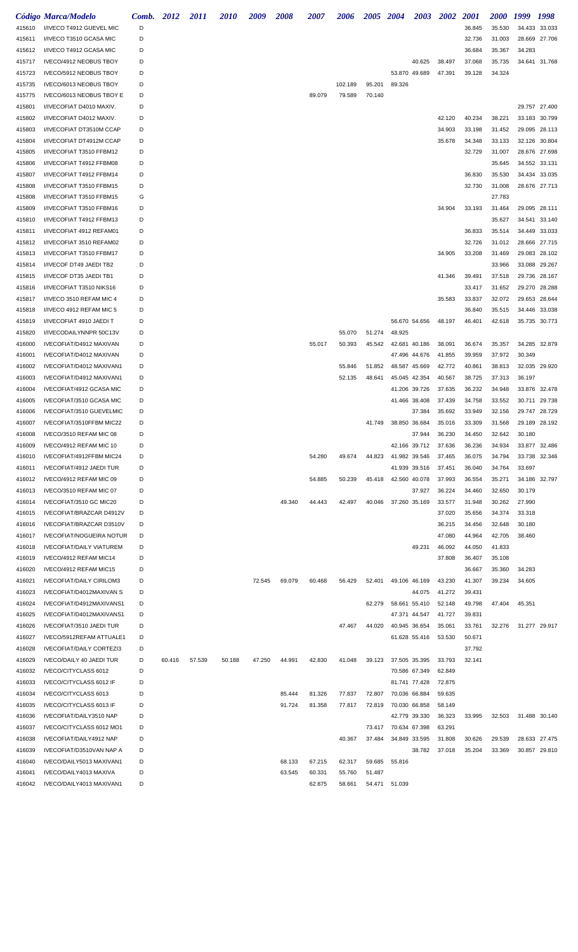|        | Código Marca/Modelo             | Comb. | 2012   | 2011   | <i>2010</i> | 2009   | 2008   | <i><b>2007</b></i> | 2006    | <b>2005</b> | 2004          | <b>2003</b> | <b>2002</b> | <i>2001</i> | <i><b>2000</b></i> | 1999          | 1998   |
|--------|---------------------------------|-------|--------|--------|-------------|--------|--------|--------------------|---------|-------------|---------------|-------------|-------------|-------------|--------------------|---------------|--------|
| 415610 | I/IVECO T4912 GUEVEL MIC        | D     |        |        |             |        |        |                    |         |             |               |             |             | 36.845      | 35.530             | 34.433 33.033 |        |
| 415611 | I/IVECO T3510 GCASA MIC         | D     |        |        |             |        |        |                    |         |             |               |             |             | 32.736      | 31.003             | 28.669 27.706 |        |
| 415612 | I/IVECO T4912 GCASA MIC         | D     |        |        |             |        |        |                    |         |             |               |             |             | 36.684      | 35.367             | 34.283        |        |
| 415717 | IVECO/4912 NEOBUS TBOY          | D     |        |        |             |        |        |                    |         |             |               | 40.625      | 38.497      | 37.068      | 35.735             | 34.641 31.768 |        |
| 415723 | IVECO/5912 NEOBUS TBOY          | D     |        |        |             |        |        |                    |         |             | 53.870 49.689 |             | 47.391      | 39.128      | 34.324             |               |        |
| 415735 | IVECO/6013 NEOBUS TBOY          | D     |        |        |             |        |        |                    | 102.189 | 95.201      | 89.326        |             |             |             |                    |               |        |
| 415775 | IVECO/6013 NEOBUS TBOY E        | D     |        |        |             |        |        | 89.079             | 79.589  | 70.140      |               |             |             |             |                    |               |        |
| 415801 | I/IVECOFIAT D4010 MAXIV.        | D     |        |        |             |        |        |                    |         |             |               |             |             |             |                    | 29.757 27.400 |        |
| 415802 | I/IVECOFIAT D4012 MAXIV.        | D     |        |        |             |        |        |                    |         |             |               |             | 42.120      | 40.234      | 38.221             | 33.183        | 30.799 |
| 415803 | I/IVECOFIAT DT3510M CCAP        | D     |        |        |             |        |        |                    |         |             |               |             | 34.903      | 33.198      | 31.452             | 29.095        | 28.113 |
| 415804 | I/IVECOFIAT DT4912M CCAP        | D     |        |        |             |        |        |                    |         |             |               |             | 35.678      | 34.348      | 33.133             | 32.126        | 30.804 |
|        |                                 |       |        |        |             |        |        |                    |         |             |               |             |             |             |                    |               |        |
| 415805 | I/IVECOFIAT T3510 FFBM12        | D     |        |        |             |        |        |                    |         |             |               |             |             | 32.729      | 31.007             | 28.676 27.698 |        |
| 415806 | I/IVECOFIAT T4912 FFBM08        | D     |        |        |             |        |        |                    |         |             |               |             |             |             | 35.645             | 34.552        | 33.131 |
| 415807 | I/IVECOFIAT T4912 FFBM14        | D     |        |        |             |        |        |                    |         |             |               |             |             | 36.830      | 35.530             | 34.434        | 33.035 |
| 415808 | I/IVECOFIAT T3510 FFBM15        | D     |        |        |             |        |        |                    |         |             |               |             |             | 32.730      | 31.008             | 28.676 27.713 |        |
| 415808 | I/IVECOFIAT T3510 FFBM15        | G     |        |        |             |        |        |                    |         |             |               |             |             |             | 27.783             |               |        |
| 415809 | I/IVECOFIAT T3510 FFBM16        | D     |        |        |             |        |        |                    |         |             |               |             | 34.904      | 33.193      | 31.464             | 29.095        | 28.111 |
| 415810 | I/IVECOFIAT T4912 FFBM13        | D     |        |        |             |        |        |                    |         |             |               |             |             |             | 35.627             | 34.541        | 33.140 |
| 415811 | I/IVECOFIAT 4912 REFAM01        | D     |        |        |             |        |        |                    |         |             |               |             |             | 36.833      | 35.514             | 34.449        | 33.033 |
| 415812 | I/IVECOFIAT 3510 REFAM02        | D     |        |        |             |        |        |                    |         |             |               |             |             | 32.726      | 31.012             | 28.666        | 27.715 |
| 415813 | I/IVECOFIAT T3510 FFBM17        | D     |        |        |             |        |        |                    |         |             |               |             | 34.905      | 33.208      | 31.469             | 29.083        | 28.102 |
| 415814 | I/IVECOF DT49 JAEDI TB2         | D     |        |        |             |        |        |                    |         |             |               |             |             |             | 33.966             | 33.088        | 29.267 |
| 415815 | I/IVECOF DT35 JAEDI TB1         | D     |        |        |             |        |        |                    |         |             |               |             | 41.346      | 39.491      | 37.518             | 29.736        | 28.167 |
| 415816 | I/IVECOFIAT T3510 NIKS16        | D     |        |        |             |        |        |                    |         |             |               |             |             | 33.417      | 31.652             | 29.270        | 28.288 |
| 415817 | I/IVECO 3510 REFAM MIC 4        | D     |        |        |             |        |        |                    |         |             |               |             | 35.583      | 33.837      | 32.072             | 29.653        | 28.644 |
| 415818 | I/IVECO 4912 REFAM MIC 5        | D     |        |        |             |        |        |                    |         |             |               |             |             | 36.840      | 35.515             | 34.446        | 33.038 |
| 415819 | I/IVECOFIAT 4910 JAEDI T        | D     |        |        |             |        |        |                    |         |             | 56.670 54.656 |             | 48.197      | 46.401      | 42.618             | 35.735 30.773 |        |
| 415820 | I/IVECODAILYNNPR 50C13V         | D     |        |        |             |        |        |                    | 55.070  | 51.274      | 48.925        |             |             |             |                    |               |        |
| 416000 | IVECOFIAT/D4912 MAXIVAN         | D     |        |        |             |        |        | 55.017             | 50.393  | 45.542      | 42.681 40.186 |             | 38.091      | 36.674      | 35.357             | 34.285 32.879 |        |
|        |                                 | D     |        |        |             |        |        |                    |         |             |               |             |             |             |                    |               |        |
| 416001 | IVECOFIAT/D4012 MAXIVAN         |       |        |        |             |        |        |                    |         |             | 47.496 44.676 |             | 41.855      | 39.959      | 37.972             | 30.349        |        |
| 416002 | IVECOFIAT/D4012 MAXIVAN1        | D     |        |        |             |        |        |                    | 55.846  | 51.852      | 48.587 45.669 |             | 42.772      | 40.861      | 38.813             | 32.035 29.920 |        |
| 416003 | IVECOFIAT/D4912 MAXIVAN1        | D     |        |        |             |        |        |                    | 52.135  | 48.641      | 45.045 42.354 |             | 40.567      | 38.725      | 37.313             | 36.197        |        |
| 416004 | IVECOFIAT/4912 GCASA MIC        | D     |        |        |             |        |        |                    |         |             | 41.206 39.726 |             | 37.635      | 36.232      | 34.948             | 33.876 32.478 |        |
| 416005 | IVECOFIAT/3510 GCASA MIC        | D     |        |        |             |        |        |                    |         |             | 41.466 38.408 |             | 37.439      | 34.758      | 33.552             | 30.711 29.738 |        |
| 416006 | IVECOFIAT/3510 GUEVELMIC        | D     |        |        |             |        |        |                    |         |             |               | 37.384      | 35.692      | 33.949      | 32.156             | 29.747 28.729 |        |
| 416007 | IVECOFIAT/3510FFBM MIC22        | D     |        |        |             |        |        |                    |         | 41.749      | 38.850 36.684 |             | 35.016      | 33.309      | 31.568             | 29.189 28.192 |        |
| 416008 | IVECO/3510 REFAM MIC 08         | D.    |        |        |             |        |        |                    |         |             |               | 37.944      | 36.230      | 34.450      | 32.642             | 30.180        |        |
| 416009 | IVECO/4912 REFAM MIC 10         | D     |        |        |             |        |        |                    |         |             | 42.166 39.712 |             | 37.636      | 36.236      | 34.934             | 33.877 32.486 |        |
| 416010 | IVECOFIAT/4912FFBM MIC24        | D     |        |        |             |        |        | 54.280             | 49.674  | 44.823      | 41.982 39.546 |             | 37.465      | 36.075      | 34.794             | 33.738 32.346 |        |
| 416011 | IVECOFIAT/4912 JAEDI TUR        | D     |        |        |             |        |        |                    |         |             | 41.939 39.516 |             | 37.451      | 36.040      | 34.764             | 33.697        |        |
| 416012 | IVECO/4912 REFAM MIC 09         | D     |        |        |             |        |        | 54.885             | 50.239  | 45.418      | 42.560 40.078 |             | 37.993      | 36.554      | 35.271             | 34.186 32.797 |        |
| 416013 | IVECO/3510 REFAM MIC 07         | D     |        |        |             |        |        |                    |         |             |               | 37.927      | 36.224      | 34.460      | 32.650             | 30.179        |        |
| 416014 | IVECOFIAT/3510 GC MIC20         | D     |        |        |             |        | 49.340 | 44.443             | 42.497  | 40.046      | 37.260 35.169 |             | 33.577      | 31.948      | 30.262             | 27.990        |        |
| 416015 | IVECOFIAT/BRAZCAR D4912V        | D     |        |        |             |        |        |                    |         |             |               |             | 37.020      | 35.656      | 34.374             | 33.318        |        |
| 416016 | IVECOFIAT/BRAZCAR D3510V        | D     |        |        |             |        |        |                    |         |             |               |             | 36.215      | 34.456      | 32.648             | 30.180        |        |
| 416017 | IVECOFIAT/NOGUEIRA NOTUR        | D     |        |        |             |        |        |                    |         |             |               |             | 47.080      | 44.964      | 42.705             | 38.460        |        |
| 416018 | <b>IVECOFIAT/DAILY VIATUREM</b> | D     |        |        |             |        |        |                    |         |             |               | 49.231      | 46.092      | 44.050      | 41.833             |               |        |
|        |                                 | D     |        |        |             |        |        |                    |         |             |               |             |             |             |                    |               |        |
| 416019 | IVECO/4912 REFAM MIC14          |       |        |        |             |        |        |                    |         |             |               |             | 37.808      | 36.407      | 35.108             |               |        |
| 416020 | IVECO/4912 REFAM MIC15          | D     |        |        |             |        |        |                    |         |             |               |             |             | 36.667      | 35.360             | 34.283        |        |
| 416021 | <b>IVECOFIAT/DAILY CIRILOM3</b> | D     |        |        |             | 72.545 | 69.079 | 60.468             | 56.429  | 52.401      | 49.106 46.169 |             | 43.230      | 41.307      | 39.234             | 34.605        |        |
| 416023 | IVECOFIAT/D4012MAXIVAN S        | D     |        |        |             |        |        |                    |         |             |               | 44.075      | 41.272      | 39.431      |                    |               |        |
| 416024 | IVECOFIAT/D4912MAXIVANS1        | D     |        |        |             |        |        |                    |         | 62.279      | 58.661 55.410 |             | 52.148      | 49.798      | 47.404             | 45.351        |        |
| 416025 | IVECOFIAT/D4012MAXIVANS1        | D     |        |        |             |        |        |                    |         |             | 47.371 44.547 |             | 41.727      | 39.831      |                    |               |        |
| 416026 | IVECOFIAT/3510 JAEDI TUR        | D     |        |        |             |        |        |                    | 47.467  | 44.020      | 40.945 36.654 |             | 35.061      | 33.761      | 32.276             | 31.277 29.917 |        |
| 416027 | IVECO/5912REFAM ATTUALE1        | D     |        |        |             |        |        |                    |         |             | 61.628 55.416 |             | 53.530      | 50.671      |                    |               |        |
| 416028 | <b>IVECOFIAT/DAILY CORTEZI3</b> | D     |        |        |             |        |        |                    |         |             |               |             |             | 37.792      |                    |               |        |
| 416029 | IVECO/DAILY 40 JAEDI TUR        | D     | 60.416 | 57.539 | 50.188      | 47.250 | 44.991 | 42.830             | 41.048  | 39.123      | 37.505 35.395 |             | 33.793      | 32.141      |                    |               |        |
| 416032 | IVECO/CITYCLASS 6012            | D     |        |        |             |        |        |                    |         |             | 70.586 67.349 |             | 62.849      |             |                    |               |        |
| 416033 | IVECO/CITYCLASS 6012 IF         | D     |        |        |             |        |        |                    |         |             | 81.741 77.428 |             | 72.875      |             |                    |               |        |
| 416034 | IVECO/CITYCLASS 6013            | D     |        |        |             |        | 85.444 | 81.326             | 77.837  | 72.807      | 70.036 66.884 |             | 59.635      |             |                    |               |        |
| 416035 | IVECO/CITYCLASS 6013 IF         | D     |        |        |             |        | 91.724 | 81.358             | 77.817  | 72.819      | 70.030 66.858 |             | 58.149      |             |                    |               |        |
| 416036 | IVECOFIAT/DAILY3510 NAP         | D     |        |        |             |        |        |                    |         |             | 42.779 39.330 |             | 36.323      | 33.995      | 32.503             | 31.488 30.140 |        |
| 416037 | IVECO/CITYCLASS 6012 MO1        | D     |        |        |             |        |        |                    |         | 73.417      | 70.634 67.398 |             | 63.291      |             |                    |               |        |
|        | IVECOFIAT/DAILY4912 NAP         | D     |        |        |             |        |        |                    | 40.367  |             | 34.849 33.595 |             |             |             | 29.539             | 28.633 27.475 |        |
| 416038 |                                 |       |        |        |             |        |        |                    |         | 37.484      |               |             | 31.808      | 30.626      |                    |               |        |
| 416039 | IVECOFIAT/D3510VAN NAP A        | D     |        |        |             |        |        |                    |         |             |               | 38.782      | 37.018      | 35.204      | 33.369             | 30.857 29.810 |        |
| 416040 | IVECO/DAILY5013 MAXIVAN1        | D     |        |        |             |        | 68.133 | 67.215             | 62.317  | 59.685      | 55.816        |             |             |             |                    |               |        |
| 416041 | IVECO/DAILY4013 MAXIVA          | D     |        |        |             |        | 63.545 | 60.331             | 55.760  | 51.487      |               |             |             |             |                    |               |        |
| 416042 | IVECO/DAILY4013 MAXIVAN1        | D     |        |        |             |        |        | 62.875             | 58.661  |             | 54.471 51.039 |             |             |             |                    |               |        |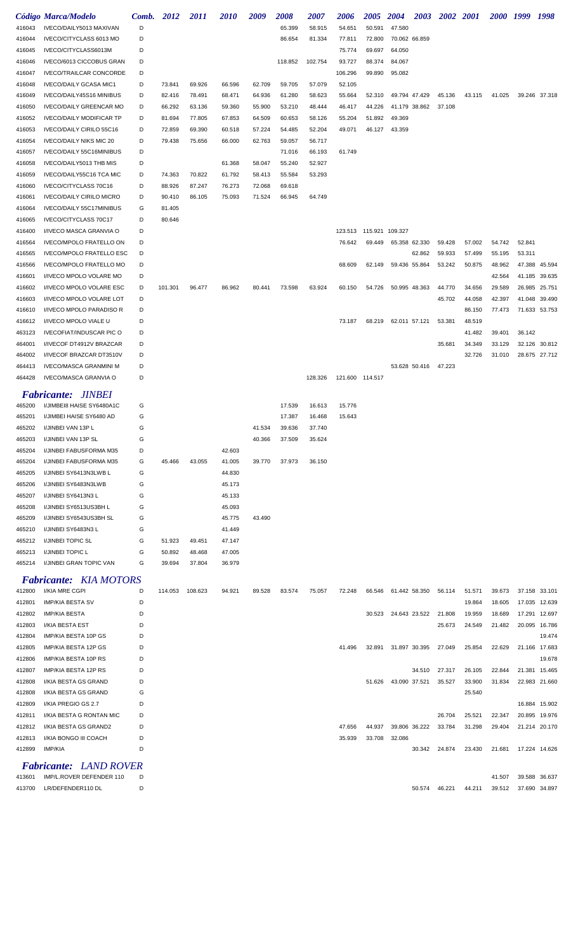|                  | Código Marca/Modelo                                         | Comb.  | 2012             | 2011             | <i>2010</i>      | 2009   | 2008    | 2007    | 2006            | <b>2005</b>               | <b>2004</b>   | 2003          | 2002 2001 |        | 2000 1999 |        | 1998          |
|------------------|-------------------------------------------------------------|--------|------------------|------------------|------------------|--------|---------|---------|-----------------|---------------------------|---------------|---------------|-----------|--------|-----------|--------|---------------|
| 416043           | IVECO/DAILY5013 MAXIVAN                                     | D      |                  |                  |                  |        | 65.399  | 58.915  | 54.651          | 50.591                    | 47.580        |               |           |        |           |        |               |
| 416044           | IVECO/CITYCLASS 6013 MO                                     | D      |                  |                  |                  |        | 86.654  | 81.334  | 77.811          | 72.800                    | 70.062 66.859 |               |           |        |           |        |               |
| 416045           | IVECO/CITYCLASS6013M                                        | D      |                  |                  |                  |        |         |         | 75.774          | 69.697                    | 64.050        |               |           |        |           |        |               |
| 416046           | IVECO/6013 CICCOBUS GRAN                                    | D      |                  |                  |                  |        | 118.852 | 102.754 | 93.727          | 88.374                    | 84.067        |               |           |        |           |        |               |
| 416047           | <b>IVECO/TRAILCAR CONCORDE</b>                              | D      |                  |                  |                  |        |         |         | 106.296         | 99.890                    | 95.082        |               |           |        |           |        |               |
| 416048           | <b>IVECO/DAILY GCASA MIC1</b>                               | D      | 73.841           | 69.926           | 66.596           | 62.709 | 59.705  | 57.079  | 52.105          |                           |               |               |           |        |           |        |               |
| 416049           | IVECO/DAILY45S16 MINIBUS                                    | D      | 82.416           | 78.491           | 68.471           | 64.936 | 61.280  | 58.623  | 55.664          | 52.310                    | 49.794 47.429 |               | 45.136    | 43.115 | 41.025    |        | 39.246 37.318 |
| 416050           | <b>IVECO/DAILY GREENCAR MO</b>                              | D      | 66.292           | 63.136           | 59.360           | 55.900 | 53.210  | 48.444  | 46.417          | 44.226                    |               | 41.179 38.862 | 37.108    |        |           |        |               |
| 416052           | <b>IVECO/DAILY MODIFICAR TP</b>                             | D      | 81.694           | 77.805           | 67.853           | 64.509 | 60.653  | 58.126  | 55.204          | 51.892                    | 49.369        |               |           |        |           |        |               |
| 416053           | IVECO/DAILY CIRILO 55C16                                    | D      | 72.859           | 69.390           | 60.518           | 57.224 | 54.485  | 52.204  | 49.071          | 46.127                    | 43.359        |               |           |        |           |        |               |
| 416054           | <b>IVECO/DAILY NIKS MIC 20</b>                              | D      | 79.438           | 75.656           | 66.000           | 62.763 | 59.057  | 56.717  |                 |                           |               |               |           |        |           |        |               |
| 416057           | IVECO/DAILY 55C16MINIBUS                                    | D      |                  |                  |                  |        | 71.016  | 66.193  | 61.749          |                           |               |               |           |        |           |        |               |
| 416058           | IVECO/DAILY5013 THB MIS                                     | D      |                  |                  | 61.368           | 58.047 | 55.240  | 52.927  |                 |                           |               |               |           |        |           |        |               |
| 416059           | IVECO/DAILY55C16 TCA MIC                                    | D      | 74.363           | 70.822           | 61.792           | 58.413 | 55.584  | 53.293  |                 |                           |               |               |           |        |           |        |               |
| 416060           | IVECO/CITYCLASS 70C16                                       | D<br>D | 88.926           | 87.247           | 76.273           | 72.068 | 69.618  |         |                 |                           |               |               |           |        |           |        |               |
| 416061<br>416064 | <b>IVECO/DAILY CIRILO MICRO</b><br>IVECO/DAILY 55C17MINIBUS | G      | 90.410<br>81.405 | 86.105           | 75.093           | 71.524 | 66.945  | 64.749  |                 |                           |               |               |           |        |           |        |               |
| 416065           | IVECO/CITYCLASS 70C17                                       | D      | 80.646           |                  |                  |        |         |         |                 |                           |               |               |           |        |           |        |               |
| 416400           | I/IVECO MASCA GRANVIA O                                     | D      |                  |                  |                  |        |         |         |                 | 123.513  115.921  109.327 |               |               |           |        |           |        |               |
| 416564           | <b>IVECO/MPOLO FRATELLO ON</b>                              | D      |                  |                  |                  |        |         |         | 76.642          | 69.449                    | 65.358 62.330 |               | 59.428    | 57.002 | 54.742    | 52.841 |               |
| 416565           | <b>IVECO/MPOLO FRATELLO ESC</b>                             | D      |                  |                  |                  |        |         |         |                 |                           |               | 62.862        | 59.933    | 57.499 | 55.195    | 53.311 |               |
| 416566           | <b>IVECO/MPOLO FRATELLO MO</b>                              | D      |                  |                  |                  |        |         |         | 68.609          | 62.149                    | 59.436 55.864 |               | 53.242    | 50.875 | 48.962    |        | 47.388 45.594 |
| 416601           | I/IVECO MPOLO VOLARE MO                                     | D      |                  |                  |                  |        |         |         |                 |                           |               |               |           |        | 42.564    | 41.185 | 39.635        |
| 416602           | I/IVECO MPOLO VOLARE ESC                                    | D      | 101.301          | 96.477           | 86.962           | 80.441 | 73.598  | 63.924  | 60.150          | 54.726                    | 50.995 48.363 |               | 44.770    | 34.656 | 29.589    | 26.985 | 25.751        |
| 416603           | I/IVECO MPOLO VOLARE LOT                                    | D      |                  |                  |                  |        |         |         |                 |                           |               |               | 45.702    | 44.058 | 42.397    | 41.048 | 39.490        |
| 416610           | I/IVECO MPOLO PARADISO R                                    | D      |                  |                  |                  |        |         |         |                 |                           |               |               |           | 86.150 | 77.473    |        | 71.633 53.753 |
| 416612           | I/IVECO MPOLO VIALE U                                       | D      |                  |                  |                  |        |         |         | 73.187          | 68.219                    | 62.011 57.121 |               | 53.381    | 48.519 |           |        |               |
| 463123           | <b>IVECOFIAT/INDUSCAR PIC O</b>                             | D      |                  |                  |                  |        |         |         |                 |                           |               |               |           | 41.482 | 39.401    | 36.142 |               |
| 464001           | I/IVECOF DT4912V BRAZCAR                                    | D      |                  |                  |                  |        |         |         |                 |                           |               |               | 35.681    | 34.349 | 33.129    |        | 32.126 30.812 |
| 464002           | I/IVECOF BRAZCAR DT3510V                                    | D      |                  |                  |                  |        |         |         |                 |                           |               |               |           | 32.726 | 31.010    |        | 28.675 27.712 |
| 464413           | <b>IVECO/MASCA GRANMINI M</b>                               | D      |                  |                  |                  |        |         |         |                 |                           |               | 53.628 50.416 | 47.223    |        |           |        |               |
| 464428           | <b>IVECO/MASCA GRANVIA O</b>                                | D      |                  |                  |                  |        |         | 128.326 | 121.600 114.517 |                           |               |               |           |        |           |        |               |
|                  |                                                             |        |                  |                  |                  |        |         |         |                 |                           |               |               |           |        |           |        |               |
|                  | <b>Fabricante: JINBEI</b>                                   |        |                  |                  |                  |        |         |         |                 |                           |               |               |           |        |           |        |               |
| 465200           | I/JIMBEI8 HAISE SY6480A1C                                   | G      |                  |                  |                  |        | 17.539  | 16.613  | 15.776          |                           |               |               |           |        |           |        |               |
| 465201           | I/JIMBEI HAISE SY6480 AD                                    | G      |                  |                  |                  |        | 17.387  | 16.468  | 15.643          |                           |               |               |           |        |           |        |               |
| 465202           | I/JINBEI VAN 13P L                                          | G      |                  |                  |                  | 41.534 | 39.636  | 37.740  |                 |                           |               |               |           |        |           |        |               |
| 465203           | I/JINBEI VAN 13P SL                                         | G      |                  |                  |                  | 40.366 | 37.509  | 35.624  |                 |                           |               |               |           |        |           |        |               |
| 465204           | I/JINBEI FABUSFORMA M35                                     | D      |                  |                  | 42.603           |        |         |         |                 |                           |               |               |           |        |           |        |               |
| 465204           | I/JINBEI FABUSFORMA M35                                     | G      | 45.466           | 43.055           | 41.005           | 39.770 | 37.973  | 36.150  |                 |                           |               |               |           |        |           |        |               |
| 465205           | I/JINBEI SY6413N3LWB L                                      | G      |                  |                  | 44.830           |        |         |         |                 |                           |               |               |           |        |           |        |               |
| 465206           | I/JINBEI SY6483N3LWB                                        | G      |                  |                  | 45.173           |        |         |         |                 |                           |               |               |           |        |           |        |               |
| 465207           | I/JINBEI SY6413N3 L                                         | G      |                  |                  | 45.133           |        |         |         |                 |                           |               |               |           |        |           |        |               |
| 465208           | I/JINBEI SY6513US3BH L                                      | G      |                  |                  | 45.093           |        |         |         |                 |                           |               |               |           |        |           |        |               |
| 465209           | I/JINBEI SY6543US3BH SL                                     | G      |                  |                  | 45.775           | 43.490 |         |         |                 |                           |               |               |           |        |           |        |               |
| 465210           | I/JINBEI SY6483N3 L                                         | G      |                  |                  | 41.449           |        |         |         |                 |                           |               |               |           |        |           |        |               |
| 465212           | I/JINBEI TOPIC SL                                           | G<br>G | 51.923           | 49.451           | 47.147           |        |         |         |                 |                           |               |               |           |        |           |        |               |
| 465213<br>465214 | I/JINBEI TOPIC L<br>I/JINBEI GRAN TOPIC VAN                 | G      | 50.892<br>39.694 | 48.468<br>37.804 | 47.005<br>36.979 |        |         |         |                 |                           |               |               |           |        |           |        |               |
|                  |                                                             |        |                  |                  |                  |        |         |         |                 |                           |               |               |           |        |           |        |               |
|                  | <b>Fabricante:</b> KIA MOTORS                               |        |                  |                  |                  |        |         |         |                 |                           |               |               |           |        |           |        |               |
| 412800           | I/KIA MRE CGPI                                              | D      | 114.053          | 108.623          | 94.921           | 89.528 | 83.574  | 75.057  | 72.248          | 66.546                    | 61.442 58.350 |               | 56.114    | 51.571 | 39.673    |        | 37.158 33.101 |
| 412801           | <b>IMP/KIA BESTA SV</b>                                     | D      |                  |                  |                  |        |         |         |                 |                           |               |               |           | 19.864 | 18.605    |        | 17.035 12.639 |
| 412802           | <b>IMP/KIA BESTA</b>                                        | D      |                  |                  |                  |        |         |         |                 | 30.523                    | 24.643 23.522 |               | 21.808    | 19.959 | 18.689    | 17.291 | 12.697        |
| 412803           | I/KIA BESTA EST                                             | D      |                  |                  |                  |        |         |         |                 |                           |               |               | 25.673    | 24.549 | 21.482    | 20.095 | 16.786        |
| 412804           | IMP/KIA BESTA 10P GS                                        | D      |                  |                  |                  |        |         |         |                 |                           |               |               |           |        |           |        | 19.474        |
| 412805           | IMP/KIA BESTA 12P GS                                        | D      |                  |                  |                  |        |         |         | 41.496          | 32.891                    | 31.897 30.395 |               | 27.049    | 25.854 | 22.629    |        | 21.166 17.683 |
| 412806           | IMP/KIA BESTA 10P RS                                        | D      |                  |                  |                  |        |         |         |                 |                           |               |               |           |        |           |        | 19.678        |
| 412807           | IMP/KIA BESTA 12P RS                                        | D      |                  |                  |                  |        |         |         |                 |                           |               | 34.510        | 27.317    | 26.105 | 22.844    |        | 21.381 15.465 |
| 412808           | I/KIA BESTA GS GRAND                                        | D      |                  |                  |                  |        |         |         |                 | 51.626                    | 43.090 37.521 |               | 35.527    | 33.900 | 31.834    |        | 22.983 21.660 |
| 412808           | I/KIA BESTA GS GRAND                                        | G      |                  |                  |                  |        |         |         |                 |                           |               |               |           | 25.540 |           |        |               |
| 412809           | I/KIA PREGIO GS 2.7                                         | D      |                  |                  |                  |        |         |         |                 |                           |               |               |           |        |           |        | 16.884 15.902 |
| 412811           | I/KIA BESTA G RONTAN MIC                                    | D      |                  |                  |                  |        |         |         |                 |                           |               |               | 26.704    | 25.521 | 22.347    | 20.895 | 19.976        |
| 412812           | I/KIA BESTA GS GRAND2                                       | D      |                  |                  |                  |        |         |         | 47.656          | 44.937                    | 39.806 36.222 |               | 33.784    | 31.298 | 29.404    |        | 21.214 20.170 |
| 412813           | I/KIA BONGO III COACH                                       | D      |                  |                  |                  |        |         |         | 35.939          | 33.708                    | 32.086        |               |           |        |           |        |               |
| 412899           | IMP/KIA                                                     | D      |                  |                  |                  |        |         |         |                 |                           |               | 30.342        | 24.874    | 23.430 | 21.681    |        | 17.224 14.626 |
|                  | <b>Fabricante:</b> LAND ROVER                               |        |                  |                  |                  |        |         |         |                 |                           |               |               |           |        |           |        |               |
| 413601           | IMP/L.ROVER DEFENDER 110                                    | D      |                  |                  |                  |        |         |         |                 |                           |               |               |           |        | 41.507    | 39.588 | 36.637        |
| 413700           | LR/DEFENDER110 DL                                           | D      |                  |                  |                  |        |         |         |                 |                           |               | 50.574        | 46.221    | 44.211 | 39.512    |        | 37.690 34.897 |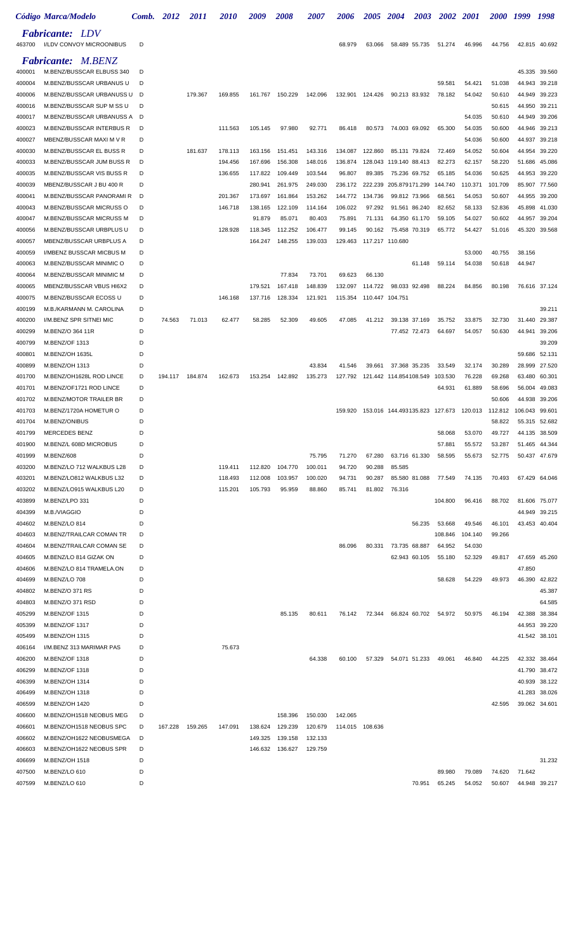|                  | Código Marca/Modelo                                  |        | Comb. 2012 | 2011    | <i><b>2010</b></i> | 2009              | <i><b>2008</b></i> | <i><b>2007</b></i> | <i><b>2006</b></i> | <i><b>2005</b></i> | 2004                               | 2003          |                  | 2002 2001        | <i><b>2000</b></i> | 1999             | 1998             |
|------------------|------------------------------------------------------|--------|------------|---------|--------------------|-------------------|--------------------|--------------------|--------------------|--------------------|------------------------------------|---------------|------------------|------------------|--------------------|------------------|------------------|
| 463700           | <b>Fabricante: LDV</b><br>I/LDV CONVOY MICROONIBUS   | D      |            |         |                    |                   |                    |                    | 68.979             | 63.066             | 58.489 55.735                      |               | 51.274           | 46.996           | 44.756             |                  | 42.815 40.692    |
|                  | <b>Fabricante: M.BENZ</b>                            |        |            |         |                    |                   |                    |                    |                    |                    |                                    |               |                  |                  |                    |                  |                  |
| 400001           | M.BENZ/BUSSCAR ELBUSS 340                            | D      |            |         |                    |                   |                    |                    |                    |                    |                                    |               |                  |                  |                    | 45.335           | 39.560           |
| 400004           | M.BENZ/BUSSCAR URBANUS U                             | D      |            |         |                    |                   |                    |                    |                    |                    |                                    |               | 59.581           | 54.421           | 51.038             | 44.943           | 39.218           |
| 400006           | M.BENZ/BUSSCAR URBANUSS U                            | D      |            | 179.367 | 169.855            | 161.767           | 150.229            | 142.096            | 132.901            | 124.426            | 90.213 83.932                      |               | 78.182           | 54.042           | 50.610             | 44.949           | 39.223           |
| 400016           | M.BENZ/BUSSCAR SUP M SS U                            | D      |            |         |                    |                   |                    |                    |                    |                    |                                    |               |                  |                  | 50.615             | 44.950           | 39.211           |
| 400017           | M.BENZ/BUSSCAR URBANUSS A                            | D      |            |         |                    |                   |                    |                    |                    |                    |                                    |               |                  | 54.035           | 50.610             | 44.949           | 39.206           |
| 400023           | M.BENZ/BUSSCAR INTERBUS R                            | D      |            |         | 111.563            | 105.145           | 97.980             | 92.771             | 86.418             | 80.573             | 74.003 69.092                      |               | 65.300           | 54.035           | 50.600             | 44.946           | 39.213           |
| 400027           | MBENZ/BUSSCAR MAXI M V R                             | D      |            |         |                    |                   |                    |                    |                    |                    |                                    |               |                  | 54.036           | 50.600             | 44.937           | 39.218           |
| 400030           | M.BENZ/BUSSCAR EL BUSS R                             | D      |            | 181.637 | 178.113            | 163.156           | 151.451            | 143.316            | 134.087            | 122.860            | 85.131 79.824                      |               | 72.469           | 54.052           | 50.604             | 44.954           | 39.220           |
| 400033           | M.BENZ/BUSSCAR JUM BUSS R                            | D      |            |         | 194.456            | 167.696           | 156.308            | 148.016            | 136.874            |                    | 128.043 119.140 88.413             |               | 82.273           | 62.157           | 58.220             | 51.686           | 45.086           |
| 400035           | M.BENZ/BUSSCAR VIS BUSS R                            | D      |            |         | 136.655            | 117.822           | 109.449            | 103.544            | 96.807             | 89.385             | 75.236 69.752                      |               | 65.185           | 54.036           | 50.625             | 44.953           | 39.220           |
| 400039           | MBENZ/BUSSCAR J BU 400 R                             | D      |            |         |                    | 280.941           | 261.975            | 249.030            | 236.172            |                    | 222.239 205.879171.299             |               | 144.740          | 110.371          | 101.709            | 85.907           | 77.560           |
| 400041           | M.BENZ/BUSSCAR PANORAMI R                            | D      |            |         | 201.367            | 173.697           | 161.864            | 153.262            | 144.772            | 134.736            | 99.812 73.966                      |               | 68.561           | 54.053           | 50.607             | 44.955           | 39.200           |
| 400043           | M.BENZ/BUSSCAR MICRUSS O                             | D<br>D |            |         | 146.718            | 138.165<br>91.879 | 122.109<br>85.071  | 114.164<br>80.403  | 106.022<br>75.891  | 97.292             | 91.561 86.240                      |               | 82.652<br>59.105 | 58.133<br>54.027 | 52.836<br>50.602   | 45.898           | 41.030           |
| 400047<br>400056 | M.BENZ/BUSSCAR MICRUSS M<br>M.BENZ/BUSSCAR URBPLUS U | D      |            |         | 128.928            | 118.345           | 112.252            | 106.477            | 99.145             | 71.131<br>90.162   | 64.350 61.170<br>75.458 70.319     |               | 65.772           | 54.427           | 51.016             | 44.957<br>45.320 | 39.204<br>39.568 |
| 400057           | MBENZ/BUSSCAR URBPLUS A                              | D      |            |         |                    | 164.247           | 148.255            | 139.033            | 129.463            | 117.217 110.680    |                                    |               |                  |                  |                    |                  |                  |
| 400059           | I/MBENZ BUSSCAR MICBUS M                             | D      |            |         |                    |                   |                    |                    |                    |                    |                                    |               |                  | 53.000           | 40.755             | 38.156           |                  |
| 400063           | M.BENZ/BUSSCAR MINIMIC O                             | D      |            |         |                    |                   |                    |                    |                    |                    |                                    | 61.148        | 59.114           | 54.038           | 50.618             | 44.947           |                  |
| 400064           | M.BENZ/BUSSCAR MINIMIC M                             | D      |            |         |                    |                   | 77.834             | 73.701             | 69.623             | 66.130             |                                    |               |                  |                  |                    |                  |                  |
| 400065           | MBENZ/BUSSCAR VBUS HI6X2                             | D      |            |         |                    | 179.521           | 167.418            | 148.839            | 132.097            | 114.722            |                                    | 98.033 92.498 | 88.224           | 84.856           | 80.198             |                  | 76.616 37.124    |
| 400075           | M.BENZ/BUSSCAR ECOSS U                               | D      |            |         | 146.168            | 137.716           | 128.334            | 121.921            | 115.354            | 110.447 104.751    |                                    |               |                  |                  |                    |                  |                  |
| 400199           | M.B./KARMANN M. CAROLINA                             | D      |            |         |                    |                   |                    |                    |                    |                    |                                    |               |                  |                  |                    |                  | 39.211           |
| 400200           | I/M.BENZ SPR SITNEI MIC                              | D      | 74.563     | 71.013  | 62.477             | 58.285            | 52.309             | 49.605             | 47.085             | 41.212             | 39.138 37.169                      |               | 35.752           | 33.875           | 32.730             | 31.440           | 29.387           |
| 400299           | M.BENZ/O 364 11R                                     | D      |            |         |                    |                   |                    |                    |                    |                    |                                    | 77.452 72.473 | 64.697           | 54.057           | 50.630             | 44.941           | 39.206           |
| 400799           | M.BENZ/OF 1313                                       | D      |            |         |                    |                   |                    |                    |                    |                    |                                    |               |                  |                  |                    |                  | 39.209           |
| 400801           | M.BENZ/OH 1635L                                      | D      |            |         |                    |                   |                    |                    |                    |                    |                                    |               |                  |                  |                    | 59.686           | 52.131           |
| 400899           | M.BENZ/OH 1313                                       | D      |            |         |                    |                   |                    | 43.834             | 41.546             | 39.661             | 37.368 35.235                      |               | 33.549           | 32.174           | 30.289             | 28.999           | 27.520           |
| 401700           | M.BENZ/OH1628L ROD LINCE                             | D      | 194.117    | 184.874 | 162.673            | 153.254           | 142.892            | 135.273            |                    |                    | 127.792  121.442  114.854  108.549 |               | 103.530          | 76.228           | 69.268             | 63.480           | 60.301           |
| 401701           | M.BENZ/OF1721 ROD LINCE                              | D      |            |         |                    |                   |                    |                    |                    |                    |                                    |               | 64.931           | 61.889           | 58.696             | 56.004           | 49.083           |
| 401702           | M.BENZ/MOTOR TRAILER BR                              | D      |            |         |                    |                   |                    |                    |                    |                    |                                    |               |                  |                  | 50.606             | 44.938           | 39.206           |
| 401703           | M.BENZ/1720A HOMETUR O                               | D      |            |         |                    |                   |                    |                    | 159.920            |                    | 153.016 144.493135.823 127.673     |               |                  | 120.013          | 112.812            | 106.043          | 99.601           |
| 401704           | M.BENZ/ONIBUS                                        | D      |            |         |                    |                   |                    |                    |                    |                    |                                    |               |                  |                  | 58.822             |                  | 55.315 52.682    |
| 401799           | MERCEDES BENZ                                        | D      |            |         |                    |                   |                    |                    |                    |                    |                                    |               | 58.068           | 53.070           | 49.727             |                  | 44.135 38.509    |
| 401900           | M.BENZ/L 608D MICROBUS                               | D      |            |         |                    |                   |                    |                    |                    |                    |                                    |               | 57.881           | 55.572           | 53.287             |                  | 51.465 44.344    |
| 401999           | M.BENZ/608                                           | D      |            |         |                    |                   |                    | 75.795             | 71.270             | 67.280             | 63.716 61.330                      |               | 58.595           | 55.673           | 52.775             |                  | 50.437 47.679    |
| 403200           | M.BENZ/LO 712 WALKBUS L28                            | D      |            |         | 119.411            | 112.820           | 104.770            | 100.011            | 94.720             | 90.288             | 85.585                             |               |                  |                  |                    |                  |                  |
| 403201           | M.BENZ/LO812 WALKBUS L32                             | D      |            |         | 118.493            | 112.008           | 103.957            | 100.020            | 94.731             | 90.287             |                                    | 85.580 81.088 | 77.549           | 74.135           | 70.493             |                  | 67.429 64.046    |
| 403202           | M.BENZ/LO915 WALKBUS L20                             | D      |            |         | 115.201            | 105.793           | 95.959             | 88.860             | 85.741             | 81.802             | 76.316                             |               |                  |                  |                    |                  |                  |
| 403899           | M.BENZ/LPO 331                                       | D      |            |         |                    |                   |                    |                    |                    |                    |                                    |               | 104.800          | 96.416           | 88.702             |                  | 81.606 75.077    |
| 404399           | M.B./VIAGGIO                                         | D      |            |         |                    |                   |                    |                    |                    |                    |                                    |               |                  |                  |                    |                  | 44.949 39.215    |
| 404602           | M.BENZ/LO 814                                        | D      |            |         |                    |                   |                    |                    |                    |                    |                                    | 56.235        | 53.668           | 49.546           | 46.101             |                  | 43.453 40.404    |
| 404603           | M.BENZ/TRAILCAR COMAN TR                             | D<br>D |            |         |                    |                   |                    |                    |                    |                    |                                    |               | 108.846          | 104.140          | 99.266             |                  |                  |
| 404604<br>404605 | M.BENZ/TRAILCAR COMAN SE<br>M.BENZ/LO 814 GIZAK ON   | D      |            |         |                    |                   |                    |                    | 86.096             | 80.331             | 73.735 68.887                      | 62.943 60.105 | 64.952<br>55.180 | 54.030<br>52.329 | 49.817             |                  | 47.659 45.260    |
| 404606           | M.BENZ/LO 814 TRAMELA.ON                             | D      |            |         |                    |                   |                    |                    |                    |                    |                                    |               |                  |                  |                    | 47.850           |                  |
| 404699           | M.BENZ/LO 708                                        | D      |            |         |                    |                   |                    |                    |                    |                    |                                    |               | 58.628           | 54.229           | 49.973             | 46.390           | 42.822           |
| 404802           | M.BENZ/O 371 RS                                      | D      |            |         |                    |                   |                    |                    |                    |                    |                                    |               |                  |                  |                    |                  | 45.387           |
| 404803           | M.BENZ/O 371 RSD                                     | D      |            |         |                    |                   |                    |                    |                    |                    |                                    |               |                  |                  |                    |                  | 64.585           |
| 405299           | M.BENZ/OF 1315                                       | D      |            |         |                    |                   | 85.135             | 80.611             | 76.142             |                    | 72.344 66.824 60.702               |               | 54.972           | 50.975           | 46.194             | 42.388           | 38.384           |
| 405399           | M.BENZ/OF 1317                                       | D      |            |         |                    |                   |                    |                    |                    |                    |                                    |               |                  |                  |                    |                  | 44.953 39.220    |
| 405499           | M.BENZ/OH 1315                                       | D      |            |         |                    |                   |                    |                    |                    |                    |                                    |               |                  |                  |                    |                  | 41.542 38.101    |
| 406164           | I/M.BENZ 313 MARIMAR PAS                             | D      |            |         | 75.673             |                   |                    |                    |                    |                    |                                    |               |                  |                  |                    |                  |                  |
| 406200           | M.BENZ/OF 1318                                       | D      |            |         |                    |                   |                    | 64.338             | 60.100             |                    | 57.329  54.071  51.233             |               | 49.061           | 46.840           | 44.225             |                  | 42.332 38.464    |
| 406299           | M.BENZ/OF 1318                                       | D      |            |         |                    |                   |                    |                    |                    |                    |                                    |               |                  |                  |                    |                  | 41.790 38.472    |
| 406399           | M.BENZ/OH 1314                                       | D      |            |         |                    |                   |                    |                    |                    |                    |                                    |               |                  |                  |                    |                  | 40.939 38.122    |
| 406499           | M.BENZ/OH 1318                                       | D      |            |         |                    |                   |                    |                    |                    |                    |                                    |               |                  |                  |                    |                  | 41.283 38.026    |
| 406599           | M.BENZ/OH 1420                                       | D      |            |         |                    |                   |                    |                    |                    |                    |                                    |               |                  |                  | 42.595             |                  | 39.062 34.601    |
| 406600           | M.BENZ/OH1518 NEOBUS MEG                             | D      |            |         |                    |                   | 158.396            | 150.030            | 142.065            |                    |                                    |               |                  |                  |                    |                  |                  |
| 406601           | M.BENZ/OH1518 NEOBUS SPC                             | D      | 167.228    | 159.265 | 147.091            | 138.624           | 129.239            | 120.679            |                    | 114.015 108.636    |                                    |               |                  |                  |                    |                  |                  |
| 406602           | M.BENZ/OH1622 NEOBUSMEGA                             | D      |            |         |                    | 149.325           | 139.158            | 132.133            |                    |                    |                                    |               |                  |                  |                    |                  |                  |
| 406603           | M.BENZ/OH1622 NEOBUS SPR                             | D      |            |         |                    |                   | 146.632 136.627    | 129.759            |                    |                    |                                    |               |                  |                  |                    |                  |                  |
| 406699           | M.BENZ/OH 1518                                       | D      |            |         |                    |                   |                    |                    |                    |                    |                                    |               |                  |                  |                    |                  | 31.232           |
| 407500           | M.BENZ/LO 610                                        | D      |            |         |                    |                   |                    |                    |                    |                    |                                    |               | 89.980           | 79.089           | 74.620             | 71.642           |                  |
| 407599           | M.BENZ/LO 610                                        | D      |            |         |                    |                   |                    |                    |                    |                    |                                    | 70.951        | 65.245           | 54.052           | 50.607             |                  | 44.948 39.217    |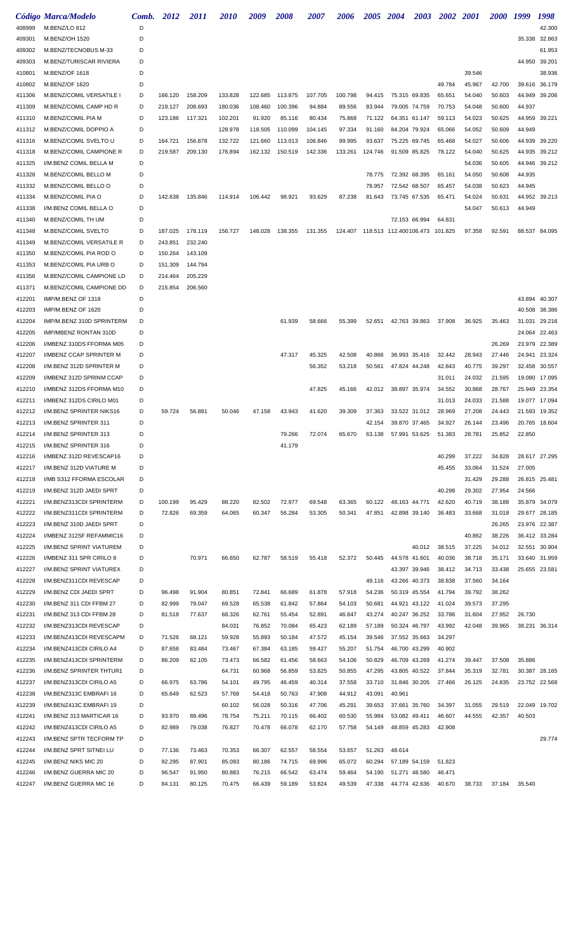|                  | Código Marca/Modelo                                  | Comb.  | 2012             | 2011             | <i>2010</i> | 2009             | <i><b>2008</b></i> | <i><b>2007</b></i> | 2006    | 2005 2004                                 |               | <b>2003</b>   | <b>2002</b>      | <i>2001</i>      | <i><b>2000</b></i> | 1999   | 1998          |
|------------------|------------------------------------------------------|--------|------------------|------------------|-------------|------------------|--------------------|--------------------|---------|-------------------------------------------|---------------|---------------|------------------|------------------|--------------------|--------|---------------|
| 408999           | M.BENZ/LO 812                                        | D      |                  |                  |             |                  |                    |                    |         |                                           |               |               |                  |                  |                    |        | 42.300        |
| 409301           | M.BENZ/OH 1520                                       | D      |                  |                  |             |                  |                    |                    |         |                                           |               |               |                  |                  |                    |        | 35.338 32.863 |
| 409302           | M.BENZ/TECNOBUS M-33                                 | D      |                  |                  |             |                  |                    |                    |         |                                           |               |               |                  |                  |                    |        | 61.953        |
| 409303           | M.BENZ/TURISCAR RIVIERA                              | D      |                  |                  |             |                  |                    |                    |         |                                           |               |               |                  |                  |                    | 44.950 | 39.201        |
| 410801           | M.BENZ/OF 1618                                       | D      |                  |                  |             |                  |                    |                    |         |                                           |               |               |                  | 39.546           |                    |        | 38.936        |
| 410802           | M.BENZ/OF 1620                                       | D      |                  |                  |             |                  |                    |                    |         |                                           |               |               | 49.784           | 45.967           | 42.700             | 39.616 | 36.179        |
| 411306           | M.BENZ/COMIL VERSATILE I                             | D      | 166.120          | 158.209          | 133.828     | 122.685          | 113.875            | 107.705            | 100.798 | 94.415                                    | 75.315 69.835 |               | 65.651           | 54.040           | 50.603             | 44.949 | 39.206        |
| 411309           | M.BENZ/COMIL CAMP HD R                               | D      | 219.127          | 208.693          | 180.036     | 108.460          | 100.396            | 94.884             | 89.556  | 83.944                                    | 79.005 74.759 |               | 70.753           | 54.048           | 50.600             | 44.937 |               |
| 411310           | M.BENZ/COMIL PIA M                                   | D      | 123.186          | 117.321          | 102.201     | 91.920           | 85.116             | 80.434             | 75.868  | 71.122                                    | 64.351 61.147 |               | 59.113           | 54.023           | 50.625             | 44.959 | 39.221        |
| 411312           | M.BENZ/COMIL DOPPIO A                                | D      |                  |                  | 128.978     | 118.505          | 110.099            | 104.145            | 97.334  | 91.160                                    | 84.204 79.924 |               | 65.066           | 54.052           | 50.609             | 44.949 |               |
| 411316           | M.BENZ/COMIL SVELTO U                                | D      | 164.721          | 156.878          | 132.722     | 121.660          | 113.013            | 106.846            | 99.995  | 93.637                                    | 75.225 69.745 |               | 65.468           | 54.027           | 50.606             | 44.939 | 39.220        |
| 411318           | M.BENZ/COMIL CAMPIONE R                              | D      | 219.587          | 209.130          | 176.894     | 162.132          | 150.519            | 142.336            | 133.261 | 124.746                                   | 91.509 85.825 |               | 78.122           | 54.040           | 50.625             | 44.935 | 39.212        |
| 411325           | I/M.BENZ COMIL BELLA M                               | D      |                  |                  |             |                  |                    |                    |         |                                           |               |               |                  | 54.036           | 50.605             | 44.946 | 39.212        |
| 411328           | M.BENZ/COMIL BELLO M                                 | D      |                  |                  |             |                  |                    |                    |         | 78.775                                    | 72.392 68.395 |               | 65.161           | 54.050           | 50.608             | 44.935 |               |
| 411332           | M.BENZ/COMIL BELLO O                                 | D      |                  |                  |             |                  |                    |                    |         | 78.957                                    | 72.542 68.507 |               | 65.457           | 54.038           | 50.623             | 44.945 |               |
| 411334<br>411338 | M.BENZ/COMIL PIA O<br>I/M.BENZ COMIL BELLA O         | D<br>D | 142.638          | 135.846          | 114.914     | 106.442          | 98.921             | 93.629             | 87.238  | 81.643                                    | 73.745 67.535 |               | 65.471           | 54.024<br>54.047 | 50.631<br>50.613   | 44.949 | 44.952 39.213 |
| 411340           | M.BENZ/COMIL TH UM                                   | D      |                  |                  |             |                  |                    |                    |         |                                           | 72.153 66.994 |               | 64.831           |                  |                    |        |               |
| 411348           | M.BENZ/COMIL SVELTO                                  | D      | 187.025          | 178.119          | 156.727     | 148.028          | 138.355            | 131.355            |         | 124.407  118.513  112.400106.473  101.825 |               |               |                  | 97.358           | 92.591             | 88.537 | 84.095        |
| 411349           | M.BENZ/COMIL VERSATILE R                             | D      | 243.851          | 232.240          |             |                  |                    |                    |         |                                           |               |               |                  |                  |                    |        |               |
| 411350           | M.BENZ/COMIL PIA ROD O                               | D      | 150.264          | 143.109          |             |                  |                    |                    |         |                                           |               |               |                  |                  |                    |        |               |
| 411353           | M.BENZ/COMIL PIA URB O                               | D      | 151.309          | 144.794          |             |                  |                    |                    |         |                                           |               |               |                  |                  |                    |        |               |
| 411356           | M.BENZ/COMIL CAMPIONE LD                             | D      | 214.464          | 205.229          |             |                  |                    |                    |         |                                           |               |               |                  |                  |                    |        |               |
| 411371           | M.BENZ/COMIL CAMPIONE DD                             | D      | 215.854          | 206.560          |             |                  |                    |                    |         |                                           |               |               |                  |                  |                    |        |               |
| 412201           | IMP/M.BENZ OF 1318                                   | D      |                  |                  |             |                  |                    |                    |         |                                           |               |               |                  |                  |                    | 43.894 | 40.307        |
| 412203           | IMP/M.BENZ OF 1620                                   | D      |                  |                  |             |                  |                    |                    |         |                                           |               |               |                  |                  |                    | 40.508 | 38.386        |
| 412204           | IMP/M.BENZ 310D SPRINTERM                            | D      |                  |                  |             |                  | 61.939             | 58.666             | 55.399  | 52.651                                    | 42.763 39.863 |               | 37.908           | 36.925           | 35.463             | 31.031 | 29.216        |
| 412205           | IMP/MBENZ RONTAN 310D                                | D      |                  |                  |             |                  |                    |                    |         |                                           |               |               |                  |                  |                    | 24.064 | 22.463        |
| 412206           | I/MBENZ 310DS FFORMA M05                             | D      |                  |                  |             |                  |                    |                    |         |                                           |               |               |                  |                  | 26.269             | 23.979 | 22.389        |
| 412207           | I/MBENZ CCAP SPRINTER M                              | D      |                  |                  |             |                  | 47.317             | 45.325             | 42.508  | 40.866                                    |               | 36.993 35.416 | 32.442           | 28.943           | 27.446             | 24.941 | 23.324        |
| 412208           | I/M.BENZ 312D SPRINTER M                             | D      |                  |                  |             |                  |                    | 56.352             | 53.218  | 50.561                                    |               | 47.824 44.248 | 42.843           | 40.775           | 39.297             | 32.458 | 30.557        |
| 412209           | I/MBENZ 312D SPRINM CCAP                             | D      |                  |                  |             |                  |                    |                    |         |                                           |               |               | 31.011           | 24.032           | 21.595             | 19.080 | 17.095        |
| 412210           | I/MBENZ 312DS FFORMA M10                             | D      |                  |                  |             |                  |                    | 47.825             | 45.166  | 42.012                                    | 38.897 35.974 |               | 34.552           | 30.868           | 28.767             | 25.949 | 23.354        |
| 412211           | I/MBENZ 312DS CIRILO M01                             | D      |                  |                  |             |                  |                    |                    |         |                                           |               |               | 31.013           | 24.033           | 21.588             | 19.077 | 17.094        |
| 412212           | I/M.BENZ SPRINTER NIKS16                             | D      | 59.724           | 56.881           | 50.046      | 47.158           | 43.943             | 41.620             | 39.309  | 37.363                                    |               | 33.522 31.012 | 28.969           | 27.208           | 24.443             | 21.593 | 19.352        |
| 412213           | I/M.BENZ SPRINTER 311                                | D      |                  |                  |             |                  |                    |                    |         | 42.154                                    |               | 39.870 37.465 | 34.927           | 26.144           | 23.496             | 20.765 | 18.604        |
| 412214           | I/M.BENZ SPRINTER 313                                |        |                  |                  |             |                  | 79.266             | 72.074             | 65.670  | 63.138                                    | 57.991 53.625 |               | 51.383           | 28.781           | 25.852             | 22.850 |               |
| 412215           | I/M.BENZ SPRINTER 316                                | D      |                  |                  |             |                  | 41.179             |                    |         |                                           |               |               |                  |                  |                    |        |               |
| 412216<br>412217 | I/MBENZ 312D REVESCAP16<br>I/M.BENZ 312D VIATURE M   | D<br>D |                  |                  |             |                  |                    |                    |         |                                           |               |               | 40.299<br>45.455 | 37.222<br>33.064 | 34.828<br>31.524   | 27.005 | 28.617 27.295 |
| 412218           | I/MB S312 FFORMA ESCOLAR                             | D      |                  |                  |             |                  |                    |                    |         |                                           |               |               |                  | 31.429           | 29.288             |        | 26.815 25.481 |
| 412219           | I/M.BENZ 312D JAEDI SPRT                             | D      |                  |                  |             |                  |                    |                    |         |                                           |               |               | 40.298           | 29.302           | 27.954             | 24.566 |               |
| 412221           | I/M.BENZ313CDI SPRINTERM                             | D      | 100.199          | 95.429           | 88.220      | 82.502           | 72.977             | 69.548             | 63.365  | 60.122                                    | 48.163 44.771 |               | 42.620           | 40.719           | 38.188             |        | 35.879 34.079 |
| 412222           | I/M.BENZ311CDI SPRINTERM                             | D      | 72.826           | 69.359           | 64.065      | 60.347           | 56.284             | 53.305             | 50.341  | 47.851                                    |               | 42.898 39.140 | 36.483           | 33.668           | 31.018             |        | 29.677 28.185 |
| 412223           | I/M.BENZ 310D JAEDI SPRT                             | D      |                  |                  |             |                  |                    |                    |         |                                           |               |               |                  |                  | 26.265             |        | 23.976 22.387 |
| 412224           | I/MBENZ 312SF REFAMMIC16                             | D      |                  |                  |             |                  |                    |                    |         |                                           |               |               |                  | 40.862           | 38.226             |        | 36.412 33.284 |
| 412225           | I/M.BENZ SPRINT VIATUREM                             | D      |                  |                  |             |                  |                    |                    |         |                                           |               | 40.012        | 38.515           | 37.225           | 34.012             | 32.551 | 30.904        |
| 412226           | I/MBENZ 311 SPR CIRILO 8                             | D      |                  | 70.971           | 66.650      | 62.787           | 58.519             | 55.418             | 52.372  | 50.445                                    | 44.578 41.601 |               | 40.036           | 38.718           | 35.171             | 33.640 | 31.959        |
| 412227           | I/M.BENZ SPRINT VIATUREX                             | D      |                  |                  |             |                  |                    |                    |         |                                           |               | 43.397 39.946 | 38.412           | 34.713           | 33.438             |        | 25.655 23.581 |
| 412228           | I/M.BENZ311CDI REVESCAP                              | D      |                  |                  |             |                  |                    |                    |         | 49.116                                    |               | 43.266 40.373 | 38.838           | 37.560           | 34.164             |        |               |
| 412229           | I/M.BENZ CDI JAEDI SPRT                              | D      | 96.498           | 91.904           | 80.851      | 72.841           | 66.689             | 61.878             | 57.918  | 54.236                                    |               | 50.319 45.554 | 41.794           | 39.792           | 38.262             |        |               |
| 412230           | I/M.BENZ 311 CDI FFBM 27                             | D      | 82.999           | 79.047           | 69.528      | 65.538           | 61.842             | 57.864             | 54.103  | 50.681                                    |               | 44.921 43.122 | 41.024           | 39.573           | 37.295             |        |               |
| 412231           | I/M.BENZ 313 CDI FFBM 28                             | D      | 81.518           | 77.637           | 68.326      | 62.761           | 55.454             | 52.891             | 46.847  | 43.274                                    |               | 40.247 36.252 | 33.786           | 31.604           | 27.952             | 26.730 |               |
| 412232           | I/M.BENZ313CDI REVESCAP                              | D      |                  |                  | 84.031      | 76.852           | 70.084             | 65.423             | 62.189  | 57.189                                    |               | 50.324 46.797 | 43.992           | 42.048           | 39.965             |        | 38.231 36.314 |
| 412233           | I/M.BENZ413CDI REVESCAPM                             | D      | 71.526           | 68.121           | 59.928      | 55.893           | 50.184             | 47.572             | 45.154  | 39.546                                    |               | 37.552 35.663 | 34.297           |                  |                    |        |               |
| 412234           | I/M.BENZ413CDI CIRILO A4                             | D      | 87.658           | 83.484           | 73.467      | 67.384           | 63.185             | 59.427             | 55.207  | 51.754                                    | 46.700 43.299 |               | 40.902           |                  |                    |        |               |
| 412235           | I/M.BENZ413CDI SPRINTERM                             | D      | 86.209           | 82.105           | 73.473      | 66.582           | 61.456             | 58.663             | 54.106  | 50.829                                    |               | 46.709 43.269 | 41.274           | 39.447           | 37.508             | 35.886 |               |
| 412236           | I/M.BENZ SPRINTER THTUR1                             | D      |                  |                  | 64.731      | 60.968           | 56.859             | 53.825             | 50.855  | 47.295                                    |               | 43.805 40.522 | 37.844           | 35.319           | 32.781             | 30.387 | 28.165        |
| 412237           | I/M.BENZ313CDI CIRILO A5                             | D      | 66.975           | 63.786           | 54.101      | 49.795           | 46.459             | 40.314             | 37.558  | 33.710                                    |               | 31.846 30.205 | 27.466           | 26.125           | 24.835             |        | 23.752 22.568 |
| 412238           | I/M.BENZ313C EMBRAFI 16                              | D      | 65.649           | 62.523           | 57.768      | 54.418           | 50.763             | 47.908             | 44.912  | 43.091                                    | 40.961        |               |                  |                  |                    |        |               |
| 412239           | I/M.BENZ413C EMBRAFI 19                              | D      |                  |                  | 60.102      | 56.028           | 50.316             | 47.706             | 45.291  | 39.653                                    | 37.661 35.760 |               | 34.397           | 31.055           | 29.519             | 22.049 | 19.702        |
| 412241<br>412242 | I/M.BENZ 313 MARTICAR 16<br>I/M.BENZ413CDI CIRILO A5 | D<br>D | 93.970<br>82.989 | 89.496<br>79.038 | 78.754      | 75.211<br>70.478 | 70.115<br>66.078   | 66.402<br>62.170   | 60.530  | 55.984<br>54.149                          | 53.082 49.411 |               | 46.607<br>42.908 | 44.555           | 42.357             | 40.503 |               |
| 412243           | I/M.BENZ SPTR TECFORM TP                             | D      |                  |                  | 76.827      |                  |                    |                    | 57.758  |                                           |               | 48.859 45.283 |                  |                  |                    |        | 29.774        |
| 412244           | I/M.BENZ SPRT SITNEI LU                              | D      | 77.136           | 73.463           | 70.353      | 66.307           | 62.557             | 58.554             | 53.657  | 51.263                                    | 48.614        |               |                  |                  |                    |        |               |
| 412245           | I/M.BENZ NIKS MIC 20                                 | D      | 92.295           | 87.901           | 85.093      | 80.186           | 74.715             | 69.996             | 65.072  | 60.294                                    |               | 57.189 54.159 | 51.823           |                  |                    |        |               |
| 412246           | I/M.BENZ GUERRA MIC 20                               | D      | 96.547           | 91.950           | 80.883      | 76.215           | 66.542             | 63.474             | 59.464  | 54.190                                    | 51.271 48.580 |               | 46.471           |                  |                    |        |               |
| 412247           | I/M.BENZ GUERRA MIC 16                               | D      | 84.131           | 80.125           | 70.475      | 66.439           | 59.189             | 53.824             | 49.539  | 47.338                                    |               | 44.774 42.636 | 40.670           | 38.733           | 37.184             | 35.540 |               |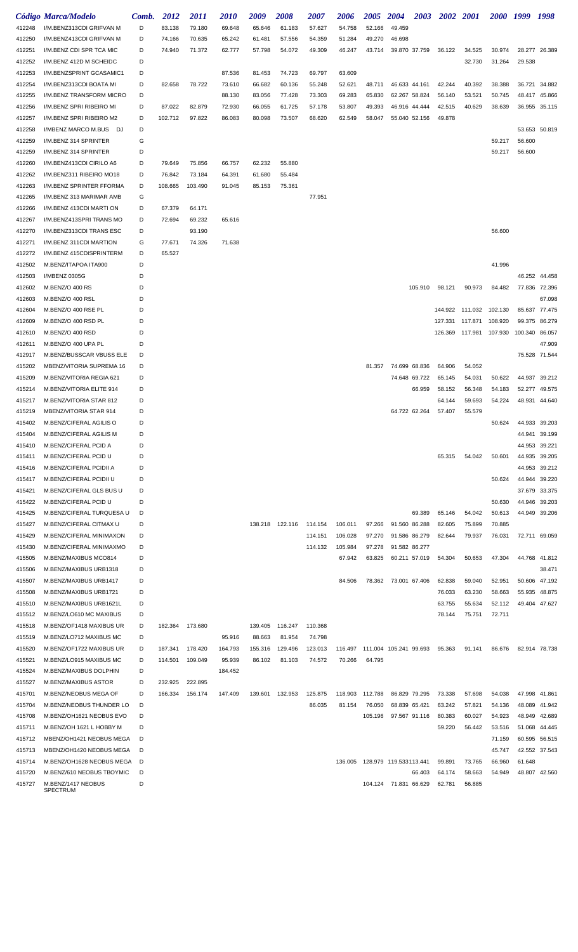|                  | Código Marca/Modelo                                | Comb.  | 2012    | <i>2011</i> | <i><b>2010</b></i> | 2009    | 2008            | <i><b>2007</b></i> | 2006    | <b>2005</b>                      | <b>2004</b>           | 2003          | <b>2002</b> 2001 |                 | <i>2000</i>      | 1999             | 1998                           |
|------------------|----------------------------------------------------|--------|---------|-------------|--------------------|---------|-----------------|--------------------|---------|----------------------------------|-----------------------|---------------|------------------|-----------------|------------------|------------------|--------------------------------|
| 412248           | I/M.BENZ313CDI GRIFVAN M                           | D      | 83.138  | 79.180      | 69.648             | 65.646  | 61.183          | 57.627             | 54.758  | 52.166                           | 49.459                |               |                  |                 |                  |                  |                                |
| 412250           | I/M.BENZ413CDI GRIFVAN M                           | D      | 74.166  | 70.635      | 65.242             | 61.481  | 57.556          | 54.359             | 51.284  | 49.270                           | 46.698                |               |                  |                 |                  |                  |                                |
| 412251           | I/M.BENZ CDI SPR TCA MIC                           | D      | 74.940  | 71.372      | 62.777             | 57.798  | 54.072          | 49.309             | 46.247  | 43.714                           |                       | 39.870 37.759 | 36.122           | 34.525          | 30.974           |                  | 28.277 26.389                  |
| 412252           | I/M.BENZ 412D M SCHEIDC                            | D      |         |             |                    |         |                 |                    |         |                                  |                       |               |                  | 32.730          | 31.264           | 29.538           |                                |
| 412253           | I/M.BENZSPRINT GCASAMIC1                           | D      |         |             | 87.536             | 81.453  | 74.723          | 69.797             | 63.609  |                                  |                       |               |                  |                 |                  |                  |                                |
| 412254           | I/M.BENZ313CDI BOATA MI                            | D      | 82.658  | 78.722      | 73.610             | 66.682  | 60.136          | 55.248             | 52.621  | 48.711                           | 46.633 44.161         |               | 42.244           | 40.392          | 38.388           |                  | 36.721 34.882                  |
| 412255           | I/M.BENZ TRANSFORM MICRO                           | D      |         |             | 88.130             | 83.056  | 77.428          | 73.303             | 69.283  | 65.830                           | 62.267 58.824         |               | 56.140           | 53.521          | 50.745           |                  | 48.417 45.866                  |
| 412256           | I/M.BENZ SPRI RIBEIRO MI                           | D      | 87.022  | 82.879      | 72.930             | 66.055  | 61.725          | 57.178             | 53.807  | 49.393                           |                       | 46.916 44.444 | 42.515           | 40.629          | 38.639           |                  | 36.955 35.115                  |
| 412257           | I/M.BENZ SPRI RIBEIRO M2                           | D      | 102.712 | 97.822      | 86.083             | 80.098  | 73.507          | 68.620             | 62.549  | 58.047                           |                       | 55.040 52.156 | 49.878           |                 |                  |                  |                                |
| 412258           | I/MBENZ MARCO M.BUS DJ                             | D      |         |             |                    |         |                 |                    |         |                                  |                       |               |                  |                 |                  |                  | 53.653 50.819                  |
| 412259<br>412259 | I/M.BENZ 314 SPRINTER<br>I/M.BENZ 314 SPRINTER     | G<br>D |         |             |                    |         |                 |                    |         |                                  |                       |               |                  |                 | 59.217<br>59.217 | 56.600<br>56.600 |                                |
| 412260           | I/M.BENZ413CDI CIRILO A6                           | D      | 79.649  | 75.856      | 66.757             | 62.232  | 55.880          |                    |         |                                  |                       |               |                  |                 |                  |                  |                                |
| 412262           | I/M.BENZ311 RIBEIRO MO18                           | D      | 76.842  | 73.184      | 64.391             | 61.680  | 55.484          |                    |         |                                  |                       |               |                  |                 |                  |                  |                                |
| 412263           | I/M.BENZ SPRINTER FFORMA                           | D      | 108.665 | 103.490     | 91.045             | 85.153  | 75.361          |                    |         |                                  |                       |               |                  |                 |                  |                  |                                |
| 412265           | I/M.BENZ 313 MARIMAR AMB                           | G      |         |             |                    |         |                 | 77.951             |         |                                  |                       |               |                  |                 |                  |                  |                                |
| 412266           | I/M.BENZ 413CDI MARTI ON                           | D      | 67.379  | 64.171      |                    |         |                 |                    |         |                                  |                       |               |                  |                 |                  |                  |                                |
| 412267           | I/M.BENZ413SPRI TRANS MO                           | D      | 72.694  | 69.232      | 65.616             |         |                 |                    |         |                                  |                       |               |                  |                 |                  |                  |                                |
| 412270           | I/M.BENZ313CDI TRANS ESC                           | D      |         | 93.190      |                    |         |                 |                    |         |                                  |                       |               |                  |                 | 56.600           |                  |                                |
| 412271           | I/M.BENZ 311CDI MARTION                            | G      | 77.671  | 74.326      | 71.638             |         |                 |                    |         |                                  |                       |               |                  |                 |                  |                  |                                |
| 412272           | I/M.BENZ 415CDISPRINTERM                           | D      | 65.527  |             |                    |         |                 |                    |         |                                  |                       |               |                  |                 |                  |                  |                                |
| 412502           | M.BENZ/ITAPOA ITA900                               | D      |         |             |                    |         |                 |                    |         |                                  |                       |               |                  |                 | 41.996           |                  |                                |
| 412503           | I/MBENZ 0305G                                      | D      |         |             |                    |         |                 |                    |         |                                  |                       |               |                  |                 |                  |                  | 46.252 44.458                  |
| 412602           | M.BENZ/O 400 RS                                    | D      |         |             |                    |         |                 |                    |         |                                  |                       | 105.910       | 98.121           | 90.973          | 84.482           |                  | 77.836 72.396                  |
| 412603           | M.BENZ/O 400 RSL                                   | D      |         |             |                    |         |                 |                    |         |                                  |                       |               |                  |                 |                  |                  | 67.098                         |
| 412604           | M.BENZ/O 400 RSE PL                                | D      |         |             |                    |         |                 |                    |         |                                  |                       |               | 144.922          | 111.032 102.130 |                  |                  | 85.637 77.475                  |
| 412609           | M.BENZ/O 400 RSD PL                                | D      |         |             |                    |         |                 |                    |         |                                  |                       |               | 127.331          | 117.871         | 108.920          | 99.375           | 86.279                         |
| 412610           | M.BENZ/O 400 RSD                                   | D      |         |             |                    |         |                 |                    |         |                                  |                       |               | 126.369          | 117.981 107.930 |                  | 100.340 86.057   |                                |
| 412611           | M.BENZ/O 400 UPA PL                                | D      |         |             |                    |         |                 |                    |         |                                  |                       |               |                  |                 |                  |                  | 47.909                         |
| 412917           | M.BENZ/BUSSCAR VBUSS ELE                           | D      |         |             |                    |         |                 |                    |         |                                  |                       |               |                  |                 |                  |                  | 75.528 71.544                  |
| 415202           | MBENZ/VITORIA SUPREMA 16                           | D      |         |             |                    |         |                 |                    |         | 81.357                           |                       | 74.699 68.836 | 64.906           | 54.052          |                  |                  |                                |
| 415209           | M.BENZ/VITORIA REGIA 621                           | D      |         |             |                    |         |                 |                    |         |                                  |                       | 74.648 69.722 | 65.145           | 54.031          | 50.622           | 44.937           | 39.212                         |
| 415214           | M.BENZ/VITORIA ELITE 914                           | D      |         |             |                    |         |                 |                    |         |                                  |                       | 66.959        | 58.152           | 56.348          | 54.183           | 52.277           | 49.575                         |
| 415217           | M.BENZ/VITORIA STAR 812                            | D      |         |             |                    |         |                 |                    |         |                                  |                       |               | 64.144           | 59.693          | 54.224           |                  | 48.931 44.640                  |
| 415219           | MBENZ/VITORIA STAR 914                             | D      |         |             |                    |         |                 |                    |         |                                  |                       | 64.722 62.264 | 57.407           | 55.579          |                  |                  |                                |
| 415402           | M.BENZ/CIFERAL AGILIS O                            | D      |         |             |                    |         |                 |                    |         |                                  |                       |               |                  |                 | 50.624           |                  | 44.933 39.203                  |
| 415404           | M.BENZ/CIFERAL AGILIS M                            | D      |         |             |                    |         |                 |                    |         |                                  |                       |               |                  |                 |                  | 44.941           | 39.199                         |
| 415410           | M.BENZ/CIFERAL PCID A                              | D      |         |             |                    |         |                 |                    |         |                                  |                       |               |                  |                 |                  |                  | 44.953 39.221                  |
| 415411           | M.BENZ/CIFERAL PCID U                              | D<br>D |         |             |                    |         |                 |                    |         |                                  |                       |               | 65.315           | 54.042          | 50.601           |                  | 44.935 39.205<br>44.953 39.212 |
| 415416           | M.BENZ/CIFERAL PCIDII A<br>M.BENZ/CIFERAL PCIDII U | D      |         |             |                    |         |                 |                    |         |                                  |                       |               |                  |                 | 50.624           |                  | 44.944 39.220                  |
| 415417<br>415421 | M.BENZ/CIFERAL GLS BUS U                           | D      |         |             |                    |         |                 |                    |         |                                  |                       |               |                  |                 |                  |                  | 37.679 33.375                  |
| 415422           | M.BENZ/CIFERAL PCID U                              | D      |         |             |                    |         |                 |                    |         |                                  |                       |               |                  |                 | 50.630           |                  | 44.946 39.203                  |
| 415425           | M.BENZ/CIFERAL TURQUESA U                          | D      |         |             |                    |         |                 |                    |         |                                  |                       | 69.389        | 65.146           | 54.042          | 50.613           |                  | 44.949 39.206                  |
| 415427           | M.BENZ/CIFERAL CITMAX U                            | D      |         |             |                    |         | 138.218 122.116 | 114.154            | 106.011 | 97.266                           | 91.560 86.288         |               | 82.605           | 75.899          | 70.885           |                  |                                |
| 415429           | M.BENZ/CIFERAL MINIMAXON                           | D      |         |             |                    |         |                 | 114.151            | 106.028 | 97.270                           | 91.586 86.279         |               | 82.644           | 79.937          | 76.031           |                  | 72.711 69.059                  |
| 415430           | M.BENZ/CIFERAL MINIMAXMO                           | D      |         |             |                    |         |                 | 114.132            | 105.984 | 97.278                           | 91.582 86.277         |               |                  |                 |                  |                  |                                |
| 415505           | M.BENZ/MAXIBUS MCO814                              | D      |         |             |                    |         |                 |                    | 67.942  | 63.825                           |                       | 60.211 57.019 | 54.304           | 50.653          | 47.304           |                  | 44.768 41.812                  |
| 415506           | M.BENZ/MAXIBUS URB1318                             | D      |         |             |                    |         |                 |                    |         |                                  |                       |               |                  |                 |                  |                  | 38.471                         |
| 415507           | M.BENZ/MAXIBUS URB1417                             | D      |         |             |                    |         |                 |                    | 84.506  |                                  | 78.362 73.001 67.406  |               | 62.838           | 59.040          | 52.951           |                  | 50.606 47.192                  |
| 415508           | M.BENZ/MAXIBUS URB1721                             | D      |         |             |                    |         |                 |                    |         |                                  |                       |               | 76.033           | 63.230          | 58.663           |                  | 55.935 48.875                  |
| 415510           | M.BENZ/MAXIBUS URB1621L                            | D      |         |             |                    |         |                 |                    |         |                                  |                       |               | 63.755           | 55.634          | 52.112           |                  | 49.404 47.627                  |
| 415512           | M.BENZ/LO610 MC MAXIBUS                            | D      |         |             |                    |         |                 |                    |         |                                  |                       |               | 78.144           | 75.751          | 72.711           |                  |                                |
| 415518           | M.BENZ/OF1418 MAXIBUS UR                           | D      | 182.364 | 173.680     |                    | 139.405 | 116.247         | 110.368            |         |                                  |                       |               |                  |                 |                  |                  |                                |
| 415519           | M.BENZ/LO712 MAXIBUS MC                            | D      |         |             | 95.916             | 88.663  | 81.954          | 74.798             |         |                                  |                       |               |                  |                 |                  |                  |                                |
| 415520           | M.BENZ/OF1722 MAXIBUS UR                           | D      | 187.341 | 178.420     | 164.793            | 155.316 | 129.496         | 123.013            | 116.497 | 111.004 105.241 99.693           |                       |               | 95.363           | 91.141          | 86.676           |                  | 82.914 78.738                  |
| 415521           | M.BENZ/LO915 MAXIBUS MC                            | D      | 114.501 | 109.049     | 95.939             | 86.102  | 81.103          | 74.572             | 70.266  | 64.795                           |                       |               |                  |                 |                  |                  |                                |
| 415524           | M.BENZ/MAXIBUS DOLPHIN                             | D      |         |             | 184.452            |         |                 |                    |         |                                  |                       |               |                  |                 |                  |                  |                                |
| 415527           | M.BENZ/MAXIBUS ASTOR                               | D      | 232.925 | 222.895     |                    |         |                 |                    |         |                                  |                       |               |                  |                 |                  |                  |                                |
| 415701           | M.BENZ/NEOBUS MEGA OF                              | D      | 166.334 | 156.174     | 147.409            | 139.601 | 132.953         | 125.875            | 118.903 | 112.788                          | 86.829 79.295         |               | 73.338           | 57.698          | 54.038           |                  | 47.998 41.861                  |
| 415704           | M.BENZ/NEOBUS THUNDER LO                           | D      |         |             |                    |         |                 | 86.035             | 81.154  | 76.050                           | 68.839 65.421         |               | 63.242           | 57.821          | 54.136           |                  | 48.089 41.942                  |
| 415708           | M.BENZ/OH1621 NEOBUS EVO                           | D      |         |             |                    |         |                 |                    |         | 105.196                          |                       | 97.567 91.116 | 80.383           | 60.027          | 54.923           |                  | 48.949 42.689                  |
| 415711           | M.BENZ/OH 1621 L HOBBY M                           | D      |         |             |                    |         |                 |                    |         |                                  |                       |               | 59.220           | 56.442          | 53.516           |                  | 51.068 44.445                  |
| 415712           | MBENZ/OH1421 NEOBUS MEGA                           | D      |         |             |                    |         |                 |                    |         |                                  |                       |               |                  |                 | 71.159           |                  | 60.595 56.515                  |
| 415713           | MBENZ/OH1420 NEOBUS MEGA                           | D      |         |             |                    |         |                 |                    |         |                                  |                       |               |                  |                 | 45.747           |                  | 42.552 37.543                  |
| 415714           | M.BENZ/OH1628 NEOBUS MEGA                          | D      |         |             |                    |         |                 |                    |         | 136.005  128.979  119.533113.441 |                       |               | 99.891           | 73.765          | 66.960           | 61.648           |                                |
| 415720           | M.BENZ/610 NEOBUS TBOYMIC                          | D      |         |             |                    |         |                 |                    |         |                                  |                       | 66.403        | 64.174           | 58.663          | 54.949           |                  | 48.807 42.560                  |
| 415727           | M.BENZ/1417 NEOBUS<br>SPECTRUM                     | D      |         |             |                    |         |                 |                    |         |                                  | 104.124 71.831 66.629 |               | 62.781           | 56.885          |                  |                  |                                |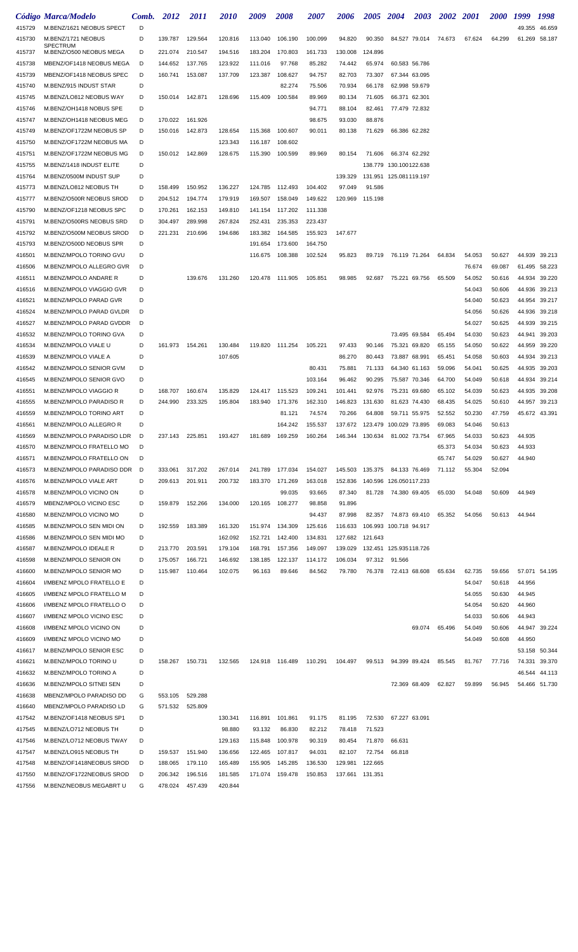|                  | Código Marca/Modelo                                  | Comb.  | 2012            | <i>2011</i>     | <i>2010</i>        | 2009               | <i><b>2008</b></i> | <i><b>2007</b></i> | 2006               | 2005             | <b>2004</b>                             | 2003          | 2002   | <b>2001</b> | <i><b>2000</b></i> | 1999   | 1998          |
|------------------|------------------------------------------------------|--------|-----------------|-----------------|--------------------|--------------------|--------------------|--------------------|--------------------|------------------|-----------------------------------------|---------------|--------|-------------|--------------------|--------|---------------|
| 415729           | M.BENZ/1621 NEOBUS SPECT                             | D      |                 |                 |                    |                    |                    |                    |                    |                  |                                         |               |        |             |                    | 49.355 | 46.659        |
| 415730           | M.BENZ/1721 NEOBUS                                   | D      | 139.787         | 129.564         | 120.816            | 113.040            | 106.190            | 100.099            | 94.820             | 90.350           |                                         | 84.527 79.014 | 74.673 | 67.624      | 64.299             | 61.269 | 58.187        |
| 415737           | <b>SPECTRUM</b><br>M.BENZ/O500 NEOBUS MEGA           | D      | 221.074         | 210.547         | 194.516            | 183.204            | 170.803            | 161.733            | 130.008            | 124.896          |                                         |               |        |             |                    |        |               |
| 415738           | MBENZ/OF1418 NEOBUS MEGA                             | D      | 144.652         | 137.765         | 123.922            | 111.016            | 97.768             | 85.282             | 74.442             | 65.974           | 60.583 56.786                           |               |        |             |                    |        |               |
| 415739           | MBENZ/OF1418 NEOBUS SPEC                             | D      | 160.741         | 153.087         | 137.709            | 123.387            | 108.627            | 94.757             | 82.703             | 73.307           | 67.344 63.095                           |               |        |             |                    |        |               |
| 415740           | M.BENZ/915 INDUST STAR                               | D      |                 |                 |                    |                    | 82.274             | 75.506             | 70.934             | 66.178           | 62.998 59.679                           |               |        |             |                    |        |               |
| 415745           | M.BENZ/LO812 NEOBUS WAY                              | D      | 150.014         | 142.871         | 128.696            | 115.409            | 100.584            | 89.969             | 80.134             | 71.605           | 66.371 62.301                           |               |        |             |                    |        |               |
| 415746           | M.BENZ/OH1418 NOBUS SPE                              | D      |                 |                 |                    |                    |                    | 94.771             | 88.104             | 82.461           | 77.479 72.832                           |               |        |             |                    |        |               |
| 415747           | M.BENZ/OH1418 NEOBUS MEG                             | D      | 170.022         | 161.926         |                    |                    |                    | 98.675             | 93.030             | 88.876           |                                         |               |        |             |                    |        |               |
| 415749           | M.BENZ/OF1722M NEOBUS SP                             | D      | 150.016         | 142.873         | 128.654            | 115.368            | 100.607            | 90.011             | 80.138             | 71.629           | 66.386 62.282                           |               |        |             |                    |        |               |
| 415750           | M.BENZ/OF1722M NEOBUS MA                             | D      |                 |                 | 123.343            | 116.187            | 108.602            |                    |                    |                  |                                         |               |        |             |                    |        |               |
| 415751           | M.BENZ/OF1722M NEOBUS MG                             | D      |                 | 150.012 142.869 | 128.675            | 115.390            | 100.599            | 89.969             | 80.154             | 71.606           | 66.374 62.292                           |               |        |             |                    |        |               |
| 415755           | M.BENZ/1418 INDUST ELITE                             | D      |                 |                 |                    |                    |                    |                    |                    |                  | 138.779 130.100122.638                  |               |        |             |                    |        |               |
| 415764           | M.BENZ/0500M INDUST SUP                              | D      |                 |                 |                    |                    |                    |                    | 139.329            |                  | 131.951 125.081119.197                  |               |        |             |                    |        |               |
| 415773           | M.BENZ/LO812 NEOBUS TH                               | D      | 158.499         | 150.952         | 136.227            | 124.785            | 112.493            | 104.402            | 97.049             | 91.586           |                                         |               |        |             |                    |        |               |
| 415777           | M.BENZ/O500R NEOBUS SROD                             | D      | 204.512         | 194.774         | 179.919            | 169.507            | 158.049            | 149.622            | 120.969            | 115.198          |                                         |               |        |             |                    |        |               |
| 415790           | M.BENZ/OF1218 NEOBUS SPC                             | D      | 170.261         | 162.153         | 149.810            | 141.154            | 117.202            | 111.338            |                    |                  |                                         |               |        |             |                    |        |               |
| 415791           | M.BENZ/O500RS NEOBUS SRD                             | D      | 304.497         | 289.998         | 267.824            | 252.431            | 235.353            | 223.437            |                    |                  |                                         |               |        |             |                    |        |               |
| 415792           | M.BENZ/O500M NEOBUS SROD                             | D      | 221.231         | 210.696         | 194.686            | 183.382            | 164.585            | 155.923            | 147.677            |                  |                                         |               |        |             |                    |        |               |
| 415793           | M.BENZ/O500D NEOBUS SPR                              | D      |                 |                 |                    | 191.654            | 173.600            | 164.750            |                    |                  |                                         |               |        |             |                    |        |               |
| 416501           | M.BENZ/MPOLO TORINO GVU                              | D      |                 |                 |                    | 116.675            | 108.388            | 102.524            | 95.823             | 89.719           | 76.119 71.264                           |               | 64.834 | 54.053      | 50.627             | 44.939 | 39.213        |
| 416506           | M.BENZ/MPOLO ALLEGRO GVR                             | D      |                 |                 |                    |                    |                    |                    |                    |                  |                                         |               |        | 76.674      | 69.087             | 61.495 | 58.223        |
| 416511           | M.BENZ/MPOLO ANDARE R                                | D      |                 | 139.676         | 131.260            | 120.478            | 111.905            | 105.851            | 98.985             | 92.687           | 75.221                                  | 69.756        | 65.509 | 54.052      | 50.616             | 44.934 | 39.220        |
| 416516           | M.BENZ/MPOLO VIAGGIO GVR                             | D      |                 |                 |                    |                    |                    |                    |                    |                  |                                         |               |        | 54.043      | 50.606             | 44.936 | 39.213        |
| 416521           | M.BENZ/MPOLO PARAD GVR                               | D      |                 |                 |                    |                    |                    |                    |                    |                  |                                         |               |        | 54.040      | 50.623             | 44.954 | 39.217        |
| 416524           | M.BENZ/MPOLO PARAD GVLDR                             | D      |                 |                 |                    |                    |                    |                    |                    |                  |                                         |               |        | 54.056      | 50.626             | 44.936 | 39.218        |
| 416527           | M.BENZ/MPOLO PARAD GVDDR                             | D      |                 |                 |                    |                    |                    |                    |                    |                  |                                         |               |        | 54.027      | 50.625             | 44.939 | 39.215        |
| 416532           | M.BENZ/MPOLO TORINO GVA                              | D      |                 |                 |                    |                    |                    |                    |                    |                  |                                         | 73.495 69.584 | 65.494 | 54.030      | 50.623             | 44.941 | 39.203        |
| 416534           | M.BENZ/MPOLO VIALE U                                 | D      | 161.973         | 154.261         | 130.484            |                    | 119.820 111.254    | 105.221            | 97.433             | 90.146           | 75.321 69.820                           |               | 65.155 | 54.050      | 50.622             | 44.959 | 39.220        |
| 416539           | M.BENZ/MPOLO VIALE A                                 | D      |                 |                 | 107.605            |                    |                    |                    | 86.270             | 80.443           | 73.887 68.991                           |               | 65.451 | 54.058      | 50.603             | 44.934 | 39.213        |
| 416542           | M.BENZ/MPOLO SENIOR GVM                              | D      |                 |                 |                    |                    |                    | 80.431             | 75.881             | 71.133           | 64.340 61.163                           |               | 59.096 | 54.041      | 50.625             | 44.935 | 39.203        |
| 416545           | M.BENZ/MPOLO SENIOR GVO                              | D      |                 |                 |                    |                    |                    | 103.164            | 96.462             | 90.295           | 75.587 70.346                           |               | 64.700 | 54.049      | 50.618             | 44.934 | 39.214        |
| 416551           | M.BENZ/MPOLO VIAGGIO R                               | D      | 168.707         | 160.674         | 135.829            | 124.417            | 115.523            | 109.241            | 101.441            | 92.976           | 75.231                                  | 69.680        | 65.102 | 54.039      | 50.623             | 44.935 | 39.208        |
| 416555           | M.BENZ/MPOLO PARADISO R                              | D      | 244.990         | 233.325         | 195.804            | 183.940            | 171.376            | 162.310            | 146.823            | 131.630          | 81.623 74.430                           |               | 68.435 | 54.025      | 50.610             | 44.957 | 39.213        |
| 416559           | M.BENZ/MPOLO TORINO ART                              | D      |                 |                 |                    |                    | 81.121             | 74.574             | 70.266             | 64.808           | 59.711                                  | 55.975        | 52.552 | 50.230      | 47.759             | 45.672 | 43.391        |
| 416561           | M.BENZ/MPOLO ALLEGRO R                               | D      |                 |                 |                    |                    | 164.242            | 155.537            | 137.672            |                  | 123.479 100.029 73.895                  |               | 69.083 | 54.046      | 50.613             |        |               |
| 416569           | M.BENZ/MPOLO PARADISO LDR                            | D      | 237.143         | 225.851         | 193.427            | 181.689            | 169.259            | 160.264            |                    | 146.344  130.634 | 81.002 73.754                           |               | 67.965 | 54.033      | 50.623             | 44.935 |               |
| 416570           | M.BENZ/MPOLO FRATELLO MO                             | D      |                 |                 |                    |                    |                    |                    |                    |                  |                                         |               | 65.373 | 54.034      | 50.623             | 44.933 |               |
| 416571           | M.BENZ/MPOLO FRATELLO ON                             | D      |                 |                 |                    |                    |                    |                    |                    |                  |                                         |               | 65.747 | 54.029      | 50.627             | 44.940 |               |
| 416573           | M.BENZ/MPOLO PARADISO DDR                            | D      | 333.061         | 317.202         | 267.014            | 241.789            | 177.034            | 154.027            | 145.503            | 135.375          | 84.133 76.469                           |               | 71.112 | 55.304      | 52.094             |        |               |
| 416576           | M.BENZ/MPOLO VIALE ART                               | D      | 209.613         | 201.911         | 200.732            | 183.370            | 171.269            | 163.018            | 152.836            |                  | 140.596 126.050117.233                  |               |        |             |                    |        |               |
| 416578           | M.BENZ/MPOLO VICINO ON                               | D      |                 |                 |                    |                    | 99.035             | 93.665             | 87.340             | 81.728           | 74.380 69.405                           |               | 65.030 | 54.048      | 50.609             | 44.949 |               |
| 416579           | MBENZ/MPOLO VICINO ESC                               | D      | 159.879         | 152.266         | 134.000            | 120.165            | 108.277            | 98.858             | 91.896             |                  |                                         |               |        |             |                    |        |               |
| 416580           | M.BENZ/MPOLO VICINO MO                               | D<br>D | 192.559         |                 |                    |                    |                    | 94.437             | 87.998             | 82.357           | 74.873 69.410<br>106.993 100.718 94.917 |               | 65.352 | 54.056      | 50.613             | 44.944 |               |
| 416585<br>416586 | M.BENZ/MPOLO SEN MIDI ON<br>M.BENZ/MPOLO SEN MIDI MO | D      |                 | 183.389         | 161.320<br>162.092 | 151.974<br>152.721 | 134.309<br>142.400 | 125.616<br>134.831 | 116.633<br>127.682 | 121.643          |                                         |               |        |             |                    |        |               |
| 416587           | M.BENZ/MPOLO IDEALE R                                | D      | 213.770         | 203.591         | 179.104            | 168.791            | 157.356            | 149.097            | 139.029            |                  | 132.451 125.935118.726                  |               |        |             |                    |        |               |
| 416598           | M.BENZ/MPOLO SENIOR ON                               | D      | 175.057         | 166.721         | 146.692            | 138.185            | 122.137            | 114.172            | 106.034            |                  | 97.312 91.566                           |               |        |             |                    |        |               |
| 416600           | M.BENZ/MPOLO SENIOR MO                               | D      | 115.987         | 110.464         | 102.075            | 96.163             | 89.646             | 84.562             | 79.780             | 76.378           | 72.413 68.608                           |               | 65.634 | 62.735      | 59.656             |        | 57.071 54.195 |
| 416604           | I/MBENZ MPOLO FRATELLO E                             | D      |                 |                 |                    |                    |                    |                    |                    |                  |                                         |               |        | 54.047      | 50.618             | 44.956 |               |
| 416605           | I/MBENZ MPOLO FRATELLO M                             | D      |                 |                 |                    |                    |                    |                    |                    |                  |                                         |               |        | 54.055      | 50.630             | 44.945 |               |
| 416606           | I/MBENZ MPOLO FRATELLO O                             | D      |                 |                 |                    |                    |                    |                    |                    |                  |                                         |               |        | 54.054      | 50.620             | 44.960 |               |
| 416607           | I/MBENZ MPOLO VICINO ESC                             | D      |                 |                 |                    |                    |                    |                    |                    |                  |                                         |               |        | 54.033      | 50.606             | 44.943 |               |
| 416608           | I/MBENZ MPOLO VICINO ON                              | D      |                 |                 |                    |                    |                    |                    |                    |                  |                                         | 69.074        | 65.496 | 54.049      | 50.606             |        | 44.947 39.224 |
| 416609           | I/MBENZ MPOLO VICINO MO                              | D      |                 |                 |                    |                    |                    |                    |                    |                  |                                         |               |        | 54.049      | 50.608             | 44.950 |               |
| 416617           | M.BENZ/MPOLO SENIOR ESC                              | D      |                 |                 |                    |                    |                    |                    |                    |                  |                                         |               |        |             |                    |        | 53.158 50.344 |
| 416621           | M.BENZ/MPOLO TORINO U                                | D      | 158.267 150.731 |                 | 132.565            |                    | 124.918 116.489    | 110.291            | 104.497            | 99.513           | 94.399 89.424                           |               | 85.545 | 81.767      | 77.716             | 74.331 | 39.370        |
| 416632           | M.BENZ/MPOLO TORINO A                                | D      |                 |                 |                    |                    |                    |                    |                    |                  |                                         |               |        |             |                    |        | 46.544 44.113 |
| 416636           | M.BENZ/MPOLO SITNEI SEN                              | D      |                 |                 |                    |                    |                    |                    |                    |                  | 72.369 68.409                           |               | 62.827 | 59.899      | 56.945             |        | 54.466 51.730 |
| 416638           | MBENZ/MPOLO PARADISO DD                              | G      | 553.105         | 529.288         |                    |                    |                    |                    |                    |                  |                                         |               |        |             |                    |        |               |
| 416640           | MBENZ/MPOLO PARADISO LD                              | G      | 571.532         | 525.809         |                    |                    |                    |                    |                    |                  |                                         |               |        |             |                    |        |               |
| 417542           | M.BENZ/OF1418 NEOBUS SP1                             | D      |                 |                 | 130.341            | 116.891            | 101.861            | 91.175             | 81.195             | 72.530           | 67.227 63.091                           |               |        |             |                    |        |               |
| 417545           | M.BENZ/LO712 NEOBUS TH                               | D      |                 |                 | 98.880             | 93.132             | 86.830             | 82.212             | 78.418             | 71.523           |                                         |               |        |             |                    |        |               |
| 417546           | M.BENZ/LO712 NEOBUS TWAY                             | D      |                 |                 | 129.163            | 115.848            | 100.978            | 90.319             | 80.454             | 71.870           | 66.631                                  |               |        |             |                    |        |               |
| 417547           | M.BENZ/LO915 NEOBUS TH                               | D      | 159.537         | 151.940         | 136.656            | 122.465            | 107.817            | 94.031             | 82.107             | 72.754           | 66.818                                  |               |        |             |                    |        |               |
| 417548           | M.BENZ/OF1418NEOBUS SROD                             | D      | 188.065         | 179.110         | 165.489            | 155.905            | 145.285            | 136.530            | 129.981            | 122.665          |                                         |               |        |             |                    |        |               |
| 417550           | M.BENZ/OF1722NEOBUS SROD                             | D      | 206.342         | 196.516         | 181.585            |                    | 171.074 159.478    | 150.853            | 137.661 131.351    |                  |                                         |               |        |             |                    |        |               |
| 417556           | M.BENZ/NEOBUS MEGABRT U                              | G      |                 | 478.024 457.439 | 420.844            |                    |                    |                    |                    |                  |                                         |               |        |             |                    |        |               |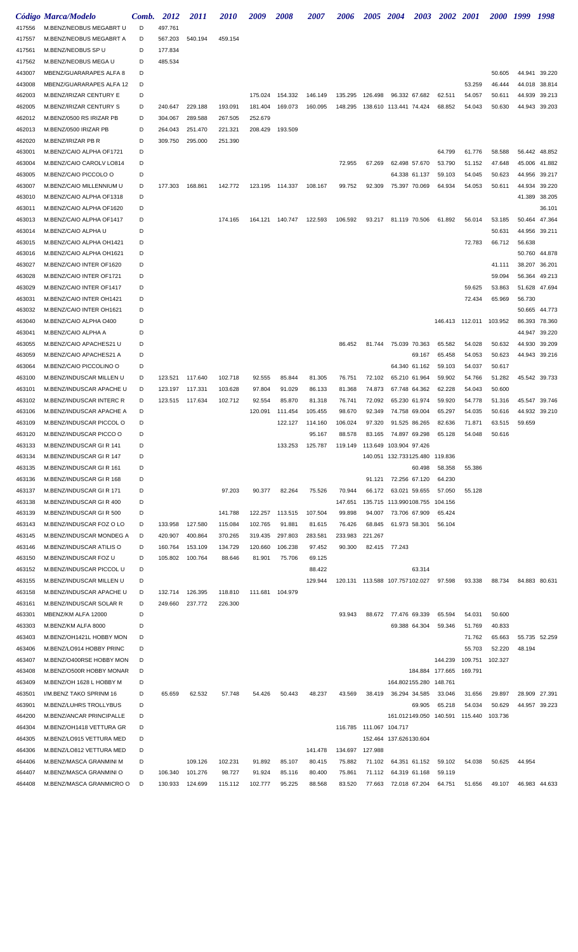|        | Código Marca/Modelo             | Comb. | 2012    | 2011    | <i>2010</i> | 2009    | 2008            | 2007    | 2006    | 2005                      | <b>2004</b>                      | 2003          | 2002 2001       |                                        | <i>2000</i> | 1999   | 1998          |
|--------|---------------------------------|-------|---------|---------|-------------|---------|-----------------|---------|---------|---------------------------|----------------------------------|---------------|-----------------|----------------------------------------|-------------|--------|---------------|
| 417556 | M.BENZ/NEOBUS MEGABRT U         | D     | 497.761 |         |             |         |                 |         |         |                           |                                  |               |                 |                                        |             |        |               |
| 417557 | M.BENZ/NEOBUS MEGABRT A         | D     | 567.203 | 540.194 | 459.154     |         |                 |         |         |                           |                                  |               |                 |                                        |             |        |               |
| 417561 | M.BENZ/NEOBUS SP U              | D     | 177.834 |         |             |         |                 |         |         |                           |                                  |               |                 |                                        |             |        |               |
| 417562 | M.BENZ/NEOBUS MEGA U            | D     | 485.534 |         |             |         |                 |         |         |                           |                                  |               |                 |                                        |             |        |               |
| 443007 | MBENZ/GUARARAPES ALFA 8         | D     |         |         |             |         |                 |         |         |                           |                                  |               |                 |                                        | 50.605      | 44.941 | 39.220        |
| 443008 | MBENZ/GUARARAPES ALFA 12        | D     |         |         |             |         |                 |         |         |                           |                                  |               |                 | 53.259                                 | 46.444      | 44.018 | 38.814        |
| 462003 | M.BENZ/IRIZAR CENTURY E         | D     |         |         |             | 175.024 | 154.332         | 146.149 | 135.295 | 126.498                   | 96.332 67.682                    |               | 62.511          | 54.057                                 | 50.611      | 44.939 | 39.213        |
| 462005 | <b>M.BENZ/IRIZAR CENTURY S</b>  | D     | 240.647 | 229.188 | 193.091     | 181.404 | 169.073         | 160.095 | 148.295 |                           | 138.610 113.441 74.424           |               | 68.852          | 54.043                                 | 50.630      | 44.943 | 39.203        |
| 462012 | M.BENZ/0500 RS IRIZAR PB        | D     | 304.067 | 289.588 | 267.505     | 252.679 |                 |         |         |                           |                                  |               |                 |                                        |             |        |               |
| 462013 | M.BENZ/0500 IRIZAR PB           | D     | 264.043 | 251.470 | 221.321     | 208.429 | 193.509         |         |         |                           |                                  |               |                 |                                        |             |        |               |
| 462020 | M.BENZ/IRIZAR PB R              | D     | 309.750 | 295.000 | 251.390     |         |                 |         |         |                           |                                  |               |                 |                                        |             |        |               |
| 463001 | M.BENZ/CAIO ALPHA OF1721        | D     |         |         |             |         |                 |         |         |                           |                                  |               | 64.799          | 61.776                                 | 58.588      | 56.442 | 48.852        |
| 463004 | M.BENZ/CAIO CAROLV LO814        | D     |         |         |             |         |                 |         | 72.955  | 67.269                    | 62.498 57.670                    |               | 53.790          | 51.152                                 | 47.648      | 45.006 | 41.882        |
| 463005 | M.BENZ/CAIO PICCOLO O           | D     |         |         |             |         |                 |         |         |                           | 64.338 61.137                    |               | 59.103          | 54.045                                 | 50.623      | 44.956 | 39.217        |
| 463007 | M.BENZ/CAIO MILLENNIUM U        | D     | 177.303 | 168.861 | 142.772     |         | 123.195 114.337 | 108.167 | 99.752  | 92.309                    | 75.397 70.069                    |               | 64.934          | 54.053                                 | 50.611      | 44.934 | 39.220        |
| 463010 | M.BENZ/CAIO ALPHA OF1318        | D     |         |         |             |         |                 |         |         |                           |                                  |               |                 |                                        |             | 41.389 | 38.205        |
| 463011 | M.BENZ/CAIO ALPHA OF1620        | D     |         |         |             |         |                 |         |         |                           |                                  |               |                 |                                        |             |        | 36.101        |
| 463013 | M.BENZ/CAIO ALPHA OF1417        | D     |         |         | 174.165     | 164.121 | 140.747         | 122.593 | 106.592 | 93.217                    | 81.119 70.506                    |               | 61.892          | 56.014                                 | 53.185      | 50.464 | 47.364        |
| 463014 | M.BENZ/CAIO ALPHA U             | D     |         |         |             |         |                 |         |         |                           |                                  |               |                 |                                        | 50.631      | 44.956 | 39.211        |
| 463015 | M.BENZ/CAIO ALPHA OH1421        | D     |         |         |             |         |                 |         |         |                           |                                  |               |                 | 72.783                                 | 66.712      | 56.638 |               |
| 463016 | M.BENZ/CAIO ALPHA OH1621        | D     |         |         |             |         |                 |         |         |                           |                                  |               |                 |                                        |             | 50.760 | 44.878        |
| 463027 | M.BENZ/CAIO INTER OF1620        | D     |         |         |             |         |                 |         |         |                           |                                  |               |                 |                                        | 41.111      | 38.207 | 36.201        |
| 463028 | M.BENZ/CAIO INTER OF1721        | D     |         |         |             |         |                 |         |         |                           |                                  |               |                 |                                        | 59.094      | 56.364 | 49.213        |
| 463029 | M.BENZ/CAIO INTER OF1417        | D     |         |         |             |         |                 |         |         |                           |                                  |               |                 | 59.625                                 | 53.863      | 51.628 | 47.694        |
| 463031 | M.BENZ/CAIO INTER OH1421        | D     |         |         |             |         |                 |         |         |                           |                                  |               |                 | 72.434                                 | 65.969      | 56.730 |               |
| 463032 | M.BENZ/CAIO INTER OH1621        | D     |         |         |             |         |                 |         |         |                           |                                  |               |                 |                                        |             | 50.665 | 44.773        |
| 463040 | M.BENZ/CAIO ALPHA O400          | D     |         |         |             |         |                 |         |         |                           |                                  |               |                 | 146.413  112.011  103.952              |             | 86.393 | 78.360        |
| 463041 | M.BENZ/CAIO ALPHA A             | D     |         |         |             |         |                 |         |         |                           |                                  |               |                 |                                        |             | 44.947 | 39.220        |
| 463055 | M.BENZ/CAIO APACHES21 U         | D     |         |         |             |         |                 |         | 86.452  | 81.744                    | 75.039 70.363                    |               | 65.582          | 54.028                                 | 50.632      | 44.930 | 39.209        |
| 463059 | M.BENZ/CAIO APACHES21 A         | D     |         |         |             |         |                 |         |         |                           |                                  | 69.167        | 65.458          | 54.053                                 | 50.623      | 44.943 | 39.216        |
| 463064 | M.BENZ/CAIO PICCOLINO O         | D     |         |         |             |         |                 |         |         |                           | 64.340 61.162                    |               | 59.103          | 54.037                                 | 50.617      |        |               |
| 463100 | M.BENZ/INDUSCAR MILLEN U        | D     | 123.521 | 117.640 | 102.718     | 92.555  | 85.844          | 81.305  | 76.751  | 72.102                    | 65.210 61.964                    |               | 59.902          | 54.766                                 | 51.282      |        | 45.542 39.733 |
| 463101 | M.BENZ/INDUSCAR APACHE U        | D     | 123.197 | 117.331 | 103.628     | 97.804  | 91.029          | 86.133  | 81.368  | 74.873                    | 67.748 64.362                    |               | 62.228          | 54.043                                 | 50.600      |        |               |
| 463102 | <b>M.BENZ/INDUSCAR INTERC R</b> | D     | 123.515 | 117.634 | 102.712     | 92.554  | 85.870          | 81.318  | 76.741  | 72.092                    | 65.230 61.974                    |               | 59.920          | 54.778                                 | 51.316      | 45.547 | 39.746        |
| 463106 | M.BENZ/INDUSCAR APACHE A        | D     |         |         |             | 120.091 | 111.454         | 105.455 | 98.670  | 92.349                    | 74.758 69.004                    |               | 65.297          | 54.035                                 | 50.616      |        | 44.932 39.210 |
| 463109 | M.BENZ/INDUSCAR PICCOL O        | D     |         |         |             |         | 122.127         | 114.160 | 106.024 | 97.320                    | 91.525 86.265                    |               | 82.636          | 71.871                                 | 63.515      | 59.659 |               |
| 463120 | M.BENZ/INDUSCAR PICCO O         | D     |         |         |             |         |                 | 95.167  | 88.578  | 83.165                    | 74.897 69.298                    |               | 65.128          | 54.048                                 | 50.616      |        |               |
| 463133 | M.BENZ/INDUSCAR GIR 141         | D     |         |         |             |         | 133.253         | 125.787 | 119.149 |                           | 113.649 103.904 97.426           |               |                 |                                        |             |        |               |
| 463134 | M.BENZ/INDUSCAR GIR 147         | D     |         |         |             |         |                 |         |         |                           | 140.051 132.733125.480 119.836   |               |                 |                                        |             |        |               |
| 463135 | M.BENZ/INDUSCAR GIR 161         | D     |         |         |             |         |                 |         |         |                           |                                  | 60.498        | 58.358          | 55.386                                 |             |        |               |
| 463136 | M.BENZ/INDUSCAR GIR 168         | D     |         |         |             |         |                 |         |         | 91.121                    | 72.256 67.120                    |               | 64.230          |                                        |             |        |               |
| 463137 | M.BENZ/INDUSCAR GIR 171         | D     |         |         | 97.203      | 90.377  | 82.264          | 75.526  | 70.944  | 66.172                    | 63.021 59.655                    |               | 57.050          | 55.128                                 |             |        |               |
| 463138 | M.BENZ/INDUSCAR GIR 400         | D     |         |         |             |         |                 |         | 147.651 |                           | 135.715 113.990108.755           |               | 104.156         |                                        |             |        |               |
| 463139 | M.BENZ/INDUSCAR GIR 500         | D     |         |         | 141.788     | 122.257 | 113.515         | 107.504 | 99.898  | 94.007                    | 73.706 67.909                    |               | 65.424          |                                        |             |        |               |
| 463143 | M.BENZ/INDUSCAR FOZ O LO        | D     | 133.958 | 127.580 | 115.084     | 102.765 | 91.881          | 81.615  | 76.426  | 68.845                    | 61.973 58.301                    |               | 56.104          |                                        |             |        |               |
| 463145 | M.BENZ/INDUSCAR MONDEG A        | D     | 420.907 | 400.864 | 370.265     | 319.435 | 297.803         | 283.581 | 233.983 | 221.267                   |                                  |               |                 |                                        |             |        |               |
| 463146 | M.BENZ/INDUSCAR ATILIS O        | D     | 160.764 | 153.109 | 134.729     | 120.660 | 106.238         | 97.452  | 90.300  |                           | 82.415 77.243                    |               |                 |                                        |             |        |               |
| 463150 | M.BENZ/INDUSCAR FOZ U           | D     | 105.802 | 100.764 | 88.646      | 81.901  | 75.706          | 69.125  |         |                           |                                  |               |                 |                                        |             |        |               |
| 463152 | M.BENZ/INDUSCAR PICCOL U        | D     |         |         |             |         |                 | 88.422  |         |                           |                                  | 63.314        |                 |                                        |             |        |               |
| 463155 | M.BENZ/INDUSCAR MILLEN U        | D     |         |         |             |         |                 | 129.944 |         |                           | 120.131  113.588  107.757102.027 |               | 97.598          | 93.338                                 | 88.734      |        | 84.883 80.631 |
| 463158 | M.BENZ/INDUSCAR APACHE U        | D     | 132.714 | 126.395 | 118.810     | 111.681 | 104.979         |         |         |                           |                                  |               |                 |                                        |             |        |               |
| 463161 | M.BENZ/INDUSCAR SOLAR R         | D     | 249.660 | 237.772 | 226.300     |         |                 |         |         |                           |                                  |               |                 |                                        |             |        |               |
| 463301 | MBENZ/KM ALFA 12000             | D     |         |         |             |         |                 |         | 93.943  | 88.672                    | 77.476 69.339                    |               | 65.594          | 54.031                                 | 50.600      |        |               |
| 463303 | M.BENZ/KM ALFA 8000             | D     |         |         |             |         |                 |         |         |                           |                                  | 69.388 64.304 | 59.346          | 51.769                                 | 40.833      |        |               |
| 463403 | M.BENZ/OH1421L HOBBY MON        | D     |         |         |             |         |                 |         |         |                           |                                  |               |                 | 71.762                                 | 65.663      |        | 55.735 52.259 |
| 463406 | M.BENZ/LO914 HOBBY PRINC        | D     |         |         |             |         |                 |         |         |                           |                                  |               |                 | 55.703                                 | 52.220      | 48.194 |               |
| 463407 | M.BENZ/O400RSE HOBBY MON        | D     |         |         |             |         |                 |         |         |                           |                                  |               | 144.239         | 109.751                                | 102.327     |        |               |
| 463408 | M.BENZ/O500R HOBBY MONAR        | D     |         |         |             |         |                 |         |         |                           |                                  |               | 184.884 177.665 | 169.791                                |             |        |               |
| 463409 | M.BENZ/OH 1628 L HOBBY M        | D     |         |         |             |         |                 |         |         |                           | 164.802155.280                   |               | 148.761         |                                        |             |        |               |
| 463501 | I/M.BENZ TAKO SPRINM 16         | D     | 65.659  | 62.532  | 57.748      | 54.426  | 50.443          | 48.237  | 43.569  | 38.419                    | 36.294 34.585                    |               | 33.046          | 31.656                                 | 29.897      |        | 28.909 27.391 |
| 463901 | M.BENZ/LUHRS TROLLYBUS          | D     |         |         |             |         |                 |         |         |                           |                                  | 69.905        | 65.218          | 54.034                                 | 50.629      |        | 44.957 39.223 |
| 464200 | M.BENZ/ANCAR PRINCIPALLE        | D     |         |         |             |         |                 |         |         |                           |                                  |               |                 | 161.012149.050 140.591 115.440 103.736 |             |        |               |
| 464304 | M.BENZ/OH1418 VETTURA GR        | D     |         |         |             |         |                 |         |         | 116.785  111.067  104.717 |                                  |               |                 |                                        |             |        |               |
| 464305 | M.BENZ/LO915 VETTURA MED        | D     |         |         |             |         |                 |         |         |                           | 152.464 137.626130.604           |               |                 |                                        |             |        |               |
| 464306 | M.BENZ/LO812 VETTURA MED        | D     |         |         |             |         |                 | 141.478 | 134.697 | 127.988                   |                                  |               |                 |                                        |             |        |               |
| 464406 | M.BENZ/MASCA GRANMINI M         | D     |         | 109.126 | 102.231     | 91.892  | 85.107          | 80.415  | 75.882  | 71.102                    |                                  | 64.351 61.152 | 59.102          | 54.038                                 | 50.625      | 44.954 |               |
| 464407 | M.BENZ/MASCA GRANMINI O         | D     | 106.340 | 101.276 | 98.727      | 91.924  | 85.116          | 80.400  | 75.861  | 71.112                    | 64.319 61.168                    |               | 59.119          |                                        |             |        |               |
| 464408 | M.BENZ/MASCA GRANMICRO O        | D     | 130.933 | 124.699 | 115.112     | 102.777 | 95.225          | 88.568  | 83.520  |                           | 77.663 72.018 67.204 64.751      |               |                 | 51.656                                 | 49.107      |        | 46.983 44.633 |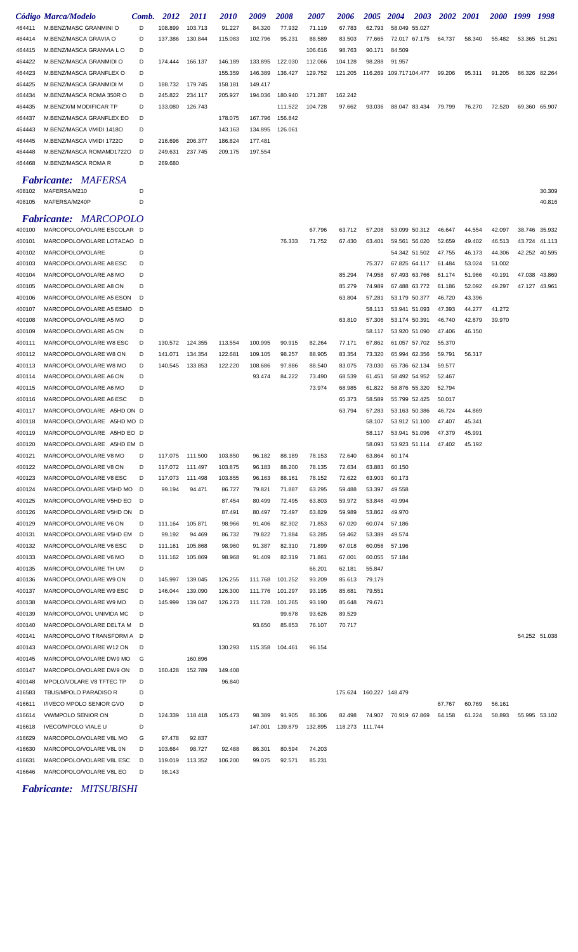|        | Código Marca/Modelo          | Comb. | 2012            | <i>2011</i> | <i>2010</i> | 2009    | <i><b>2008</b></i> | 2007    | 2006            | <b>2005</b>             | <b>2004</b>            | 2003 | 2002   | <b>2001</b> | <i><b>2000</b></i> | 1999   | 1998          |
|--------|------------------------------|-------|-----------------|-------------|-------------|---------|--------------------|---------|-----------------|-------------------------|------------------------|------|--------|-------------|--------------------|--------|---------------|
| 464411 | M.BENZ/MASC GRANMINI O       | D     | 108.899         | 103.713     | 91.227      | 84.320  | 77.932             | 71.119  | 67.783          | 62.793                  | 58.049 55.027          |      |        |             |                    |        |               |
| 464414 | M.BENZ/MASCA GRAVIA O        | D     | 137.386         | 130.844     | 115.083     | 102.796 | 95.231             | 88.589  | 83.503          | 77.665                  | 72.017 67.175          |      | 64.737 | 58.340      | 55.482             |        | 53.365 51.261 |
| 464415 | M.BENZ/MASCA GRANVIA LO      | D     |                 |             |             |         |                    | 106.616 | 98.763          | 90.171                  | 84.509                 |      |        |             |                    |        |               |
| 464422 | M.BENZ/MASCA GRANMIDI O      | D     | 174.444         | 166.137     | 146.189     | 133.895 | 122.030            | 112.066 | 104.128         | 98.288                  | 91.957                 |      |        |             |                    |        |               |
| 464423 | M.BENZ/MASCA GRANFLEX O      | D     |                 |             | 155.359     | 146.389 | 136.427            | 129.752 | 121.205         |                         | 116.269 109.717104.477 |      | 99.206 | 95.311      | 91.205             |        | 86.326 82.264 |
| 464425 | M.BENZ/MASCA GRANMIDI M      | D     | 188.732         | 179.745     | 158.181     | 149.417 |                    |         |                 |                         |                        |      |        |             |                    |        |               |
| 464434 | M.BENZ/MASCA ROMA 350R O     | D     | 245.822         | 234.117     | 205.927     | 194.036 | 180.940            | 171.287 | 162.242         |                         |                        |      |        |             |                    |        |               |
| 464435 | M.BENZX/M MODIFICAR TP       | D     | 133.080         | 126.743     |             |         | 111.522            | 104.728 | 97.662          | 93.036                  | 88.047 83.434          |      | 79.799 | 76.270      | 72.520             |        | 69.360 65.907 |
| 464437 | M.BENZ/MASCA GRANFLEX EO     | D     |                 |             | 178.075     | 167.796 | 156.842            |         |                 |                         |                        |      |        |             |                    |        |               |
| 464443 | M.BENZ/MASCA VMIDI 1418O     | D     |                 |             | 143.163     | 134.895 | 126.061            |         |                 |                         |                        |      |        |             |                    |        |               |
| 464445 | M.BENZ/MASCA VMIDI 1722O     | D     | 216.696         | 206.377     | 186.824     | 177.481 |                    |         |                 |                         |                        |      |        |             |                    |        |               |
| 464448 | M.BENZ/MASCA ROMAMD1722O     | D     | 249.631         | 237.745     | 209.175     | 197.554 |                    |         |                 |                         |                        |      |        |             |                    |        |               |
| 464468 | M.BENZ/MASCA ROMA R          | D     | 269.680         |             |             |         |                    |         |                 |                         |                        |      |        |             |                    |        |               |
|        | <b>Fabricante: MAFERSA</b>   |       |                 |             |             |         |                    |         |                 |                         |                        |      |        |             |                    |        |               |
| 408102 | MAFERSA/M210                 | D     |                 |             |             |         |                    |         |                 |                         |                        |      |        |             |                    |        | 30.309        |
| 408105 | MAFERSA/M240P                | D     |                 |             |             |         |                    |         |                 |                         |                        |      |        |             |                    |        | 40.816        |
|        |                              |       |                 |             |             |         |                    |         |                 |                         |                        |      |        |             |                    |        |               |
|        | <b>Fabricante: MARCOPOLO</b> |       |                 |             |             |         |                    |         |                 |                         |                        |      |        |             |                    |        |               |
| 400100 | MARCOPOLO/VOLARE ESCOLAR D   |       |                 |             |             |         |                    | 67.796  | 63.712          | 57.208                  | 53.099 50.312          |      | 46.647 | 44.554      | 42.097             | 38.746 | 35.932        |
| 400101 | MARCOPOLO/VOLARE LOTACAO D   |       |                 |             |             |         | 76.333             | 71.752  | 67.430          | 63.401                  | 59.561 56.020          |      | 52.659 | 49.402      | 46.513             |        | 43.724 41.113 |
| 400102 | MARCOPOLO/VOLARE             | D     |                 |             |             |         |                    |         |                 |                         | 54.342 51.502          |      | 47.755 | 46.173      | 44.306             |        | 42.252 40.595 |
| 400103 | MARCOPOLO/VOLARE A8 ESC      | D     |                 |             |             |         |                    |         |                 | 75.377                  | 67.825 64.117          |      | 61.484 | 53.024      | 51.002             |        |               |
| 400104 | MARCOPOLO/VOLARE A8 MO       | D     |                 |             |             |         |                    |         | 85.294          | 74.958                  | 67.493 63.766          |      | 61.174 | 51.966      | 49.191             | 47.038 | 43.869        |
| 400105 | MARCOPOLO/VOLARE A8 ON       | D     |                 |             |             |         |                    |         | 85.279          | 74.989                  | 67.488 63.772          |      | 61.186 | 52.092      | 49.297             |        | 47.127 43.961 |
| 400106 | MARCOPOLO/VOLARE A5 ESON     | D     |                 |             |             |         |                    |         | 63.804          | 57.281                  | 53.179 50.377          |      | 46.720 | 43.396      |                    |        |               |
| 400107 | MARCOPOLO/VOLARE A5 ESMO     | D     |                 |             |             |         |                    |         |                 | 58.113                  | 53.941 51.093          |      | 47.393 | 44.277      | 41.272             |        |               |
| 400108 | MARCOPOLO/VOLARE A5 MO       | D     |                 |             |             |         |                    |         | 63.810          | 57.306                  | 53.174 50.391          |      | 46.740 | 42.879      | 39.970             |        |               |
| 400109 | MARCOPOLO/VOLARE A5 ON       | D     |                 |             |             |         |                    |         |                 | 58.117                  | 53.920 51.090          |      | 47.406 | 46.150      |                    |        |               |
| 400111 | MARCOPOLO/VOLARE W8 ESC      | D     | 130.572         | 124.355     | 113.554     | 100.995 | 90.915             | 82.264  | 77.171          | 67.862                  | 61.057 57.702          |      | 55.370 |             |                    |        |               |
| 400112 | MARCOPOLO/VOLARE W8 ON       | D     | 141.071         | 134.354     | 122.681     | 109.105 | 98.257             | 88.905  | 83.354          | 73.320                  | 65.994 62.356          |      | 59.791 | 56.317      |                    |        |               |
| 400113 | MARCOPOLO/VOLARE W8 MO       | D     | 140.545         | 133.853     | 122.220     | 108.686 | 97.886             | 88.540  | 83.075          | 73.030                  | 65.736 62.134          |      | 59.577 |             |                    |        |               |
| 400114 | MARCOPOLO/VOLARE A6 ON       | D     |                 |             |             | 93.474  | 84.222             | 73.490  | 68.539          | 61.451                  | 58.492 54.952          |      | 52.467 |             |                    |        |               |
| 400115 | MARCOPOLO/VOLARE A6 MO       | D     |                 |             |             |         |                    | 73.974  | 68.985          | 61.822                  | 58.876 55.320          |      | 52.794 |             |                    |        |               |
| 400116 | MARCOPOLO/VOLARE A6 ESC      | D     |                 |             |             |         |                    |         | 65.373          | 58.589                  | 55.799 52.425          |      | 50.017 |             |                    |        |               |
| 400117 | MARCOPOLO/VOLARE A5HD ON D   |       |                 |             |             |         |                    |         | 63.794          | 57.283                  | 53.163 50.386          |      | 46.724 | 44.869      |                    |        |               |
| 400118 | MARCOPOLO/VOLARE A5HD MO D   |       |                 |             |             |         |                    |         |                 | 58.107                  | 53.912 51.100          |      | 47.407 | 45.341      |                    |        |               |
| 400119 | MARCOPOLO/VOLARE A5HD EO D   |       |                 |             |             |         |                    |         |                 | 58.117                  | 53.941 51.096          |      | 47.379 | 45.991      |                    |        |               |
| 400120 | MARCOPOLO/VOLARE A5HD EM D   |       |                 |             |             |         |                    |         |                 | 58.093                  | 53.923 51.114          |      | 47.402 | 45.192      |                    |        |               |
| 400121 | MARCOPOLO/VOLARE V8 MO       | D     | 117.075 111.500 |             | 103.850     | 96.182  | 88.189             | 78.153  | 72.640          | 63.864                  | 60.174                 |      |        |             |                    |        |               |
| 400122 | MARCOPOLO/VOLARE V8 ON       | D     | 117.072         | 111.497     | 103.875     | 96.183  | 88.200             | 78.135  | 72.634          | 63.883                  | 60.150                 |      |        |             |                    |        |               |
| 400123 | MARCOPOLO/VOLARE V8 ESC      | D     | 117.073         | 111.498     | 103.855     | 96.163  | 88.161             | 78.152  | 72.622          | 63.903                  | 60.173                 |      |        |             |                    |        |               |
| 400124 | MARCOPOLO/VOLARE V5HD MO D   |       | 99.194          | 94.471      | 86.727      | 79.821  | 71.887             | 63.295  | 59.488          | 53.397                  | 49.558                 |      |        |             |                    |        |               |
| 400125 | MARCOPOLO/VOLARE V5HD EO     | D     |                 |             | 87.454      | 80.499  | 72.495             | 63.803  | 59.972          | 53.846                  | 49.994                 |      |        |             |                    |        |               |
| 400126 | MARCOPOLO/VOLARE V5HD ON     | D     |                 |             | 87.491      | 80.497  | 72.497             | 63.829  | 59.989          | 53.862                  | 49.970                 |      |        |             |                    |        |               |
| 400129 | MARCOPOLO/VOLARE V6 ON       | D     | 111.164         | 105.871     | 98.966      | 91.406  | 82.302             | 71.853  | 67.020          | 60.074                  | 57.186                 |      |        |             |                    |        |               |
| 400131 | MARCOPOLO/VOLARE V5HD EM     | D     | 99.192          | 94.469      | 86.732      | 79.822  | 71.884             | 63.285  | 59.462          | 53.389                  | 49.574                 |      |        |             |                    |        |               |
| 400132 | MARCOPOLO/VOLARE V6 ESC      | D     | 111.161         | 105.868     | 98.960      | 91.387  | 82.310             | 71.899  | 67.018          | 60.056                  | 57.196                 |      |        |             |                    |        |               |
| 400133 | MARCOPOLO/VOLARE V6 MO       | D     | 111.162         | 105.869     | 98.968      | 91.409  | 82.319             | 71.861  | 67.001          | 60.055                  | 57.184                 |      |        |             |                    |        |               |
| 400135 | MARCOPOLO/VOLARE TH UM       | D     |                 |             |             |         |                    | 66.201  | 62.181          | 55.847                  |                        |      |        |             |                    |        |               |
| 400136 | MARCOPOLO/VOLARE W9 ON       | D     | 145.997         | 139.045     | 126.255     | 111.768 | 101.252            | 93.209  | 85.613          | 79.179                  |                        |      |        |             |                    |        |               |
| 400137 | MARCOPOLO/VOLARE W9 ESC      | D     | 146.044         | 139.090     | 126.300     | 111.776 | 101.297            | 93.195  | 85.681          | 79.551                  |                        |      |        |             |                    |        |               |
| 400138 | MARCOPOLO/VOLARE W9 MO       | D     | 145.999         | 139.047     | 126.273     | 111.728 | 101.265            | 93.190  | 85.648          | 79.671                  |                        |      |        |             |                    |        |               |
| 400139 | MARCOPOLO/VOL UNIVIDA MC     | D     |                 |             |             |         | 99.678             | 93.626  | 89.529          |                         |                        |      |        |             |                    |        |               |
| 400140 | MARCOPOLO/VOLARE DELTA M     | D     |                 |             |             | 93.650  | 85.853             | 76.107  | 70.717          |                         |                        |      |        |             |                    |        |               |
| 400141 | MARCOPOLO/VO TRANSFORM A D   |       |                 |             |             |         |                    |         |                 |                         |                        |      |        |             |                    |        | 54.252 51.038 |
| 400143 | MARCOPOLO/VOLARE W12 ON      | D     |                 |             | 130.293     | 115.358 | 104.461            | 96.154  |                 |                         |                        |      |        |             |                    |        |               |
| 400145 | MARCOPOLO/VOLARE DW9 MO      | G     |                 | 160.896     |             |         |                    |         |                 |                         |                        |      |        |             |                    |        |               |
| 400147 | MARCOPOLO/VOLARE DW9 ON      | D     | 160.428         | 152.789     | 149.408     |         |                    |         |                 |                         |                        |      |        |             |                    |        |               |
| 400148 | MPOLO/VOLARE V8 TFTEC TP     | D     |                 |             | 96.840      |         |                    |         |                 |                         |                        |      |        |             |                    |        |               |
| 416583 | TBUS/MPOLO PARADISO R        | D     |                 |             |             |         |                    |         |                 | 175.624 160.227 148.479 |                        |      |        |             |                    |        |               |
| 416611 | I/IVECO MPOLO SENIOR GVO     | D     |                 |             |             |         |                    |         |                 |                         |                        |      | 67.767 | 60.769      | 56.161             |        |               |
| 416614 | <b>VW/MPOLO SENIOR ON</b>    | D     | 124.339         | 118.418     | 105.473     | 98.389  | 91.905             | 86.306  | 82.498          | 74.907                  | 70.919 67.869          |      | 64.158 | 61.224      | 58.893             |        | 55.995 53.102 |
| 416618 | <b>IVECO/MPOLO VIALE U</b>   | D     |                 |             |             | 147.001 | 139.879            | 132.895 | 118.273 111.744 |                         |                        |      |        |             |                    |        |               |
| 416629 | MARCOPOLO/VOLARE V8L MO      | G     | 97.478          | 92.837      |             |         |                    |         |                 |                         |                        |      |        |             |                    |        |               |
| 416630 | MARCOPOLO/VOLARE V8L 0N      | D     | 103.664         | 98.727      | 92.488      | 86.301  | 80.594             | 74.203  |                 |                         |                        |      |        |             |                    |        |               |
| 416631 | MARCOPOLO/VOLARE V8L ESC     | D     | 119.019         | 113.352     | 106.200     | 99.075  | 92.571             | 85.231  |                 |                         |                        |      |        |             |                    |        |               |
| 416646 | MARCOPOLO/VOLARE V8L EO      | D     | 98.143          |             |             |         |                    |         |                 |                         |                        |      |        |             |                    |        |               |

*Fabricante: MITSUBISHI*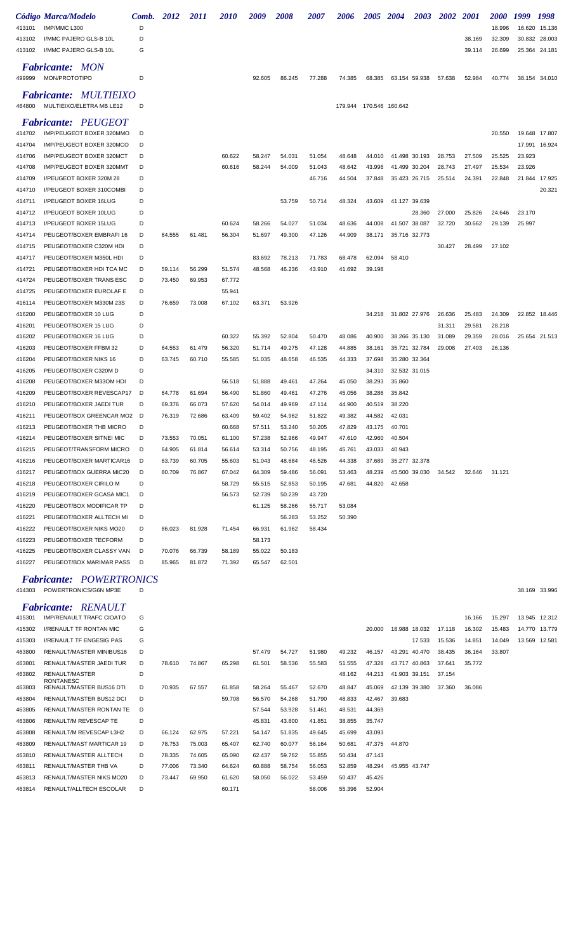|        | Código Marca/Modelo          | Comb. | <i>2012</i> | <i>2011</i> | <i><b>2010</b></i> | 2009   | <i><b>2008</b></i> | <i><b>2007</b></i> | <i><b>2006</b></i> | <i><b>2005</b></i> | <b>2004</b>   | 2003          | <b>2002</b> | <b>2001</b> | <i><b>2000</b></i> | 1999   | 1998          |
|--------|------------------------------|-------|-------------|-------------|--------------------|--------|--------------------|--------------------|--------------------|--------------------|---------------|---------------|-------------|-------------|--------------------|--------|---------------|
| 413101 | IMP/MMC L300                 | D     |             |             |                    |        |                    |                    |                    |                    |               |               |             |             | 18.996             | 16.620 | 15.136        |
| 413102 | I/MMC PAJERO GLS-B 10L       | D     |             |             |                    |        |                    |                    |                    |                    |               |               |             | 38.169      | 32.309             |        | 30.832 28.003 |
| 413102 | I/MMC PAJERO GLS-B 10L       | G     |             |             |                    |        |                    |                    |                    |                    |               |               |             | 39.114      | 26.699             |        | 25.364 24.181 |
|        | <b>Fabricante: MON</b>       |       |             |             |                    |        |                    |                    |                    |                    |               |               |             |             |                    |        |               |
| 499999 | MON/PROTOTIPO                | D     |             |             |                    | 92.605 | 86.245             | 77.288             | 74.385             | 68.385             |               | 63.154 59.938 | 57.638      | 52.984      | 40.774             |        | 38.154 34.010 |
|        | <b>Fabricante: MULTIEIXO</b> |       |             |             |                    |        |                    |                    |                    |                    |               |               |             |             |                    |        |               |
| 464800 | MULTIEIXO/ELETRA MB LE12     | D     |             |             |                    |        |                    |                    | 179.944            | 170.546 160.642    |               |               |             |             |                    |        |               |
|        |                              |       |             |             |                    |        |                    |                    |                    |                    |               |               |             |             |                    |        |               |
|        | <b>Fabricante: PEUGEOT</b>   |       |             |             |                    |        |                    |                    |                    |                    |               |               |             |             |                    |        |               |
| 414702 | IMP/PEUGEOT BOXER 320MMO     | D     |             |             |                    |        |                    |                    |                    |                    |               |               |             |             | 20.550             |        | 19.648 17.807 |
| 414704 | IMP/PEUGEOT BOXER 320MCO     | D     |             |             |                    |        |                    |                    |                    |                    |               |               |             |             |                    | 17.991 | 16.924        |
| 414706 | IMP/PEUGEOT BOXER 320MCT     | D     |             |             | 60.622             | 58.247 | 54.031             | 51.054             | 48.648             | 44.010             |               | 41.498 30.193 | 28.753      | 27.509      | 25.525             | 23.923 |               |
| 414708 | IMP/PEUGEOT BOXER 320MMT     | D     |             |             | 60.616             | 58.244 | 54.009             | 51.043             | 48.642             | 43.996             |               | 41.499 30.204 | 28.743      | 27.497      | 25.534             | 23.926 |               |
| 414709 | I/PEUGEOT BOXER 320M 28      | D     |             |             |                    |        |                    | 46.716             | 44.504             | 37.848             |               | 35.423 26.715 | 25.514      | 24.391      | 22.848             | 21.844 | 17.925        |
| 414710 | I/PEUGEOT BOXER 310COMBI     | D     |             |             |                    |        |                    |                    |                    |                    |               |               |             |             |                    |        | 20.321        |
| 414711 | <b>I/PEUGEOT BOXER 16LUG</b> | D     |             |             |                    |        | 53.759             | 50.714             | 48.324             | 43.609             | 41.127 39.639 |               |             |             |                    |        |               |
| 414712 | I/PEUGEOT BOXER 10LUG        | D     |             |             |                    |        |                    |                    |                    |                    |               | 28.360        | 27.000      | 25.826      | 24.646             | 23.170 |               |
| 414713 | I/PEUGEOT BOXER 15LUG        | D     |             |             | 60.624             | 58.266 | 54.027             | 51.034             | 48.636             | 44.008             | 41.507 38.087 |               | 32.720      | 30.662      | 29.139             | 25.997 |               |
| 414714 | PEUGEOT/BOXER EMBRAFI 16     | D     | 64.555      | 61.481      | 56.304             | 51.697 | 49.300             | 47.126             | 44.909             | 38.171             |               | 35.716 32.773 |             |             |                    |        |               |
| 414715 | PEUGEOT/BOXER C320M HDI      | D     |             |             |                    |        |                    |                    |                    |                    |               |               | 30.427      | 28.499      | 27.102             |        |               |
| 414717 | PEUGEOT/BOXER M350L HDI      | D     |             |             |                    | 83.692 | 78.213             | 71.783             | 68.478             | 62.094             | 58.410        |               |             |             |                    |        |               |
| 414721 | PEUGEOT/BOXER HDI TCA MC     | D     | 59.114      | 56.299      | 51.574             | 48.568 | 46.236             | 43.910             | 41.692             | 39.198             |               |               |             |             |                    |        |               |
| 414724 | PEUGEOT/BOXER TRANS ESC      | D     | 73.450      | 69.953      | 67.772             |        |                    |                    |                    |                    |               |               |             |             |                    |        |               |
| 414725 | PEUGEOT/BOXER EUROLAF E      | D     |             |             | 55.941             |        |                    |                    |                    |                    |               |               |             |             |                    |        |               |
| 416114 | PEUGEOT/BOXER M330M 23S      | D     | 76.659      | 73.008      | 67.102             | 63.371 | 53.926             |                    |                    |                    |               |               |             |             |                    |        |               |
| 416200 | PEUGEOT/BOXER 10 LUG         | D     |             |             |                    |        |                    |                    |                    | 34.218             | 31.802 27.976 |               | 26.636      | 25.483      | 24.309             |        | 22.852 18.446 |
| 416201 | PEUGEOT/BOXER 15 LUG         | D     |             |             |                    |        |                    |                    |                    |                    |               |               | 31.311      | 29.581      | 28.218             |        |               |
| 416202 | PEUGEOT/BOXER 16 LUG         | D     |             |             | 60.322             | 55.392 | 52.804             | 50.470             | 48.086             | 40.900             |               | 38.266 35.130 | 31.089      | 29.359      | 28.016             |        | 25.654 21.513 |
| 416203 | PEUGEOT/BOXER FFBM 32        | D     | 64.553      | 61.479      | 56.320             | 51.714 | 49.275             | 47.128             | 44.885             | 38.161             |               | 35.721 32.784 | 29.008      | 27.403      | 26.136             |        |               |
| 416204 | PEUGEOT/BOXER NIKS 16        | D     | 63.745      | 60.710      | 55.585             | 51.035 | 48.658             | 46.535             | 44.333             | 37.698             |               | 35.280 32.364 |             |             |                    |        |               |
| 416205 | PEUGEOT/BOXER C320M D        | D     |             |             |                    |        |                    |                    |                    | 34.310             |               | 32.532 31.015 |             |             |                    |        |               |
| 416208 | PEUGEOT/BOXER M33OM HDI      | D     |             |             | 56.518             | 51.888 | 49.461             | 47.264             | 45.050             | 38.293             | 35.860        |               |             |             |                    |        |               |
| 416209 | PEUGEOT/BOXER REVESCAP17     | D     | 64.778      | 61.694      | 56.490             | 51.860 | 49.461             | 47.276             | 45.056             | 38.286             | 35.842        |               |             |             |                    |        |               |
| 416210 | PEUGEOT/BOXER JAEDI TUR      | D     | 69.376      | 66.073      | 57.620             | 54.014 | 49.969             | 47.114             | 44.900             | 40.519             | 38.220        |               |             |             |                    |        |               |
| 416211 | PEUGEOT/BOX GREENCAR MO2     | - D   | 76.319      | 72.686      | 63.409             | 59.402 | 54.962             | 51.822             | 49.382             | 44.582             | 42.031        |               |             |             |                    |        |               |
| 416213 | PEUGEOT/BOXER THB MICRO      | D     |             |             | 60.668             | 57.511 | 53.240             | 50.205             | 47.829             | 43.175             | 40.701        |               |             |             |                    |        |               |
| 416214 | PEUGEOT/BOXER SITNEI MIC     | D     | 73.553      | 70.051      | 61.100             | 57.238 | 52.966             | 49.947             | 47.610             | 42.960             | 40.504        |               |             |             |                    |        |               |
| 416215 | PEUGEOT/TRANSFORM MICRO      | D     | 64.905      | 61.814      | 56.614             | 53.314 | 50.756             | 48.195             | 45.761             | 43.033             | 40.943        |               |             |             |                    |        |               |
| 416216 | PEUGEOT/BOXER MARTICAR16     | D     | 63.739      | 60.705      | 55.603             | 51.043 | 48.684             | 46.526             | 44.338             | 37.689             | 35.277 32.378 |               |             |             |                    |        |               |
| 416217 | PEUGEOT/BOX GUERRA MIC20     | D     | 80.709      | 76.867      | 67.042             | 64.309 | 59.486             | 56.091             | 53.463             | 48.239             |               | 45.500 39.030 | 34.542      | 32.646      | 31.121             |        |               |
| 416218 | PEUGEOT/BOXER CIRILO M       | D     |             |             | 58.729             | 55.515 | 52.853             | 50.195             | 47.681             | 44.820             | 42.658        |               |             |             |                    |        |               |
| 416219 | PEUGEOT/BOXER GCASA MIC1     | D     |             |             | 56.573             | 52.739 | 50.239             | 43.720             |                    |                    |               |               |             |             |                    |        |               |
| 416220 | PEUGEOT/BOX MODIFICAR TP     | D     |             |             |                    | 61.125 | 58.266             | 55.717             | 53.084             |                    |               |               |             |             |                    |        |               |
| 416221 | PEUGEOT/BOXER ALLTECH MI     | D     |             |             |                    |        | 56.283             | 53.252             | 50.390             |                    |               |               |             |             |                    |        |               |
| 416222 | PEUGEOT/BOXER NIKS MO20      | D     | 86.023      | 81.928      | 71.454             | 66.931 | 61.962             | 58.434             |                    |                    |               |               |             |             |                    |        |               |
| 416223 | PEUGEOT/BOXER TECFORM        | D     |             |             |                    | 58.173 |                    |                    |                    |                    |               |               |             |             |                    |        |               |
| 416225 | PEUGEOT/BOXER CLASSY VAN     | D     | 70.076      | 66.739      | 58.189             | 55.022 | 50.183             |                    |                    |                    |               |               |             |             |                    |        |               |
| 416227 | PEUGEOT/BOX MARIMAR PASS     | D     | 85.965      | 81.872      | 71.392             | 65.547 | 62.501             |                    |                    |                    |               |               |             |             |                    |        |               |
|        |                              |       |             |             |                    |        |                    |                    |                    |                    |               |               |             |             |                    |        |               |

## *Fabricante: POWERTRONICS* POWERTRONICS/G6N MP3E D 38.169 33.996

*Fabricante: RENAULT* IMP/RENAULT TRAFC CIOATO G 16.166 15.297 13.945 12.312 I/RENAULT TF RONTAN MIC G 20.000 18.988 18.032 17.118 16.302 15.483 14.770 13.779 I/RENAULT TF ENGESIG PAS G 17.533 15.536 14.851 14.049 13.569 12.581 RENAULT/MASTER MINIBUS16 D 57.479 54.727 51.980 49.232 46.157 43.291 40.470 38.435 36.164 33.807 RENAULT/MASTER JAEDI TUR D 78.610 74.867 65.298 61.501 58.536 55.583 51.555 47.328 43.717 40.863 37.641 35.772 RENAULT/MASTER D 48.162 44.213 41.903 39.151 37.154 RONTANESC<br>RENAULT/MASTER BUS16 DTI RENAULT/MASTER BUS16 DTI D 70.935 67.557 61.858 58.264 55.467 52.670 48.847 45.069 42.139 39.380 37.360 36.086 RENAULT/MASTER BUS12 DCI D 59.708 56.570 54.268 51.790 48.833 42.467 39.683 RENAULT/MASTER RONTAN TE D 57.544 53.928 51.461 48.531 44.369 RENAULT/M REVESCAP TE D 45.831 43.800 41.851 38.855 35.747 RENAULT/M REVESCAP L3H2 D 66.124 62.975 57.221 54.147 51.835 49.645 45.699 43.093 RENAULT/MAST MARTICAR 19 D 78.753 75.003 65.407 62.740 60.077 56.164 50.681 47.375 44.870 RENAULT/MASTER ALLTECH D 78.335 74.605 65.090 62.437 59.762 55.855 50.434 47.143 RENAULT/MASTER THB VA D 77.006 73.340 64.624 60.888 58.754 56.053 52.859 48.294 45.955 43.747 RENAULT/MASTER NIKS MO20 D 73.447 69.950 61.620 58.050 56.022 53.459 50.437 45.426 RENAULT/ALLTECH ESCOLAR D 60.171 58.006 55.396 52.904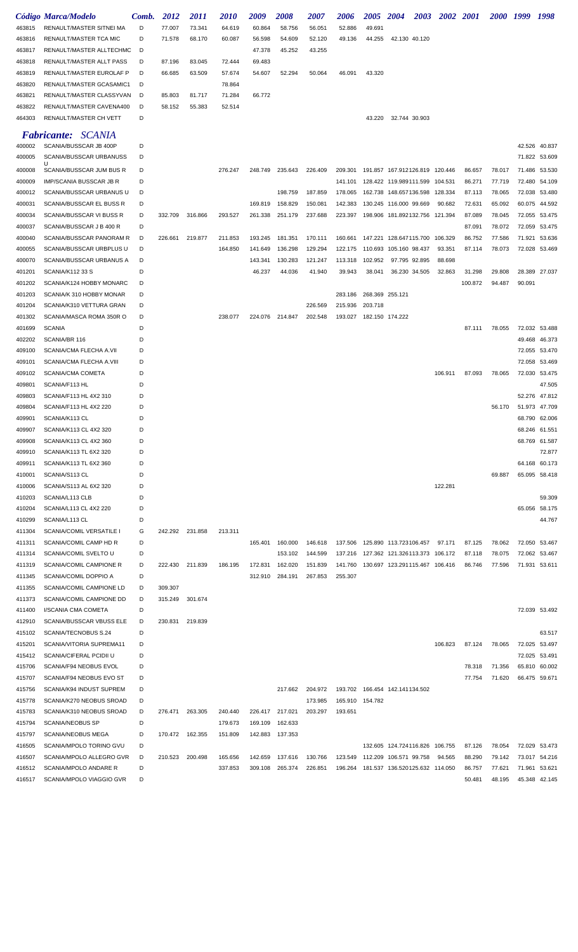|                  | Código Marca/Modelo                                  | Comb.  | 2012            | <i>2011</i> | <i>2010</i>        | 2009               | 2008               | <i><b>2007</b></i> | 2006            | <i><b>2005</b></i> | <b>2004</b>                                                         | 2003 | 2002 2001 |                   | 2000 1999        |               | 1998                           |
|------------------|------------------------------------------------------|--------|-----------------|-------------|--------------------|--------------------|--------------------|--------------------|-----------------|--------------------|---------------------------------------------------------------------|------|-----------|-------------------|------------------|---------------|--------------------------------|
| 463815           | RENAULT/MASTER SITNEI MA                             | D      | 77.007          | 73.341      | 64.619             | 60.864             | 58.756             | 56.051             | 52.886          | 49.691             |                                                                     |      |           |                   |                  |               |                                |
| 463816           | RENAULT/MASTER TCA MIC                               | D      | 71.578          | 68.170      | 60.087             | 56.598             | 54.609             | 52.120             | 49.136          | 44.255             | 42.130 40.120                                                       |      |           |                   |                  |               |                                |
| 463817           | RENAULT/MASTER ALLTECHMC                             | D      |                 |             |                    | 47.378             | 45.252             | 43.255             |                 |                    |                                                                     |      |           |                   |                  |               |                                |
| 463818           | RENAULT/MASTER ALLT PASS                             | D      | 87.196          | 83.045      | 72.444             | 69.483             |                    |                    |                 |                    |                                                                     |      |           |                   |                  |               |                                |
| 463819<br>463820 | RENAULT/MASTER EUROLAF P<br>RENAULT/MASTER GCASAMIC1 | D<br>D | 66.685          | 63.509      | 57.674<br>78.864   | 54.607             | 52.294             | 50.064             | 46.091          | 43.320             |                                                                     |      |           |                   |                  |               |                                |
| 463821           | RENAULT/MASTER CLASSYVAN                             | D      | 85.803          | 81.717      | 71.284             | 66.772             |                    |                    |                 |                    |                                                                     |      |           |                   |                  |               |                                |
| 463822           | RENAULT/MASTER CAVENA400                             | D      | 58.152          | 55.383      | 52.514             |                    |                    |                    |                 |                    |                                                                     |      |           |                   |                  |               |                                |
| 464303           | RENAULT/MASTER CH VETT                               | D      |                 |             |                    |                    |                    |                    |                 | 43.220             | 32.744 30.903                                                       |      |           |                   |                  |               |                                |
|                  | <b>Fabricante:</b> SCANIA                            |        |                 |             |                    |                    |                    |                    |                 |                    |                                                                     |      |           |                   |                  |               |                                |
| 400002           | SCANIA/BUSSCAR JB 400P                               | D      |                 |             |                    |                    |                    |                    |                 |                    |                                                                     |      |           |                   |                  |               | 42.526 40.837                  |
| 400005           | SCANIA/BUSSCAR URBANUSS                              | D      |                 |             |                    |                    |                    |                    |                 |                    |                                                                     |      |           |                   |                  |               | 71.822 53.609                  |
| 400008           | U<br>SCANIA/BUSSCAR JUM BUS R                        | D      |                 |             | 276.247            | 248.749            | 235.643            | 226.409            | 209.301         |                    | 191.857 167.912126.819 120.446                                      |      |           | 86.657            | 78.017           | 71.486        | 53.530                         |
| 400009           | IMP/SCANIA BUSSCAR JB R                              | D      |                 |             |                    |                    |                    |                    | 141.101         |                    | 128.422 119.989111.599 104.531                                      |      |           | 86.271            | 77.719           | 72.480        | 54.109                         |
| 400012           | SCANIA/BUSSCAR URBANUS U                             | D      |                 |             |                    |                    | 198.759            | 187.859            | 178.065         |                    | 162.738 148.657136.598                                              |      | 128.334   | 87.113            | 78.065           | 72.038        | 53.480                         |
| 400031           | SCANIA/BUSSCAR EL BUSS R                             | D      |                 |             |                    | 169.819            | 158.829            | 150.081            | 142.383         |                    | 130.245 116.000 99.669                                              |      | 90.682    | 72.631            | 65.092           | 60.075        | 44.592                         |
| 400034           | SCANIA/BUSSCAR VI BUSS R                             | D      | 332.709         | 316.866     | 293.527            | 261.338            | 251.179            | 237.688            | 223.397         |                    | 198.906 181.892132.756                                              |      | 121.394   | 87.089            | 78.045           | 72.055        | 53.475                         |
| 400037           | SCANIA/BUSSCAR J B 400 R                             | D      |                 |             |                    |                    |                    |                    |                 |                    |                                                                     |      |           | 87.091            | 78.072           | 72.059        | 53.475                         |
| 400040           | SCANIA/BUSSCAR PANORAM R                             | D      | 226.661         | 219.877     | 211.853            | 193.245            | 181.351            | 170.111            | 160.661         |                    | 147.221 128.647115.700                                              |      | 106.329   | 86.752            | 77.586           | 71.921        | 53.636                         |
| 400055           | SCANIA/BUSSCAR URBPLUS U                             | D      |                 |             | 164.850            | 141.649            | 136.298            | 129.294            | 122.175         |                    | 110.693 105.160 98.437                                              |      | 93.351    | 87.114            | 78.073           |               | 72.028 53.469                  |
| 400070           | SCANIA/BUSSCAR URBANUS A                             | D<br>D |                 |             |                    | 143.341            | 130.283            | 121.247            | 113.318         | 102.952            | 97.795 92.895                                                       |      | 88.698    |                   |                  |               |                                |
| 401201<br>401202 | <b>SCANIA/K112 33 S</b><br>SCANIA/K124 HOBBY MONARC  | D      |                 |             |                    | 46.237             | 44.036             | 41.940             | 39.943          | 38.041             | 36.230 34.505                                                       |      | 32.863    | 31.298<br>100.872 | 29.808<br>94.487 | 90.091        | 28.389 27.037                  |
| 401203           | SCANIA/K 310 HOBBY MONAR                             | D      |                 |             |                    |                    |                    |                    | 283.186         | 268.369 255.121    |                                                                     |      |           |                   |                  |               |                                |
| 401204           | SCANIA/K310 VETTURA GRAN                             | D      |                 |             |                    |                    |                    | 226.569            | 215.936         | 203.718            |                                                                     |      |           |                   |                  |               |                                |
| 401302           | SCANIA/MASCA ROMA 350R O                             | D      |                 |             | 238.077            | 224.076            | 214.847            | 202.548            | 193.027         | 182.150 174.222    |                                                                     |      |           |                   |                  |               |                                |
| 401699           | <b>SCANIA</b>                                        | D      |                 |             |                    |                    |                    |                    |                 |                    |                                                                     |      |           | 87.111            | 78.055           |               | 72.032 53.488                  |
| 402202           | SCANIA/BR 116                                        | D      |                 |             |                    |                    |                    |                    |                 |                    |                                                                     |      |           |                   |                  | 49.468        | 46.373                         |
| 409100           | SCANIA/CMA FLECHA A.VII                              | D      |                 |             |                    |                    |                    |                    |                 |                    |                                                                     |      |           |                   |                  |               | 72.055 53.470                  |
| 409101           | SCANIA/CMA FLECHA A.VIII                             | D      |                 |             |                    |                    |                    |                    |                 |                    |                                                                     |      |           |                   |                  | 72.058        | 53.469                         |
| 409102           | SCANIA/CMA COMETA                                    | D      |                 |             |                    |                    |                    |                    |                 |                    |                                                                     |      | 106.911   | 87.093            | 78.065           |               | 72.030 53.475                  |
| 409801           | SCANIA/F113 HL                                       | D      |                 |             |                    |                    |                    |                    |                 |                    |                                                                     |      |           |                   |                  |               | 47.505                         |
| 409803<br>409804 | SCANIA/F113 HL 4X2 310<br>SCANIA/F113 HL 4X2 220     | D<br>D |                 |             |                    |                    |                    |                    |                 |                    |                                                                     |      |           |                   | 56.170           |               | 52.276 47.812<br>51.973 47.709 |
| 409901           | SCANIA/K113 CL                                       | D      |                 |             |                    |                    |                    |                    |                 |                    |                                                                     |      |           |                   |                  |               | 68.790 62.006                  |
| 409907           | SCANIA/K113 CL 4X2 320                               | D      |                 |             |                    |                    |                    |                    |                 |                    |                                                                     |      |           |                   |                  |               | 68.246 61.551                  |
| 409908           | SCANIA/K113 CL 4X2 360                               | D      |                 |             |                    |                    |                    |                    |                 |                    |                                                                     |      |           |                   |                  |               | 68.769 61.587                  |
| 409910           | SCANIA/K113 TL 6X2 320                               | D      |                 |             |                    |                    |                    |                    |                 |                    |                                                                     |      |           |                   |                  |               | 72.877                         |
| 409911           | SCANIA/K113 TL 6X2 360                               | D      |                 |             |                    |                    |                    |                    |                 |                    |                                                                     |      |           |                   |                  |               | 64.168 60.173                  |
| 410001           | SCANIA/S113 CL                                       | D      |                 |             |                    |                    |                    |                    |                 |                    |                                                                     |      |           |                   | 69.887           |               | 65.095 58.418                  |
| 410006           | SCANIA/S113 AL 6X2 320                               | D      |                 |             |                    |                    |                    |                    |                 |                    |                                                                     |      | 122.281   |                   |                  |               |                                |
| 410203           | SCANIA/L113 CLB                                      | D      |                 |             |                    |                    |                    |                    |                 |                    |                                                                     |      |           |                   |                  |               | 59.309                         |
| 410204           | SCANIA/L113 CL 4X2 220<br>SCANIA/L113 CL             | D<br>D |                 |             |                    |                    |                    |                    |                 |                    |                                                                     |      |           |                   |                  |               | 65.056 58.175                  |
| 410299<br>411304 | SCANIA/COMIL VERSATILE I                             | G      | 242.292 231.858 |             | 213.311            |                    |                    |                    |                 |                    |                                                                     |      |           |                   |                  |               | 44.767                         |
| 411311           | SCANIA/COMIL CAMP HD R                               | D      |                 |             |                    | 165.401            | 160.000            | 146.618            |                 |                    | 137.506  125.890  113.723106.457                                    |      | 97.171    | 87.125            | 78.062           |               | 72.050 53.467                  |
| 411314           | SCANIA/COMIL SVELTO U                                | D      |                 |             |                    |                    | 153.102            | 144.599            |                 |                    | 137.216  127.362  121.326113.373  106.172                           |      |           | 87.118            | 78.075           |               | 72.062 53.467                  |
| 411319           | SCANIA/COMIL CAMPIONE R                              | D      | 222.430 211.839 |             | 186.195            | 172.831            | 162.020            | 151.839            |                 |                    | 141.760  130.697  123.291115.467  106.416                           |      |           | 86.746            | 77.596           |               | 71.931 53.611                  |
| 411345           | SCANIA/COMIL DOPPIO A                                | D      |                 |             |                    | 312.910            | 284.191            | 267.853            | 255.307         |                    |                                                                     |      |           |                   |                  |               |                                |
| 411355           | SCANIA/COMIL CAMPIONE LD                             | D      | 309.307         |             |                    |                    |                    |                    |                 |                    |                                                                     |      |           |                   |                  |               |                                |
| 411373           | SCANIA/COMIL CAMPIONE DD                             | D      | 315.249         | 301.674     |                    |                    |                    |                    |                 |                    |                                                                     |      |           |                   |                  |               |                                |
| 411400           | I/SCANIA CMA COMETA                                  | D      |                 |             |                    |                    |                    |                    |                 |                    |                                                                     |      |           |                   |                  |               | 72.039 53.492                  |
| 412910           | SCANIA/BUSSCAR VBUSS ELE                             | D      | 230.831         | 219.839     |                    |                    |                    |                    |                 |                    |                                                                     |      |           |                   |                  |               |                                |
| 415102<br>415201 | SCANIA/TECNOBUS S.24<br>SCANIA/VITORIA SUPREMA11     | D<br>D |                 |             |                    |                    |                    |                    |                 |                    |                                                                     |      | 106.823   | 87.124            | 78.065           | 72.025 53.497 | 63.517                         |
| 415412           | SCANIA/CIFERAL PCIDII U                              | D      |                 |             |                    |                    |                    |                    |                 |                    |                                                                     |      |           |                   |                  |               | 72.025 53.491                  |
| 415706           | SCANIA/F94 NEOBUS EVOL                               | D      |                 |             |                    |                    |                    |                    |                 |                    |                                                                     |      |           | 78.318            | 71.356           |               | 65.810 60.002                  |
| 415707           | SCANIA/F94 NEOBUS EVO ST                             | D      |                 |             |                    |                    |                    |                    |                 |                    |                                                                     |      |           | 77.754            | 71.620           |               | 66.475 59.671                  |
| 415756           | SCANIA/K94 INDUST SUPREM                             | D      |                 |             |                    |                    | 217.662            | 204.972            |                 |                    | 193.702  166.454  142.141134.502                                    |      |           |                   |                  |               |                                |
| 415778           | SCANIA/K270 NEOBUS SROAD                             | D      |                 |             |                    |                    |                    | 173.985            | 165.910 154.782 |                    |                                                                     |      |           |                   |                  |               |                                |
| 415783           | SCANIA/K310 NEOBUS SROAD                             | D      | 276.471         | 263.305     | 240.440            | 226.417 217.021    |                    | 203.297            | 193.651         |                    |                                                                     |      |           |                   |                  |               |                                |
| 415794           | SCANIA/NEOBUS SP                                     | D      |                 |             | 179.673            | 169.109            | 162.633            |                    |                 |                    |                                                                     |      |           |                   |                  |               |                                |
| 415797           | <b>SCANIA/NEOBUS MEGA</b>                            | D      | 170.472 162.355 |             | 151.809            |                    | 142.883 137.353    |                    |                 |                    |                                                                     |      |           |                   |                  |               |                                |
| 416505           | SCANIA/MPOLO TORINO GVU                              | D      |                 |             |                    |                    |                    |                    |                 |                    | 132.605 124.724116.826 106.755                                      |      |           | 87.126            | 78.054           |               | 72.029 53.473                  |
| 416507<br>416512 | SCANIA/MPOLO ALLEGRO GVR<br>SCANIA/MPOLO ANDARE R    | D<br>D | 210.523         | 200.498     | 165.656<br>337.853 | 142.659<br>309.108 | 137.616<br>265.374 | 130.766<br>226.851 | 123.549         |                    | 112.209 106.571 99.758<br>196.264  181.537  136.520125.632  114.050 |      | 94.565    | 88.290<br>86.757  | 79.142<br>77.621 |               | 73.017 54.216<br>71.961 53.621 |
| 416517           | SCANIA/MPOLO VIAGGIO GVR                             | D      |                 |             |                    |                    |                    |                    |                 |                    |                                                                     |      |           | 50.481            | 48.195           |               | 45.348 42.145                  |
|                  |                                                      |        |                 |             |                    |                    |                    |                    |                 |                    |                                                                     |      |           |                   |                  |               |                                |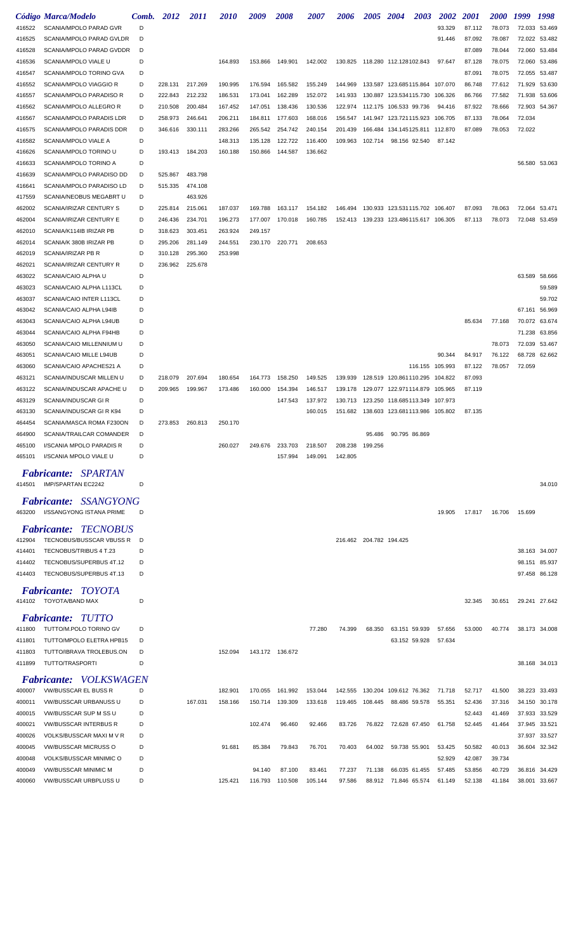|                  | Código Marca/Modelo                                     | Comb.  | 2012    | 2011    | <i><b>2010</b></i> | 2009               | <i><b>2008</b></i> | <i><b>2007</b></i> | <i><b>2006</b></i>      | <i><b>2005</b></i> | 2004                                      | 2003    | 2002    | <i>2001</i> | <i><b>2000</b></i> | 1999   | 1998                           |
|------------------|---------------------------------------------------------|--------|---------|---------|--------------------|--------------------|--------------------|--------------------|-------------------------|--------------------|-------------------------------------------|---------|---------|-------------|--------------------|--------|--------------------------------|
| 416522           | SCANIA/MPOLO PARAD GVR                                  | D      |         |         |                    |                    |                    |                    |                         |                    |                                           |         | 93.329  | 87.112      | 78.073             |        | 72.033 53.469                  |
| 416525           | SCANIA/MPOLO PARAD GVLDR                                | D      |         |         |                    |                    |                    |                    |                         |                    |                                           |         | 91.446  | 87.092      | 78.087             |        | 72.022 53.482                  |
| 416528           | SCANIA/MPOLO PARAD GVDDR                                | D      |         |         |                    |                    |                    |                    |                         |                    |                                           |         |         | 87.089      | 78.044             |        | 72.060 53.484                  |
| 416536           | SCANIA/MPOLO VIALE U                                    | D      |         |         | 164.893            | 153.866            | 149.901            | 142.002            |                         |                    | 130.825  118.280  112.128102.843          |         | 97.647  | 87.128      | 78.075             |        | 72.060 53.486                  |
| 416547           | SCANIA/MPOLO TORINO GVA                                 | D      |         |         |                    |                    |                    |                    |                         |                    |                                           |         |         | 87.091      | 78.075             |        | 72.055 53.487                  |
| 416552           | SCANIA/MPOLO VIAGGIO R                                  | D      | 228.131 | 217.269 | 190.995            | 176.594            | 165.582            | 155.249            |                         |                    | 144.969  133.587  123.685115.864  107.070 |         |         | 86.748      | 77.612             |        | 71.929 53.630                  |
| 416557           | SCANIA/MPOLO PARADISO R                                 | D      | 222.843 | 212.232 | 186.531            | 173.041            | 162.289            | 152.072            | 141.933                 |                    | 130.887 123.534115.730                    |         | 106.326 | 86.766      | 77.582             |        | 71.938 53.606                  |
| 416562           | SCANIA/MPOLO ALLEGRO R                                  | D      | 210.508 | 200.484 | 167.452            | 147.051            | 138.436            | 130.536            | 122.974                 |                    | 112.175 106.533 99.736                    |         | 94.416  | 87.922      | 78.666             |        | 72.903 54.367                  |
| 416567           | SCANIA/MPOLO PARADIS LDR                                | D      | 258.973 | 246.641 | 206.211            | 184.811            | 177.603            | 168.016            | 156.547                 |                    | 141.947 123.721115.923 106.705            |         |         | 87.133      | 78.064             | 72.034 |                                |
| 416575           | SCANIA/MPOLO PARADIS DDR                                | D      | 346.616 | 330.111 | 283.266            | 265.542            | 254.742            | 240.154            | 201.439                 |                    | 166.484 134.145125.811 112.870            |         |         | 87.089      | 78.053             | 72.022 |                                |
| 416582<br>416626 | SCANIA/MPOLO VIALE A<br>SCANIA/MPOLO TORINO U           | D<br>D | 193.413 | 184.203 | 148.313<br>160.188 | 135.128<br>150.866 | 122.722<br>144.587 | 116.400<br>136.662 | 109.963                 | 102.714            | 98.156 92.540                             |         | 87.142  |             |                    |        |                                |
| 416633           | SCANIA/MPOLO TORINO A                                   | D      |         |         |                    |                    |                    |                    |                         |                    |                                           |         |         |             |                    |        | 56.580 53.063                  |
| 416639           | SCANIA/MPOLO PARADISO DD                                | D      | 525.867 | 483.798 |                    |                    |                    |                    |                         |                    |                                           |         |         |             |                    |        |                                |
| 416641           | SCANIA/MPOLO PARADISO LD                                | D      | 515.335 | 474.108 |                    |                    |                    |                    |                         |                    |                                           |         |         |             |                    |        |                                |
| 417559           | SCANIA/NEOBUS MEGABRT U                                 | D      |         | 463.926 |                    |                    |                    |                    |                         |                    |                                           |         |         |             |                    |        |                                |
| 462002           | SCANIA/IRIZAR CENTURY S                                 | D      | 225.814 | 215.061 | 187.037            | 169.788            | 163.117            | 154.182            |                         |                    | 146.494  130.933  123.531115.702  106.407 |         |         | 87.093      | 78.063             |        | 72.064 53.471                  |
| 462004           | SCANIA/IRIZAR CENTURY E                                 | D      | 246.436 | 234.701 | 196.273            | 177.007            | 170.018            | 160.785            |                         |                    | 152.413 139.233 123.486115.617 106.305    |         |         | 87.113      | 78.073             |        | 72.048 53.459                  |
| 462010           | SCANIA/K114IB IRIZAR PB                                 | D      | 318.623 | 303.451 | 263.924            | 249.157            |                    |                    |                         |                    |                                           |         |         |             |                    |        |                                |
| 462014           | SCANIA/K 380B IRIZAR PB                                 | D      | 295.206 | 281.149 | 244.551            | 230.170            | 220.771            | 208.653            |                         |                    |                                           |         |         |             |                    |        |                                |
| 462019           | SCANIA/IRIZAR PB R                                      | D      | 310.128 | 295.360 | 253.998            |                    |                    |                    |                         |                    |                                           |         |         |             |                    |        |                                |
| 462021           | SCANIA/IRIZAR CENTURY R                                 | D      | 236.962 | 225.678 |                    |                    |                    |                    |                         |                    |                                           |         |         |             |                    |        |                                |
| 463022           | SCANIA/CAIO ALPHA U                                     | D      |         |         |                    |                    |                    |                    |                         |                    |                                           |         |         |             |                    |        | 63.589 58.666                  |
| 463023           | SCANIA/CAIO ALPHA L113CL                                | D      |         |         |                    |                    |                    |                    |                         |                    |                                           |         |         |             |                    |        | 59.589                         |
| 463037           | SCANIA/CAIO INTER L113CL                                | D      |         |         |                    |                    |                    |                    |                         |                    |                                           |         |         |             |                    |        | 59.702                         |
| 463042           | SCANIA/CAIO ALPHA L94IB                                 | D<br>D |         |         |                    |                    |                    |                    |                         |                    |                                           |         |         |             |                    |        | 67.161 56.969<br>70.072 63.674 |
| 463043<br>463044 | SCANIA/CAIO ALPHA L94UB<br>SCANIA/CAIO ALPHA F94HB      | D      |         |         |                    |                    |                    |                    |                         |                    |                                           |         |         | 85.634      | 77.168             |        | 71.238 63.856                  |
| 463050           | SCANIA/CAIO MILLENNIUM U                                | D      |         |         |                    |                    |                    |                    |                         |                    |                                           |         |         |             | 78.073             |        | 72.039 53.467                  |
| 463051           | SCANIA/CAIO MILLE L94UB                                 | D      |         |         |                    |                    |                    |                    |                         |                    |                                           |         | 90.344  | 84.917      | 76.122             |        | 68.728 62.662                  |
| 463060           | SCANIA/CAIO APACHES21 A                                 | D      |         |         |                    |                    |                    |                    |                         |                    |                                           | 116.155 | 105.993 | 87.122      | 78.057             | 72.059 |                                |
| 463121           | SCANIA/INDUSCAR MILLEN U                                | D      | 218.079 | 207.694 | 180.654            | 164,773            | 158.250            | 149.525            | 139.939                 |                    | 128.519 120.861110.295                    |         | 104.822 | 87.093      |                    |        |                                |
| 463122           | SCANIA/INDUSCAR APACHE U                                | D      | 209.965 | 199.967 | 173.486            | 160,000            | 154.394            | 146.517            | 139.178                 |                    | 129.077 122.971114.879 105.965            |         |         | 87.119      |                    |        |                                |
| 463129           | SCANIA/INDUSCAR GIR                                     | D      |         |         |                    |                    | 147.543            | 137.972            | 130.713                 |                    | 123.250 118.685113.349                    |         | 107.973 |             |                    |        |                                |
| 463130           | SCANIA/INDUSCAR GIRK94                                  | D      |         |         |                    |                    |                    | 160.015            |                         |                    | 151.682  138.603  123.681113.986  105.802 |         |         | 87.135      |                    |        |                                |
| 464454           | SCANIA/MASCA ROMA F230ON                                | D      | 273.853 | 260.813 | 250.170            |                    |                    |                    |                         |                    |                                           |         |         |             |                    |        |                                |
| 464900           | SCANIA/TRAILCAR COMANDER                                | D      |         |         |                    |                    |                    |                    |                         | 95.486             | 90.795 86.869                             |         |         |             |                    |        |                                |
| 465100           | I/SCANIA MPOLO PARADIS R                                | D      |         |         | 260.027            | 249.676            | 233.703            | 218.507            | 208.238                 | 199.256            |                                           |         |         |             |                    |        |                                |
| 465101           | I/SCANIA MPOLO VIALE U                                  | D      |         |         |                    |                    | 157.994            | 149.091            | 142.805                 |                    |                                           |         |         |             |                    |        |                                |
|                  | <b>Fabricante: SPARTAN</b>                              |        |         |         |                    |                    |                    |                    |                         |                    |                                           |         |         |             |                    |        |                                |
| 414501           | IMP/SPARTAN EC2242                                      | D      |         |         |                    |                    |                    |                    |                         |                    |                                           |         |         |             |                    |        | 34.010                         |
|                  | <b>Fabricante: SSANGYONG</b>                            |        |         |         |                    |                    |                    |                    |                         |                    |                                           |         |         |             |                    |        |                                |
| 463200           | I/SSANGYONG ISTANA PRIME                                | D      |         |         |                    |                    |                    |                    |                         |                    |                                           |         | 19.905  | 17.817      | 16.706             | 15.699 |                                |
|                  |                                                         |        |         |         |                    |                    |                    |                    |                         |                    |                                           |         |         |             |                    |        |                                |
| 412904           | <b>Fabricante: TECNOBUS</b><br>TECNOBUS/BUSSCAR VBUSS R | D      |         |         |                    |                    |                    |                    | 216.462 204.782 194.425 |                    |                                           |         |         |             |                    |        |                                |
| 414401           | TECNOBUS/TRIBUS 4 T.23                                  | D      |         |         |                    |                    |                    |                    |                         |                    |                                           |         |         |             |                    |        | 38.163 34.007                  |
| 414402           | TECNOBUS/SUPERBUS 4T.12                                 | D      |         |         |                    |                    |                    |                    |                         |                    |                                           |         |         |             |                    |        | 98.151 85.937                  |
| 414403           | TECNOBUS/SUPERBUS 4T.13                                 | D      |         |         |                    |                    |                    |                    |                         |                    |                                           |         |         |             |                    |        | 97.458 86.128                  |
|                  |                                                         |        |         |         |                    |                    |                    |                    |                         |                    |                                           |         |         |             |                    |        |                                |
|                  | <b>Fabricante: TOYOTA</b><br>414102 TOYOTA/BAND MAX     | D      |         |         |                    |                    |                    |                    |                         |                    |                                           |         |         |             |                    |        |                                |
|                  |                                                         |        |         |         |                    |                    |                    |                    |                         |                    |                                           |         |         | 32.345      | 30.651             |        | 29.241 27.642                  |
|                  | <b>Fabricante: TUTTO</b>                                |        |         |         |                    |                    |                    |                    |                         |                    |                                           |         |         |             |                    |        |                                |
| 411800           | TUTTO/M.POLO TORINO GV                                  | D      |         |         |                    |                    |                    | 77.280             | 74.399                  | 68.350             | 63.151 59.939                             |         | 57.656  | 53.000      | 40.774             |        | 38.173 34.008                  |
| 411801           | TUTTO/MPOLO ELETRA HPB15                                | D      |         |         |                    |                    |                    |                    |                         |                    | 63.152 59.928                             |         | 57.634  |             |                    |        |                                |
| 411803           | TUTTO/IBRAVA TROLEBUS.ON                                | D      |         |         | 152.094            |                    | 143.172 136.672    |                    |                         |                    |                                           |         |         |             |                    |        |                                |
| 411899           | TUTTO/TRASPORTI                                         | D      |         |         |                    |                    |                    |                    |                         |                    |                                           |         |         |             |                    |        | 38.168 34.013                  |
|                  | <b>Fabricante: VOLKSWAGEN</b>                           |        |         |         |                    |                    |                    |                    |                         |                    |                                           |         |         |             |                    |        |                                |
| 400007           | <b>VW/BUSSCAR EL BUSS R</b>                             | D      |         |         | 182.901            | 170.055            | 161.992            | 153.044            |                         |                    | 142.555 130.204 109.612 76.362            |         | 71.718  | 52.717      | 41.500             |        | 38.223 33.493                  |
| 400011           | VW/BUSSCAR URBANUSS U                                   | D      |         | 167.031 | 158.166            | 150.714            | 139.309            | 133.618            | 119.465                 | 108.445            | 88.486 59.578                             |         | 55.351  | 52.436      | 37.316             |        | 34.150 30.178                  |
| 400015           | VW/BUSSCAR SUP M SS U                                   | D      |         |         |                    |                    |                    |                    |                         |                    |                                           |         |         | 52.443      | 41.469             |        | 37.933 33.529                  |
| 400021           | <b>VW/BUSSCAR INTERBUS R</b>                            | D      |         |         |                    | 102.474            | 96.460             | 92.466             | 83.726                  | 76.822             | 72.628 67.450                             |         | 61.758  | 52.445      | 41.464             |        | 37.945 33.521                  |
| 400026           | VOLKS/BUSSCAR MAXI M V R                                | D<br>D |         |         |                    | 85.384             | 79.843             | 76.701             | 70.403                  | 64.002             | 59.738 55.901                             |         | 53.425  | 50.582      |                    |        | 37.937 33.527                  |
| 400045<br>400048 | <b>VW/BUSSCAR MICRUSS O</b><br>VOLKS/BUSSCAR MINIMIC O  | D      |         |         | 91.681             |                    |                    |                    |                         |                    |                                           |         | 52.929  | 42.087      | 40.013<br>39.734   |        | 36.604 32.342                  |
| 400049           | <b>VW/BUSSCAR MINIMIC M</b>                             | D      |         |         |                    | 94.140             | 87.100             | 83.461             | 77.237                  | 71.138             | 66.035 61.455                             |         | 57.485  | 53.856      | 40.729             |        | 36.816 34.429                  |
| 400060           | VW/BUSSCAR URBPLUSS U                                   | D      |         |         | 125.421            | 116.793            | 110.508            | 105.144            | 97.586                  |                    | 88.912 71.846 65.574                      |         | 61.149  | 52.138      | 41.184             |        | 38.001 33.667                  |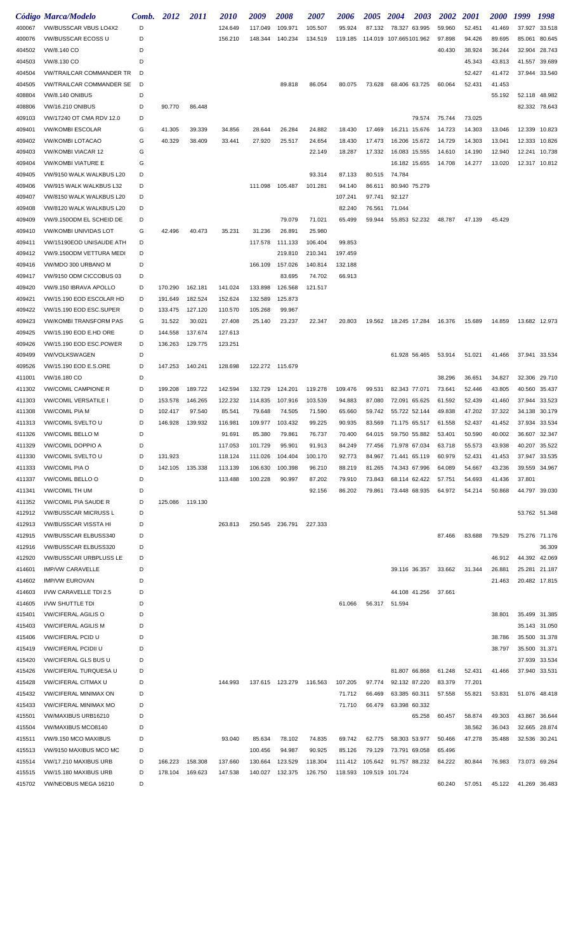|        | Código Marca/Modelo             | Comb. | 2012    | <i>2011</i> | <i><b>2010</b></i> | 2009            | <i><b>2008</b></i> | 2007    | <i><b>2006</b></i> | <b>2005</b>               | <b>2004</b>            | 2003   | <b>2002</b> | <i>2001</i> | <i><b>2000</b></i> | 1999   | 1998          |
|--------|---------------------------------|-------|---------|-------------|--------------------|-----------------|--------------------|---------|--------------------|---------------------------|------------------------|--------|-------------|-------------|--------------------|--------|---------------|
| 400067 | VW/BUSSCAR VBUS LO4X2           | D     |         |             | 124.649            | 117.049         | 109.971            | 105.507 | 95.924             | 87.132                    | 78.327 63.995          |        | 59.960      | 52.451      | 41.469             | 37.927 | 33.518        |
| 400076 | VW/BUSSCAR ECOSS U              | D     |         |             | 156.210            | 148.344         | 140.234            | 134.519 | 119.185            |                           | 114.019 107.665101.962 |        | 97.898      | 94.426      | 89.695             | 85.061 | 80.645        |
| 404502 | VW/8.140 CO                     | D     |         |             |                    |                 |                    |         |                    |                           |                        |        | 40.430      | 38.924      | 36.244             | 32.904 | 28.743        |
| 404503 | VW/8.130 CO                     | D     |         |             |                    |                 |                    |         |                    |                           |                        |        |             | 45.343      | 43.813             | 41.557 | 39.689        |
| 404504 | <b>VW/TRAILCAR COMMANDER TR</b> | D     |         |             |                    |                 |                    |         |                    |                           |                        |        |             | 52.427      | 41.472             | 37.944 | 33.540        |
| 404505 | <b>VW/TRAILCAR COMMANDER SE</b> | D     |         |             |                    |                 | 89.818             | 86.054  | 80.075             | 73.628                    | 68.406 63.725          |        | 60.064      | 52.431      | 41.453             |        |               |
| 408804 | <b>VW/8.140 ONIBUS</b>          | D     |         |             |                    |                 |                    |         |                    |                           |                        |        |             |             | 55.192             | 52.118 | 48.982        |
| 408806 | <b>VW/16.210 ONIBUS</b>         | D     | 90.770  | 86.448      |                    |                 |                    |         |                    |                           |                        |        |             |             |                    |        | 82.332 78.643 |
| 409103 | VW/17240 OT CMA RDV 12.0        | D     |         |             |                    |                 |                    |         |                    |                           |                        | 79.574 | 75.744      | 73.025      |                    |        |               |
| 409401 | <b>VW/KOMBI ESCOLAR</b>         | G     | 41.305  | 39.339      | 34.856             | 28.644          | 26.284             | 24.882  | 18.430             | 17.469                    | 16.211 15.676          |        | 14.723      | 14.303      | 13.046             | 12.339 | 10.823        |
| 409402 | <b>VW/KOMBI LOTACAO</b>         | G     | 40.329  | 38.409      | 33.441             | 27.920          | 25.517             | 24.654  | 18.430             | 17.473                    | 16.206 15.672          |        | 14.729      | 14.303      | 13.041             | 12.333 | 10.826        |
|        |                                 | G     |         |             |                    |                 |                    | 22.149  |                    |                           |                        |        | 14.610      | 14.190      |                    |        | 10.738        |
| 409403 | <b>VW/KOMBI VIACAR 12</b>       |       |         |             |                    |                 |                    |         | 18.287             | 17.332                    | 16.083 15.555          |        |             |             | 12.940             | 12.241 |               |
| 409404 | <b>VW/KOMBI VIATURE E</b>       | G     |         |             |                    |                 |                    |         |                    |                           | 16.182 15.655          |        | 14.708      | 14.277      | 13.020             |        | 12.317 10.812 |
| 409405 | VW/9150 WALK WALKBUS L20        | D     |         |             |                    |                 |                    | 93.314  | 87.133             | 80.515                    | 74.784                 |        |             |             |                    |        |               |
| 409406 | VW/915 WALK WALKBUS L32         | D     |         |             |                    | 111.098         | 105.487            | 101.281 | 94.140             | 86.611                    | 80.940 75.279          |        |             |             |                    |        |               |
| 409407 | VW/8150 WALK WALKBUS L20        | D     |         |             |                    |                 |                    |         | 107.241            | 97.741                    | 92.127                 |        |             |             |                    |        |               |
| 409408 | VW/8120 WALK WALKBUS L20        | D     |         |             |                    |                 |                    |         | 82.240             | 76.561                    | 71.044                 |        |             |             |                    |        |               |
| 409409 | VW/9.150ODM EL SCHEID DE        | D     |         |             |                    |                 | 79.079             | 71.021  | 65.499             | 59.944                    | 55.853 52.232          |        | 48.787      | 47.139      | 45.429             |        |               |
| 409410 | <b>VW/KOMBI UNIVIDAS LOT</b>    | G     | 42.496  | 40.473      | 35.231             | 31.236          | 26.891             | 25.980  |                    |                           |                        |        |             |             |                    |        |               |
| 409411 | VW/15190EOD UNISAUDE ATH        | D     |         |             |                    | 117.578         | 111.133            | 106.404 | 99.853             |                           |                        |        |             |             |                    |        |               |
| 409412 | VW/9.150ODM VETTURA MEDI        | D     |         |             |                    |                 | 219.810            | 210.341 | 197.459            |                           |                        |        |             |             |                    |        |               |
| 409416 | VW/MDO 300 URBANO M             | D     |         |             |                    | 166.109         | 157.026            | 140.814 | 132.188            |                           |                        |        |             |             |                    |        |               |
| 409417 | VW/9150 ODM CICCOBUS 03         | D     |         |             |                    |                 | 83.695             | 74.702  | 66.913             |                           |                        |        |             |             |                    |        |               |
| 409420 | VW/9.150 IBRAVA APOLLO          | D     | 170.290 | 162.181     | 141.024            | 133.898         | 126.568            | 121.517 |                    |                           |                        |        |             |             |                    |        |               |
| 409421 | VW/15.190 EOD ESCOLAR HD        | D     | 191.649 | 182.524     | 152.624            | 132.589         | 125.873            |         |                    |                           |                        |        |             |             |                    |        |               |
| 409422 | VW/15.190 EOD ESC.SUPER         | D     | 133.475 | 127.120     | 110.570            | 105.268         | 99.967             |         |                    |                           |                        |        |             |             |                    |        |               |
| 409423 | <b>VW/KOMBI TRANSFORM PAS</b>   | G     | 31.522  | 30.021      | 27.408             | 25.140          | 23.237             | 22.347  | 20.803             | 19.562                    | 18.245 17.284          |        | 16.376      | 15.689      | 14.859             |        | 13.682 12.973 |
| 409425 | VW/15.190 EOD E.HD ORE          | D     | 144.558 | 137.674     | 127.613            |                 |                    |         |                    |                           |                        |        |             |             |                    |        |               |
| 409426 | VW/15.190 EOD ESC.POWER         | D     | 136.263 | 129.775     | 123.251            |                 |                    |         |                    |                           |                        |        |             |             |                    |        |               |
|        |                                 |       |         |             |                    |                 |                    |         |                    |                           |                        |        |             |             |                    |        |               |
| 409499 | <b>VW/VOLKSWAGEN</b>            | D     |         |             |                    |                 |                    |         |                    |                           | 61.928 56.465          |        | 53.914      | 51.021      | 41.466             |        | 37.941 33.534 |
| 409526 | VW/15.190 EOD E.S.ORE           | D     | 147.253 | 140.241     | 128.698            | 122.272 115.679 |                    |         |                    |                           |                        |        |             |             |                    |        |               |
| 411001 | VW/16.180 CO                    | D     |         |             |                    |                 |                    |         |                    |                           |                        |        | 38.296      | 36.651      | 34.827             |        | 32.306 29.710 |
| 411302 | <b>VW/COMIL CAMPIONE R</b>      | D     | 199.208 | 189.722     | 142.594            | 132.729         | 124.201            | 119.278 | 109.476            | 99.531                    | 82.343 77.071          |        | 73.641      | 52.446      | 43.805             | 40.560 | 35.437        |
| 411303 | <b>VW/COMIL VERSATILE I</b>     | D     | 153.578 | 146.265     | 122.232            | 114.835         | 107.916            | 103.539 | 94.883             | 87.080                    | 72.091 65.625          |        | 61.592      | 52.439      | 41.460             | 37.944 | 33.523        |
| 411308 | <b>VW/COMIL PIA M</b>           | D     | 102.417 | 97.540      | 85.541             | 79.648          | 74.505             | 71.590  | 65.660             | 59.742                    | 55.722 52.144          |        | 49.838      | 47.202      | 37.322             | 34.138 | 30.179        |
| 411313 | VW/COMIL SVELTO U               | D     | 146.928 | 139.932     | 116.981            | 109.977         | 103.432            | 99.225  | 90.935             | 83.569                    | 71.175 65.517          |        | 61.558      | 52.437      | 41.452             | 37.934 | 33.534        |
| 411326 | <b>VW/COMIL BELLO M</b>         | D     |         |             | 91.691             | 85.380          | 79.861             | 76.737  | 70.400             | 64.015                    | 59.750 55.882          |        | 53.401      | 50.590      | 40.002             |        | 36.607 32.347 |
| 411329 | <b>VW/COMIL DOPPIO A</b>        | D     |         |             | 117.053            | 101.729         | 95.901             | 91.913  | 84.249             | 77.456                    | 71.978 67.034          |        | 63.718      | 55.573      | 43.938             |        | 40.207 35.522 |
| 411330 | VW/COMIL SVELTO U               | D     | 131.923 |             | 118.124            | 111.026         | 104.404            | 100.170 | 92.773             | 84.967                    | 71.441 65.119          |        | 60.979      | 52.431      | 41.453             | 37.947 | 33.535        |
| 411333 | <b>VW/COMIL PIA O</b>           | D     | 142.105 | 135.338     | 113.139            | 106.630         | 100.398            | 96.210  | 88.219             | 81.265                    | 74.343 67.996          |        | 64.089      | 54.667      | 43.236             |        | 39.559 34.967 |
| 411337 | <b>VW/COMIL BELLO O</b>         | D     |         |             | 113.488            | 100.228         | 90.997             | 87.202  | 79.910             | 73.843                    | 68.114 62.422          |        | 57.751      | 54.693      | 41.436             | 37.801 |               |
| 411341 | <b>VW/COMIL TH UM</b>           | D     |         |             |                    |                 |                    | 92.156  | 86.202             | 79.861                    | 73.448 68.935          |        | 64.972      | 54.214      | 50.868             |        | 44.797 39.030 |
| 411352 | <b>VW/COMIL PIA SAUDE R</b>     | D     | 125.086 | 119.130     |                    |                 |                    |         |                    |                           |                        |        |             |             |                    |        |               |
| 412912 | <b>VW/BUSSCAR MICRUSS L</b>     | D     |         |             |                    |                 |                    |         |                    |                           |                        |        |             |             |                    |        | 53.762 51.348 |
| 412913 | <b>VW/BUSSCAR VISSTA HI</b>     | D     |         |             | 263.813            | 250.545 236.791 |                    | 227.333 |                    |                           |                        |        |             |             |                    |        |               |
|        |                                 |       |         |             |                    |                 |                    |         |                    |                           |                        |        |             |             |                    |        |               |
| 412915 | <b>VW/BUSSCAR ELBUSS340</b>     | D     |         |             |                    |                 |                    |         |                    |                           |                        |        | 87.466      | 83.688      | 79.529             |        | 75.276 71.176 |
| 412916 | <b>VW/BUSSCAR ELBUSS320</b>     | D     |         |             |                    |                 |                    |         |                    |                           |                        |        |             |             |                    |        | 36.309        |
| 412920 | <b>VW/BUSSCAR URBPLUSS LE</b>   | D     |         |             |                    |                 |                    |         |                    |                           |                        |        |             |             | 46.912             |        | 44.392 42.069 |
| 414601 | <b>IMP/VW CARAVELLE</b>         | D     |         |             |                    |                 |                    |         |                    |                           | 39.116 36.357          |        | 33.662      | 31.344      | 26.881             |        | 25.281 21.187 |
| 414602 | <b>IMP/VW EUROVAN</b>           | D     |         |             |                    |                 |                    |         |                    |                           |                        |        |             |             | 21.463             |        | 20.482 17.815 |
| 414603 | I/VW CARAVELLE TDI 2.5          | D     |         |             |                    |                 |                    |         |                    |                           | 44.108 41.256          |        | 37.661      |             |                    |        |               |
| 414605 | I/VW SHUTTLE TDI                | D     |         |             |                    |                 |                    |         | 61.066             | 56.317                    | 51.594                 |        |             |             |                    |        |               |
| 415401 | <b>VW/CIFERAL AGILIS O</b>      | D     |         |             |                    |                 |                    |         |                    |                           |                        |        |             |             | 38.801             |        | 35.499 31.385 |
| 415403 | <b>VW/CIFERAL AGILIS M</b>      | D     |         |             |                    |                 |                    |         |                    |                           |                        |        |             |             |                    |        | 35.143 31.050 |
| 415406 | <b>VW/CIFERAL PCID U</b>        | D     |         |             |                    |                 |                    |         |                    |                           |                        |        |             |             | 38.786             |        | 35.500 31.378 |
| 415419 | <b>VW/CIFERAL PCIDII U</b>      | D     |         |             |                    |                 |                    |         |                    |                           |                        |        |             |             | 38.797             |        | 35.500 31.371 |
| 415420 | <b>VW/CIFERAL GLS BUS U</b>     | D     |         |             |                    |                 |                    |         |                    |                           |                        |        |             |             |                    | 37.939 | 33.534        |
| 415426 | <b>VW/CIFERAL TURQUESA U</b>    | D     |         |             |                    |                 |                    |         |                    |                           | 81.807 66.868          |        | 61.248      | 52.431      | 41.466             |        | 37.940 33.531 |
| 415428 | <b>VW/CIFERAL CITMAX U</b>      | D     |         |             | 144.993            |                 | 137.615 123.279    | 116.563 | 107.205            | 97.774                    | 92.132 87.220          |        | 83.379      | 77.201      |                    |        |               |
| 415432 | <b>VW/CIFERAL MINIMAX ON</b>    | D     |         |             |                    |                 |                    |         | 71.712             | 66.469                    | 63.385 60.311          |        | 57.558      | 55.821      | 53.831             |        | 51.076 48.418 |
| 415433 | <b>VW/CIFERAL MINIMAX MO</b>    | D     |         |             |                    |                 |                    |         | 71.710             | 66.479                    | 63.398 60.332          |        |             |             |                    |        |               |
| 415501 | VW/MAXIBUS URB16210             | D     |         |             |                    |                 |                    |         |                    |                           |                        | 65.258 | 60.457      | 58.874      | 49.303             | 43.867 | 36.644        |
|        |                                 |       |         |             |                    |                 |                    |         |                    |                           |                        |        |             |             |                    |        |               |
| 415504 | VW/MAXIBUS MCO8140              | D     |         |             |                    |                 |                    |         |                    |                           |                        |        |             | 38.562      | 36.043             |        | 32.665 28.874 |
| 415511 | VW/9.150 MCO MAXIBUS            | D     |         |             | 93.040             | 85.634          | 78.102             | 74.835  | 69.742             | 62.775                    | 58.303 53.977          |        | 50.466      | 47.278      | 35.488             |        | 32.536 30.241 |
| 415513 | VW/9150 MAXIBUS MCO MC          | D     |         |             |                    | 100.456         | 94.987             | 90.925  | 85.126             | 79.129                    | 73.791 69.058          |        | 65.496      |             |                    |        |               |
| 415514 | VW/17.210 MAXIBUS URB           | D     | 166.223 | 158.308     | 137.660            | 130.664         | 123.529            | 118.304 | 111.412            | 105.642                   | 91.757 88.232          |        | 84.222      | 80.844      | 76.983             |        | 73.073 69.264 |
| 415515 | VW/15.180 MAXIBUS URB           | D     | 178.104 | 169.623     | 147.538            | 140.027         | 132.375            | 126.750 |                    | 118.593  109.519  101.724 |                        |        |             |             |                    |        |               |
| 415702 | VW/NEOBUS MEGA 16210            | D     |         |             |                    |                 |                    |         |                    |                           |                        |        | 60.240      | 57.051      | 45.122             |        | 41.269 36.483 |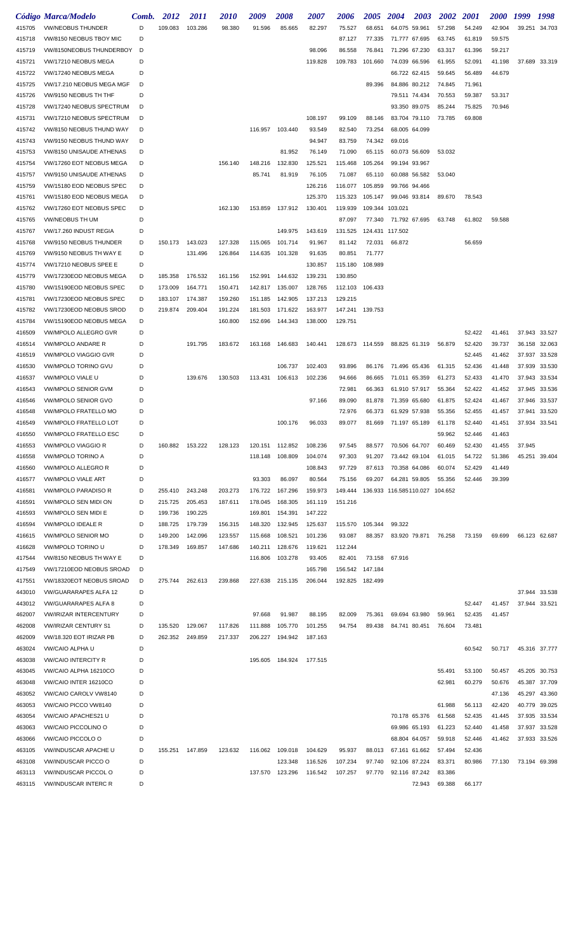|                  | Código Marca/Modelo                                    | Comb.  | 2012    | 2011               | <i>2010</i>        | 2009               | 2008               | 2007    | 2006            | 2005            | 2004                   | 2003   | 2002    | 2001   | <i><b>2000</b></i> | 1999   | 1998          |
|------------------|--------------------------------------------------------|--------|---------|--------------------|--------------------|--------------------|--------------------|---------|-----------------|-----------------|------------------------|--------|---------|--------|--------------------|--------|---------------|
| 415705           | <b>VW/NEOBUS THUNDER</b>                               | D      | 109.083 | 103.286            | 98.380             | 91.596             | 85.665             | 82.297  | 75.527          | 68.651          | 64.075 59.961          |        | 57.298  | 54.249 | 42.904             | 39.251 | 34.703        |
| 415718           | VW/8150 NEOBUS TBOY MIC                                | D      |         |                    |                    |                    |                    |         | 87.127          | 77.335          | 71.777 67.695          |        | 63.745  | 61.819 | 59.575             |        |               |
| 415719           | VW/8150NEOBUS THUNDERBOY                               | D      |         |                    |                    |                    |                    | 98.096  | 86.558          | 76.841          | 71.296 67.230          |        | 63.317  | 61.396 | 59.217             |        |               |
| 415721           | VW/17210 NEOBUS MEGA                                   | D      |         |                    |                    |                    |                    | 119.828 | 109.783         | 101.660         | 74.039 66.596          |        | 61.955  | 52.091 | 41.198             |        | 37.689 33.319 |
| 415722           | VW/17240 NEOBUS MEGA                                   | D      |         |                    |                    |                    |                    |         |                 |                 | 66.722 62.415          |        | 59.645  | 56.489 | 44.679             |        |               |
| 415725           | VW/17.210 NEOBUS MEGA MGF                              | D      |         |                    |                    |                    |                    |         |                 | 89.396          | 84.886 80.212          |        | 74.845  | 71.961 |                    |        |               |
| 415726           | VW/9150 NEOBUS TH THF                                  | D      |         |                    |                    |                    |                    |         |                 |                 | 79.511 74.434          |        | 70.553  | 59.387 | 53.317             |        |               |
| 415728           | VW/17240 NEOBUS SPECTRUM                               | D      |         |                    |                    |                    |                    |         |                 |                 | 93.350 89.075          |        | 85.244  | 75.825 | 70.946             |        |               |
| 415731           | VW/17210 NEOBUS SPECTRUM                               | D      |         |                    |                    |                    |                    | 108.197 | 99.109          | 88.146          | 83.704 79.110          |        | 73.785  | 69.808 |                    |        |               |
| 415742           | VW/8150 NEOBUS THUND WAY                               | D      |         |                    |                    | 116.957            | 103.440            | 93.549  | 82.540          | 73.254          | 68.005 64.099          |        |         |        |                    |        |               |
| 415743           | VW/9150 NEOBUS THUND WAY                               | D      |         |                    |                    |                    |                    | 94.947  | 83.759          | 74.342          | 69.016                 |        |         |        |                    |        |               |
| 415753           | VW/8150 UNISAUDE ATHENAS                               | D      |         |                    |                    |                    | 81.952             | 76.149  | 71.090          | 65.115          | 60.073 56.609          |        | 53.032  |        |                    |        |               |
| 415754           | VW/17260 EOT NEOBUS MEGA                               | D      |         |                    | 156.140            | 148.216            | 132.830            | 125.521 | 115.468         | 105.264         | 99.194 93.967          |        |         |        |                    |        |               |
| 415757           | VW/9150 UNISAUDE ATHENAS                               | D      |         |                    |                    | 85.741             | 81.919             | 76.105  | 71.087          | 65.110          | 60.088 56.582          |        | 53.040  |        |                    |        |               |
| 415759           | VW/15180 EOD NEOBUS SPEC                               | D      |         |                    |                    |                    |                    | 126.216 | 116.077         | 105.859         | 99.766 94.466          |        |         |        |                    |        |               |
| 415761           | VW/15180 EOD NEOBUS MEGA                               | D      |         |                    |                    |                    |                    | 125.370 | 115.323         | 105.147         | 99.046 93.814          |        | 89.670  | 78.543 |                    |        |               |
| 415762           | VW/17260 EOT NEOBUS SPEC                               | D      |         |                    | 162.130            | 153.859            | 137.912            | 130.401 | 119.939         | 109.344 103.021 |                        |        |         |        |                    |        |               |
| 415765           | <b>VW/NEOBUS TH UM</b>                                 | D      |         |                    |                    |                    |                    |         | 87.097          |                 | 77.340 71.792 67.695   |        | 63.748  | 61.802 | 59.588             |        |               |
| 415767           | VW/17.260 INDUST REGIA                                 | D      |         |                    |                    |                    | 149.975            | 143.619 | 131.525         | 124.431 117.502 |                        |        |         |        |                    |        |               |
| 415768           | VW/9150 NEOBUS THUNDER                                 | D      | 150.173 | 143.023            | 127.328            | 115.065            | 101.714            | 91.967  | 81.142          | 72.031          | 66.872                 |        |         | 56.659 |                    |        |               |
| 415769           | VW/9150 NEOBUS TH WAY E                                | D      |         | 131.496            | 126.864            | 114.635            | 101.328            | 91.635  | 80.851          | 71.777          |                        |        |         |        |                    |        |               |
| 415774           | VW/17210 NEOBUS SPEE E                                 | D      |         |                    |                    |                    |                    | 130.857 | 115.180         | 108.989         |                        |        |         |        |                    |        |               |
| 415779           | VW/17230EOD NEOBUS MEGA                                | D      | 185.358 | 176.532            | 161.156            | 152.991            | 144.632            | 139.231 | 130.850         |                 |                        |        |         |        |                    |        |               |
| 415780           | VW/15190EOD NEOBUS SPEC                                | D      | 173.009 | 164.771            | 150.471            | 142.817            | 135.007            | 128.765 | 112.103         | 106.433         |                        |        |         |        |                    |        |               |
| 415781           | VW/17230EOD NEOBUS SPEC                                | D      | 183.107 | 174.387            | 159.260            | 151.185            | 142.905            | 137.213 | 129.215         |                 |                        |        |         |        |                    |        |               |
| 415782           | VW/17230EOD NEOBUS SROD                                | D      | 219.874 | 209.404            | 191.224            | 181.503            | 171.622            | 163.977 | 147.241         | 139.753         |                        |        |         |        |                    |        |               |
| 415784           | VW/15190EOD NEOBUS MEGA                                | D      |         |                    | 160.800            | 152.696            | 144.343            | 138.000 | 129.751         |                 |                        |        |         |        |                    |        |               |
| 416509           | <b>VW/MPOLO ALLEGRO GVR</b>                            | D      |         |                    |                    |                    |                    |         |                 |                 |                        |        |         | 52.422 | 41.461             |        | 37.943 33.527 |
| 416514           | <b>VW/MPOLO ANDARE R</b>                               | D      |         | 191.795            | 183.672            | 163.168            | 146.683            | 140.441 | 128.673 114.559 |                 | 88.825 61.319          |        | 56.879  | 52.420 | 39.737             | 36.158 | 32.063        |
| 416519           | <b>VW/MPOLO VIAGGIO GVR</b>                            | D      |         |                    |                    |                    |                    |         |                 |                 |                        |        |         | 52.445 | 41.462             | 37.937 | 33.528        |
| 416530           | <b>VW/MPOLO TORINO GVU</b>                             | D      |         |                    |                    |                    | 106.737            | 102.403 | 93.896          | 86.176          | 71.496 65.436          |        | 61.315  | 52.436 | 41.448             | 37.939 | 33.530        |
| 416537           | <b>VW/MPOLO VIALE U</b>                                | D      |         | 139.676            | 130.503            | 113.431            | 106.613            | 102.236 | 94.666          | 86.665          | 71.011 65.359          |        | 61.273  | 52.433 | 41.470             | 37.943 | 33.534        |
| 416543           | <b>VW/MPOLO SENIOR GVM</b>                             | D      |         |                    |                    |                    |                    |         | 72.981          | 66.363          | 61.910 57.917          |        | 55.364  | 52.422 | 41.452             | 37.945 | 33.536        |
| 416546           | <b>VW/MPOLO SENIOR GVO</b>                             | D      |         |                    |                    |                    |                    | 97.166  | 89.090          | 81.878          | 71.359 65.680          |        | 61.875  | 52.424 | 41.467             | 37.946 | 33.537        |
| 416548           | <b>VW/MPOLO FRATELLO MO</b>                            | D      |         |                    |                    |                    |                    |         | 72.976          | 66.373          | 61.929 57.938          |        | 55.356  | 52.455 | 41.457             | 37.941 | 33.520        |
| 416549           | <b>VW/MPOLO FRATELLO LOT</b>                           | D      |         |                    |                    |                    | 100.176            | 96.033  | 89.077          | 81.669          | 71.197 65.189          |        | 61.178  | 52.440 | 41.451             |        | 37.934 33.541 |
| 416550           | VW/MPOLO FRATELLO ESC                                  |        |         |                    |                    |                    |                    |         |                 |                 |                        |        | 59.962  | 52.446 | 41.463             |        |               |
| 416553           | <b>VW/MPOLO VIAGGIO R</b>                              | D      | 160.882 | 153.222            | 128.123            | 120.151            | 112.852            | 108.236 | 97.545          | 88.577          | 70.506 64.707          |        | 60.469  | 52.430 | 41.455             | 37.945 |               |
| 416558           | <b>VW/MPOLO TORINO A</b>                               | D      |         |                    |                    | 118.148            | 108.809            | 104.074 | 97.303          | 91.207          | 73.442 69.104          |        | 61.015  | 54.722 | 51.386             | 45.251 | 39.404        |
| 416560           | <b>VW/MPOLO ALLEGRO R</b>                              | D      |         |                    |                    |                    |                    | 108.843 | 97.729          | 87.613          | 70.358 64.086          |        | 60.074  | 52.429 | 41.449             |        |               |
| 416577           | <b>VW/MPOLO VIALE ART</b>                              | D      |         |                    |                    | 93.303             | 86.097             | 80.564  | 75.156          | 69.207          | 64.281 59.805          |        | 55.356  | 52.446 | 39.399             |        |               |
| 416581           | <b>VW/MPOLO PARADISO R</b>                             | D      | 255.410 | 243.248            | 203.273            | 176.722            | 167.296            | 159.973 | 149.444         |                 | 136.933 116.585110.027 |        | 104.652 |        |                    |        |               |
| 416591           | <b>VW/MPOLO SEN MIDI ON</b>                            | D      | 215.725 | 205.453            | 187.611            | 178.045            | 168.305            | 161.119 | 151.216         |                 |                        |        |         |        |                    |        |               |
| 416593           | <b>VW/MPOLO SEN MIDI E</b>                             | D      | 199.736 | 190.225            |                    | 169.801            | 154.391            | 147.222 |                 |                 |                        |        |         |        |                    |        |               |
| 416594           | <b>VW/MPOLO IDEALE R</b>                               | D      | 188.725 | 179.739            | 156.315            | 148.320            | 132.945            | 125.637 | 115.570         | 105.344         | 99.322                 |        |         |        |                    |        |               |
| 416615           | <b>VW/MPOLO SENIOR MO</b>                              | D      | 149.200 | 142.096            | 123.557            | 115.668            | 108.521            | 101.236 | 93.087          | 88.357          | 83.920 79.871          |        | 76.258  | 73.159 | 69.699             |        | 66.123 62.687 |
| 416628           | VW/MPOLO TORINO U                                      | D      | 178.349 | 169.857            | 147.686            | 140.211            | 128.676            | 119.621 | 112.244         |                 |                        |        |         |        |                    |        |               |
| 417544           | VW/8150 NEOBUS TH WAY E                                | D      |         |                    |                    | 116.806            | 103.278            | 93.405  | 82.401          | 73.158          | 67.916                 |        |         |        |                    |        |               |
| 417549           | VW/17210EOD NEOBUS SROAD                               | D      |         |                    |                    |                    |                    | 165.798 | 156.542         | 147.184         |                        |        |         |        |                    |        |               |
| 417551           | VW/18320EOT NEOBUS SROAD                               | D      | 275.744 | 262.613            | 239.868            | 227.638            | 215.135            | 206.044 | 192.825         | 182.499         |                        |        |         |        |                    |        |               |
| 443010           | <b>VW/GUARARAPES ALFA 12</b>                           | D      |         |                    |                    |                    |                    |         |                 |                 |                        |        |         |        |                    |        | 37.944 33.538 |
| 443012           | <b>VW/GUARARAPES ALFA 8</b>                            | D      |         |                    |                    |                    |                    |         |                 |                 |                        |        |         | 52.447 | 41.457             | 37.944 | 33.521        |
| 462007           | <b>VW/IRIZAR INTERCENTURY</b>                          | D      |         |                    |                    | 97.668             | 91.987             | 88.195  | 82.009          | 75.361          | 69.694 63.980          |        | 59.961  | 52.435 | 41.457             |        |               |
| 462008<br>462009 | <b>VW/IRIZAR CENTURY S1</b><br>VW/18.320 EOT IRIZAR PB | D<br>D | 135.520 | 129.067<br>249.859 | 117.826<br>217.337 | 111.888<br>206.227 | 105.770<br>194.942 | 101.255 | 94.754          | 89.438          | 84.741 80.451          |        | 76.604  | 73.481 |                    |        |               |
| 463024           | VW/CAIO ALPHA U                                        | D      | 262.352 |                    |                    |                    |                    | 187.163 |                 |                 |                        |        |         | 60.542 | 50.717             |        | 45.316 37.777 |
| 463038           | <b>VW/CAIO INTERCITY R</b>                             | D      |         |                    |                    | 195.605            | 184.924            | 177.515 |                 |                 |                        |        |         |        |                    |        |               |
| 463045           | VW/CAIO ALPHA 16210CO                                  | D      |         |                    |                    |                    |                    |         |                 |                 |                        |        | 55.491  | 53.100 | 50.457             | 45.205 | 30.753        |
| 463048           | VW/CAIO INTER 16210CO                                  | D      |         |                    |                    |                    |                    |         |                 |                 |                        |        | 62.981  | 60.279 | 50.676             | 45.387 | 37.709        |
| 463052           | VW/CAIO CAROLV VW8140                                  | D      |         |                    |                    |                    |                    |         |                 |                 |                        |        |         |        | 47.136             | 45.297 | 43.360        |
| 463053           | VW/CAIO PICCO VW8140                                   | D      |         |                    |                    |                    |                    |         |                 |                 |                        |        | 61.988  | 56.113 | 42.420             | 40.779 | 39.025        |
| 463054           | <b>VW/CAIO APACHES21 U</b>                             | D      |         |                    |                    |                    |                    |         |                 |                 | 70.178 65.376          |        | 61.568  | 52.435 | 41.445             | 37.935 | 33.534        |
| 463063           | <b>VW/CAIO PICCOLINO O</b>                             | D      |         |                    |                    |                    |                    |         |                 |                 | 69.986 65.193          |        | 61.223  | 52.440 | 41.458             | 37.937 | 33.528        |
| 463066           | <b>VW/CAIO PICCOLO O</b>                               | D      |         |                    |                    |                    |                    |         |                 |                 | 68.804 64.057          |        | 59.918  | 52.446 | 41.462             | 37.933 | 33.526        |
| 463105           | <b>VW/INDUSCAR APACHE U</b>                            | D      | 155.251 | 147.859            | 123.632            | 116.062            | 109.018            | 104.629 | 95.937          | 88.013          | 67.161 61.662          |        | 57.494  | 52.436 |                    |        |               |
| 463108           | <b>VW/INDUSCAR PICCO O</b>                             | D      |         |                    |                    |                    | 123.348            | 116.526 | 107.234         | 97.740          | 92.106 87.224          |        | 83.371  | 80.986 | 77.130             |        | 73.194 69.398 |
| 463113           | <b>VW/INDUSCAR PICCOL O</b>                            | D      |         |                    |                    | 137.570            | 123.296            | 116.542 | 107.257         | 97.770          | 92.116 87.242          |        | 83.386  |        |                    |        |               |
| 463115           | <b>VW/INDUSCAR INTERC R</b>                            | D      |         |                    |                    |                    |                    |         |                 |                 |                        | 72.943 | 69.388  | 66.177 |                    |        |               |
|                  |                                                        |        |         |                    |                    |                    |                    |         |                 |                 |                        |        |         |        |                    |        |               |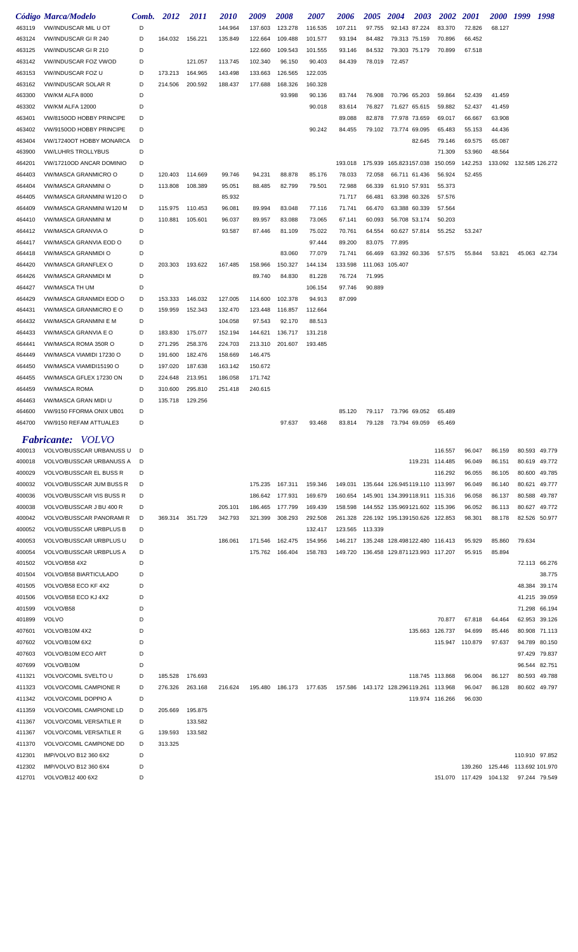|                  | Código Marca/Modelo                                   | Comb.  | 2012               | <i>2011</i>        | 2010               | 2009               | 2008            | 2007    | 2006    | 2005    | <b>2004</b>                               | 2003            | <b>2002</b>                | <i>2001</i>             | <i>2000</i>                       | 1999            | 1998                    |
|------------------|-------------------------------------------------------|--------|--------------------|--------------------|--------------------|--------------------|-----------------|---------|---------|---------|-------------------------------------------|-----------------|----------------------------|-------------------------|-----------------------------------|-----------------|-------------------------|
| 463119           | <b>VW/INDUSCAR MIL U OT</b>                           | D      |                    |                    | 144.964            | 137.603            | 123.278         | 116.535 | 107.211 | 97.755  | 92.143 87.224                             |                 | 83.370                     | 72.826                  | 68.127                            |                 |                         |
| 463124           | <b>VW/INDUSCAR GIR 240</b>                            | D      | 164.032            | 156.221            | 135.849            | 122.664            | 109.488         | 101.577 | 93.194  | 84.482  | 79.313 75.159                             |                 | 70.896                     | 66.452                  |                                   |                 |                         |
| 463125           | VW/INDUSCAR GIR 210                                   | D      |                    |                    |                    | 122.660            | 109.543         | 101.555 | 93.146  | 84.532  | 79.303 75.179                             |                 | 70.899                     | 67.518                  |                                   |                 |                         |
| 463142           | <b>VW/INDUSCAR FOZ VWOD</b>                           | D      |                    | 121.057            | 113.745            | 102.340            | 96.150          | 90.403  | 84.439  | 78.019  | 72.457                                    |                 |                            |                         |                                   |                 |                         |
| 463153           | <b>VW/INDUSCAR FOZ U</b>                              | D      | 173.213            | 164.965            | 143.498            | 133.663            | 126.565         | 122.035 |         |         |                                           |                 |                            |                         |                                   |                 |                         |
| 463162           | <b>VW/INDUSCAR SOLAR R</b>                            | D      | 214.506            | 200.592            | 188.437            | 177.688            | 168.326         | 160.328 |         |         |                                           |                 |                            |                         |                                   |                 |                         |
| 463300           | VW/KM ALFA 8000                                       | D      |                    |                    |                    |                    | 93.998          | 90.136  | 83.744  | 76.908  | 70.796 65.203                             |                 | 59.864                     | 52.439                  | 41.459                            |                 |                         |
| 463302           | <b>VW/KM ALFA 12000</b>                               | D      |                    |                    |                    |                    |                 | 90.018  | 83.614  | 76.827  | 71.627 65.615                             |                 | 59.882                     | 52.437                  | 41.459                            |                 |                         |
| 463401           | VW/8150OD HOBBY PRINCIPE                              | D      |                    |                    |                    |                    |                 |         | 89.088  | 82.878  | 77.978 73.659                             |                 | 69.017                     | 66.667                  | 63.908                            |                 |                         |
| 463402           | VW/9150OD HOBBY PRINCIPE                              | D      |                    |                    |                    |                    |                 | 90.242  | 84.455  | 79.102  | 73.774 69.095                             |                 | 65.483                     | 55.153                  | 44.436                            |                 |                         |
| 463404           | VW/17240OT HOBBY MONARCA                              | D<br>D |                    |                    |                    |                    |                 |         |         |         |                                           | 82.645          | 79.146                     | 69.575                  | 65.087                            |                 |                         |
| 463900<br>464201 | <b>VW/LUHRS TROLLYBUS</b><br>VW/17210OD ANCAR DOMINIO | D      |                    |                    |                    |                    |                 |         | 193.018 | 175.939 | 165.823157.038                            |                 | 71.309<br>150.059          | 53.960<br>142.253       | 48.564<br>133.092 132.585 126.272 |                 |                         |
| 464403           | VW/MASCA GRANMICRO O                                  | D      | 120.403            | 114.669            | 99.746             | 94.231             | 88.878          | 85.176  | 78.033  | 72.058  | 66.711 61.436                             |                 | 56.924                     | 52.455                  |                                   |                 |                         |
| 464404           | VW/MASCA GRANMINI O                                   | D      | 113.808            | 108.389            | 95.051             | 88.485             | 82.799          | 79.501  | 72.988  | 66.339  | 61.910 57.931                             |                 | 55.373                     |                         |                                   |                 |                         |
| 464405           | VW/MASCA GRANMINI W120 O                              | D      |                    |                    | 85.932             |                    |                 |         | 71.717  | 66.481  | 63.398 60.326                             |                 | 57.576                     |                         |                                   |                 |                         |
| 464409           | VW/MASCA GRANMINI W120 M                              | D      | 115.975            | 110.453            | 96.081             | 89.994             | 83.048          | 77.116  | 71.741  | 66.470  | 63.388 60.339                             |                 | 57.564                     |                         |                                   |                 |                         |
| 464410           | VW/MASCA GRANMINI M                                   | D      | 110.881            | 105.601            | 96.037             | 89.957             | 83.088          | 73.065  | 67.141  | 60.093  | 56.708 53.174                             |                 | 50.203                     |                         |                                   |                 |                         |
| 464412           | <b>VW/MASCA GRANVIA O</b>                             | D      |                    |                    | 93.587             | 87.446             | 81.109          | 75.022  | 70.761  | 64.554  | 60.627 57.814                             |                 | 55.252                     | 53.247                  |                                   |                 |                         |
| 464417           | VW/MASCA GRANVIA EOD O                                | D      |                    |                    |                    |                    |                 | 97.444  | 89.200  | 83.075  | 77.895                                    |                 |                            |                         |                                   |                 |                         |
| 464418           | VW/MASCA GRANMIDI O                                   | D      |                    |                    |                    |                    | 83.060          | 77.079  | 71.741  | 66.469  | 63.392 60.336                             |                 | 57.575                     | 55.844                  | 53.821                            |                 | 45.063 42.734           |
| 464420           | VW/MASCA GRANFLEX O                                   | D      | 203.303            | 193.622            | 167.485            | 158.966            | 150.327         | 144.134 | 133.598 |         | 111.063 105.407                           |                 |                            |                         |                                   |                 |                         |
| 464426           | <b>VW/MASCA GRANMIDI M</b>                            | D      |                    |                    |                    | 89.740             | 84.830          | 81.228  | 76.724  | 71.995  |                                           |                 |                            |                         |                                   |                 |                         |
| 464427           | VW/MASCA TH UM                                        | D      |                    |                    |                    |                    |                 | 106.154 | 97.746  | 90.889  |                                           |                 |                            |                         |                                   |                 |                         |
| 464429           | VW/MASCA GRANMIDI EOD O                               | D      | 153.333            | 146.032            | 127.005            | 114.600            | 102.378         | 94.913  | 87.099  |         |                                           |                 |                            |                         |                                   |                 |                         |
| 464431           | VW/MASCA GRANMICRO E O                                | D      | 159.959            | 152.343            | 132.470            | 123.448            | 116.857         | 112.664 |         |         |                                           |                 |                            |                         |                                   |                 |                         |
| 464432           | VW/MASCA GRANMINI E M                                 | D      |                    |                    | 104.058            | 97.543             | 92.170          | 88.513  |         |         |                                           |                 |                            |                         |                                   |                 |                         |
| 464433           | VW/MASCA GRANVIA E O                                  | D      | 183.830            | 175.077            | 152.194            | 144.621            | 136.717         | 131.218 |         |         |                                           |                 |                            |                         |                                   |                 |                         |
| 464441           | VW/MASCA ROMA 350R O                                  | D      | 271.295            | 258.376            | 224.703            | 213.310            | 201.607         | 193.485 |         |         |                                           |                 |                            |                         |                                   |                 |                         |
| 464449           | VW/MASCA VIAMIDI 17230 O                              | D      | 191.600            | 182.476            | 158.669            | 146.475            |                 |         |         |         |                                           |                 |                            |                         |                                   |                 |                         |
| 464450           | VW/MASCA VIAMIDI15190 O                               | D      | 197.020            | 187.638            | 163.142            | 150.672            |                 |         |         |         |                                           |                 |                            |                         |                                   |                 |                         |
| 464455<br>464459 | VW/MASCA GFLEX 17230 ON<br><b>VW/MASCA ROMA</b>       | D<br>D | 224.648<br>310.600 | 213.951<br>295.810 | 186.058<br>251.418 | 171.742<br>240.615 |                 |         |         |         |                                           |                 |                            |                         |                                   |                 |                         |
| 464463           | VW/MASCA GRAN MIDI U                                  | D      | 135.718            | 129.256            |                    |                    |                 |         |         |         |                                           |                 |                            |                         |                                   |                 |                         |
| 464600           | VW/9150 FFORMA ONIX UB01                              | D      |                    |                    |                    |                    |                 |         | 85.120  | 79.117  | 73.796 69.052                             |                 | 65.489                     |                         |                                   |                 |                         |
| 464700           | VW/9150 REFAM ATTUALE3                                | D      |                    |                    |                    |                    | 97.637          | 93.468  | 83.814  | 79.128  | 73.794 69.059                             |                 | 65.469                     |                         |                                   |                 |                         |
|                  |                                                       |        |                    |                    |                    |                    |                 |         |         |         |                                           |                 |                            |                         |                                   |                 |                         |
|                  | <b>Fabricante:</b> VOLVO                              |        |                    |                    |                    |                    |                 |         |         |         |                                           |                 |                            |                         |                                   |                 |                         |
| 400013           | VOLVO/BUSSCAR URBANUSS U                              | D<br>D |                    |                    |                    |                    |                 |         |         |         |                                           |                 | 116.557                    | 96.047                  | 86.159                            | 80.593          | 49.779                  |
| 400018<br>400029 | VOLVO/BUSSCAR URBANUSS A<br>VOLVO/BUSSCAR EL BUSS R   | D      |                    |                    |                    |                    |                 |         |         |         |                                           |                 | 119.231 114.485<br>116.292 | 96.049<br>96.055        | 86.151<br>86.105                  | 80.600          | 80.619 49.772<br>49.785 |
| 400032           | <b>VOLVO/BUSSCAR JUM BUSS R</b>                       | D      |                    |                    |                    | 175.235            | 167.311         | 159.346 | 149.031 |         | 135.644 126.945119.110 113.997            |                 |                            | 96.049                  | 86.140                            | 80.621          | 49.777                  |
| 400036           | VOLVO/BUSSCAR VIS BUSS R                              | D      |                    |                    |                    |                    | 186.642 177.931 | 169.679 | 160.654 |         | 145.901 134.399118.911 115.316            |                 |                            | 96.058                  | 86.137                            | 80.588          | 49.787                  |
| 400038           | VOLVO/BUSSCAR J BU 400 R                              | D      |                    |                    | 205.101            | 186.465            | 177.799         | 169.439 | 158.598 |         | 144.552 135.969121.602 115.396            |                 |                            | 96.052                  | 86.113                            | 80.627          | 49.772                  |
| 400042           | <b>VOLVO/BUSSCAR PANORAMI R</b>                       | D      | 369.314            | 351.729            | 342.793            | 321.399            | 308.293         | 292.508 | 261.328 |         | 226.192 195.139150.626 122.853            |                 |                            | 98.301                  | 88.178                            |                 | 82.526 50.977           |
| 400052           | <b>VOLVO/BUSSCAR URBPLUS B</b>                        | D      |                    |                    |                    |                    |                 | 132.417 | 123.565 | 113.339 |                                           |                 |                            |                         |                                   |                 |                         |
| 400053           | <b>VOLVO/BUSSCAR URBPLUS U</b>                        | D      |                    |                    | 186.061            | 171.546            | 162.475         | 154.956 |         |         | 146.217  135.248  128.498122.480  116.413 |                 |                            | 95.929                  | 85.860                            | 79.634          |                         |
| 400054           | <b>VOLVO/BUSSCAR URBPLUS A</b>                        | D      |                    |                    |                    |                    | 175.762 166.404 | 158.783 | 149.720 |         | 136.458 129.871123.993 117.207            |                 |                            | 95.915                  | 85.894                            |                 |                         |
| 401502           | VOLVO/B58 4X2                                         | D      |                    |                    |                    |                    |                 |         |         |         |                                           |                 |                            |                         |                                   |                 | 72.113 66.276           |
| 401504           | VOLVO/B58 BIARTICULADO                                | D      |                    |                    |                    |                    |                 |         |         |         |                                           |                 |                            |                         |                                   |                 | 38.775                  |
| 401505           | VOLVO/B58 ECO KF 4X2                                  | D      |                    |                    |                    |                    |                 |         |         |         |                                           |                 |                            |                         |                                   | 48.384          | 39.174                  |
| 401506           | VOLVO/B58 ECO KJ 4X2                                  | D      |                    |                    |                    |                    |                 |         |         |         |                                           |                 |                            |                         |                                   | 41.215          | 39.059                  |
| 401599           | VOLVO/B58                                             | D      |                    |                    |                    |                    |                 |         |         |         |                                           |                 |                            |                         |                                   | 71.298          | 66.194                  |
| 401899           | <b>VOLVO</b>                                          | D      |                    |                    |                    |                    |                 |         |         |         |                                           |                 | 70.877                     | 67.818                  | 64.464                            | 62.953          | 39.126                  |
| 407601           | VOLVO/B10M 4X2                                        | D      |                    |                    |                    |                    |                 |         |         |         |                                           | 135.663 126.737 |                            | 94.699                  | 85.446                            | 80.908          | 71.113                  |
| 407602           | VOLVO/B10M 6X2                                        | D      |                    |                    |                    |                    |                 |         |         |         |                                           |                 | 115.947                    | 110.879                 | 97.637                            | 94.789          | 80.150                  |
| 407603           | VOLVO/B10M ECO ART                                    | D      |                    |                    |                    |                    |                 |         |         |         |                                           |                 |                            |                         |                                   | 97.429          | 79.837                  |
| 407699           | VOLVO/B10M<br>VOLVO/COMIL SVELTO U                    | D<br>D |                    |                    |                    |                    |                 |         |         |         |                                           |                 | 118.745 113.868            | 96.004                  | 86.127                            | 96.544          | 82.751<br>49.788        |
| 411321<br>411323 | <b>VOLVO/COMIL CAMPIONE R</b>                         | D      | 185.528<br>276.326 | 176.693<br>263.168 | 216.624            | 195.480            | 186.173         | 177.635 | 157.586 |         | 143.172 128.296119.261 113.968            |                 |                            | 96.047                  | 86.128                            | 80.593          | 80.602 49.797           |
| 411342           | VOLVO/COMIL DOPPIO A                                  | D      |                    |                    |                    |                    |                 |         |         |         |                                           |                 | 119.974 116.266            | 96.030                  |                                   |                 |                         |
| 411359           | VOLVO/COMIL CAMPIONE LD                               | D      | 205.669            | 195.875            |                    |                    |                 |         |         |         |                                           |                 |                            |                         |                                   |                 |                         |
| 411367           | <b>VOLVO/COMIL VERSATILE R</b>                        | D      |                    | 133.582            |                    |                    |                 |         |         |         |                                           |                 |                            |                         |                                   |                 |                         |
| 411367           | <b>VOLVO/COMIL VERSATILE R</b>                        | G      | 139.593            | 133.582            |                    |                    |                 |         |         |         |                                           |                 |                            |                         |                                   |                 |                         |
| 411370           | VOLVO/COMIL CAMPIONE DD                               | D      | 313.325            |                    |                    |                    |                 |         |         |         |                                           |                 |                            |                         |                                   |                 |                         |
| 412301           | IMP/VOLVO B12 360 6X2                                 | D      |                    |                    |                    |                    |                 |         |         |         |                                           |                 |                            |                         |                                   |                 | 110.910 97.852          |
| 412302           | IMP/VOLVO B12 360 6X4                                 | D      |                    |                    |                    |                    |                 |         |         |         |                                           |                 |                            | 139.260 125.446         |                                   | 113.692 101.970 |                         |
| 412701           | VOLVO/B12 400 6X2                                     | D      |                    |                    |                    |                    |                 |         |         |         |                                           |                 |                            | 151.070 117.429 104.132 |                                   |                 | 97.244 79.549           |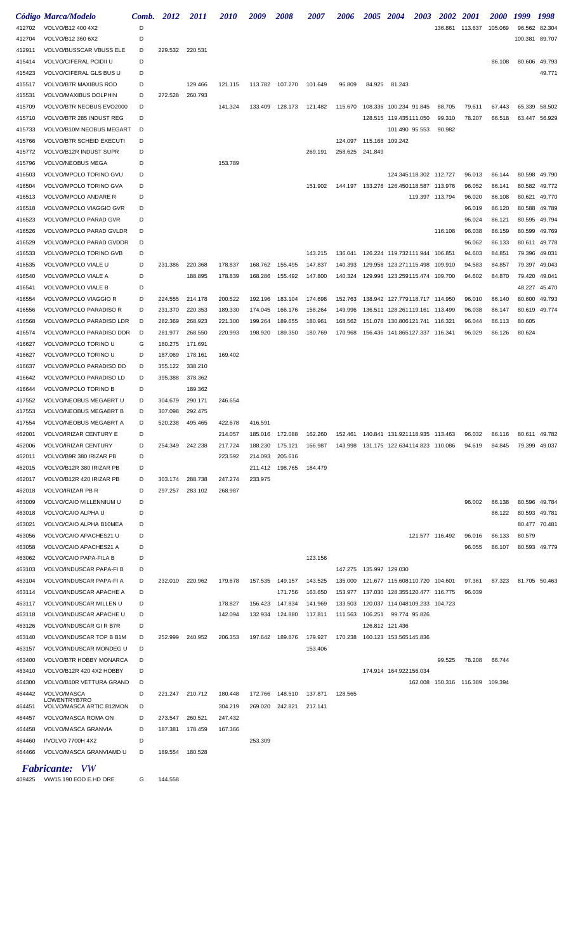|                  | Código Marca/Modelo                                        |        | Comb. 2012         | <i>2011</i>        | <i>2010</i>        | 2009    | <i><b>2008</b></i> | <i><b>2007</b></i> | 2006                                       | 2005 2004 |                                           | <b>2003</b> | 2002            | <b>2001</b>               | <i><b>2000</b></i> | 1999    | 1998          |
|------------------|------------------------------------------------------------|--------|--------------------|--------------------|--------------------|---------|--------------------|--------------------|--------------------------------------------|-----------|-------------------------------------------|-------------|-----------------|---------------------------|--------------------|---------|---------------|
| 412702           | VOLVO/B12 400 4X2                                          | D      |                    |                    |                    |         |                    |                    |                                            |           |                                           |             | 136.861 113.637 |                           | 105.069            | 96.562  | 82.304        |
| 412704           | VOLVO/B12 360 6X2                                          | D      |                    |                    |                    |         |                    |                    |                                            |           |                                           |             |                 |                           |                    | 100.381 | 89.707        |
| 412911           | VOLVO/BUSSCAR VBUSS ELE                                    | D      | 229.532            | 220.531            |                    |         |                    |                    |                                            |           |                                           |             |                 |                           |                    |         |               |
| 415414           | VOLVO/CIFERAL PCIDII U                                     | D      |                    |                    |                    |         |                    |                    |                                            |           |                                           |             |                 |                           | 86.108             |         | 80.606 49.793 |
| 415423           | VOLVO/CIFERAL GLS BUS U                                    | D      |                    |                    |                    |         |                    |                    |                                            |           |                                           |             |                 |                           |                    |         | 49.771        |
| 415517           | VOLVO/B7R MAXIBUS ROD                                      | D      |                    | 129.466            | 121.115            |         | 113.782 107.270    | 101.649            | 96.809                                     | 84.925    | 81.243                                    |             |                 |                           |                    |         |               |
| 415531           | VOLVO/MAXIBUS DOLPHIN                                      | D      | 272.528            | 260.793            |                    |         |                    |                    |                                            |           |                                           |             |                 |                           |                    |         |               |
| 415709           | VOLVO/B7R NEOBUS EVO2000                                   | D      |                    |                    | 141.324            |         | 133.409 128.173    | 121.482            | 115.670                                    |           | 108.336 100.234 91.845                    |             | 88.705          | 79.611                    | 67.443             | 65.339  | 58.502        |
| 415710           | VOLVO/B7R 285 INDUST REG                                   | D      |                    |                    |                    |         |                    |                    |                                            |           | 128.515 119.435111.050                    |             | 99.310          | 78.207                    | 66.518             | 63.447  | 56.929        |
| 415733           | VOLVO/B10M NEOBUS MEGART<br>VOLVO/B7R SCHEID EXECUTI       | D      |                    |                    |                    |         |                    |                    |                                            |           | 101.490 95.553                            |             | 90.982          |                           |                    |         |               |
| 415766<br>415772 | VOLVO/B12R INDUST SUPR                                     | D<br>D |                    |                    |                    |         |                    | 269.191            | 124.097 115.168 109.242<br>258.625 241.849 |           |                                           |             |                 |                           |                    |         |               |
| 415796           | VOLVO/NEOBUS MEGA                                          | D      |                    |                    | 153.789            |         |                    |                    |                                            |           |                                           |             |                 |                           |                    |         |               |
| 416503           | VOLVO/MPOLO TORINO GVU                                     | D      |                    |                    |                    |         |                    |                    |                                            |           | 124.345118.302 112.727                    |             |                 | 96.013                    | 86.144             |         | 80.598 49.790 |
| 416504           | VOLVO/MPOLO TORINO GVA                                     | D      |                    |                    |                    |         |                    | 151.902            |                                            |           | 144.197  133.276  126.450118.587  113.976 |             |                 | 96.052                    | 86.141             | 80.582  | 49.772        |
| 416513           | VOLVO/MPOLO ANDARE R                                       | D      |                    |                    |                    |         |                    |                    |                                            |           |                                           |             | 119.397 113.794 | 96.020                    | 86.108             | 80.621  | 49.770        |
| 416518           | VOLVO/MPOLO VIAGGIO GVR                                    | D      |                    |                    |                    |         |                    |                    |                                            |           |                                           |             |                 | 96.019                    | 86.120             | 80.588  | 49.789        |
| 416523           | VOLVO/MPOLO PARAD GVR                                      | D      |                    |                    |                    |         |                    |                    |                                            |           |                                           |             |                 | 96.024                    | 86.121             | 80.595  | 49.794        |
| 416526           | VOLVO/MPOLO PARAD GVLDR                                    | D      |                    |                    |                    |         |                    |                    |                                            |           |                                           |             | 116.108         | 96.038                    | 86.159             | 80.599  | 49.769        |
| 416529           | VOLVO/MPOLO PARAD GVDDR                                    | D      |                    |                    |                    |         |                    |                    |                                            |           |                                           |             |                 | 96.062                    | 86.133             | 80.611  | 49.778        |
| 416533           | VOLVO/MPOLO TORINO GVB                                     | D      |                    |                    |                    |         |                    | 143.215            | 136.041                                    |           | 126.224 119.732111.944 106.851            |             |                 | 94.603                    | 84.851             | 79.396  | 49.031        |
| 416535           | VOLVO/MPOLO VIALE U                                        | D      | 231.386            | 220.368            | 178.837            | 168.762 | 155.495            | 147.837            | 140.393                                    |           | 129.958 123.271115.498 109.910            |             |                 | 94.583                    | 84.857             | 79.397  | 49.043        |
| 416540           | VOLVO/MPOLO VIALE A                                        | D      |                    | 188.895            | 178.839            | 168.286 | 155.492            | 147.800            |                                            |           | 140.324  129.996  123.259115.474  109.700 |             |                 | 94.602                    | 84.870             | 79.420  | 49.041        |
| 416541           | VOLVO/MPOLO VIALE B                                        | D      |                    |                    |                    |         |                    |                    |                                            |           |                                           |             |                 |                           |                    | 48.227  | 45.470        |
| 416554           | VOLVO/MPOLO VIAGGIO R                                      | D      | 224.555            | 214.178            | 200.522            | 192.196 | 183.104            | 174.698            | 152.763                                    |           | 138.942 127.779118.717 114.950            |             |                 | 96.010                    | 86.140             | 80.600  | 49.793        |
| 416556           | VOLVO/MPOLO PARADISO R                                     | D      | 231.370            | 220.353            | 189.330            | 174.045 | 166.176            | 158.264            | 149.996                                    |           | 136.511 128.261119.161 113.499            |             |                 | 96.038                    | 86.147             | 80.619  | 49.774        |
| 416568           | VOLVO/MPOLO PARADISO LDR                                   | D      | 282.369            | 268.923            | 221.300            | 199.264 | 189.655            | 180.961            | 168.562                                    |           | 151.078 130.806121.741 116.321            |             |                 | 96.044                    | 86.113             | 80.605  |               |
| 416574           | VOLVO/MPOLO PARADISO DDR                                   | D      | 281.977            | 268.550            | 220.993            | 198.920 | 189.350            | 180.769            | 170.968                                    |           |                                           |             |                 | 96.029                    | 86.126             | 80.624  |               |
| 416627           | VOLVO/MPOLO TORINO U                                       | G      | 180.275            | 171.691            |                    |         |                    |                    |                                            |           |                                           |             |                 |                           |                    |         |               |
| 416627           | VOLVO/MPOLO TORINO U                                       | D      | 187.069            | 178.161            | 169.402            |         |                    |                    |                                            |           |                                           |             |                 |                           |                    |         |               |
| 416637           | VOLVO/MPOLO PARADISO DD                                    | D      | 355.122            | 338.210            |                    |         |                    |                    |                                            |           |                                           |             |                 |                           |                    |         |               |
| 416642           | VOLVO/MPOLO PARADISO LD                                    | D      | 395.388            | 378.362            |                    |         |                    |                    |                                            |           |                                           |             |                 |                           |                    |         |               |
| 416644           | VOLVO/MPOLO TORINO B                                       | D      |                    | 189.362            |                    |         |                    |                    |                                            |           |                                           |             |                 |                           |                    |         |               |
| 417552           | VOLVO/NEOBUS MEGABRT U                                     | D      | 304.679            | 290.171            | 246.654            |         |                    |                    |                                            |           |                                           |             |                 |                           |                    |         |               |
| 417553<br>417554 | VOLVO/NEOBUS MEGABRT B                                     | D<br>D | 307.098<br>520.238 | 292.475<br>495.465 |                    | 416.591 |                    |                    |                                            |           |                                           |             |                 |                           |                    |         |               |
| 462001           | VOLVO/NEOBUS MEGABRT A<br>VOLVO/IRIZAR CENTURY E           |        |                    |                    | 422.678<br>214.057 | 185.016 | 172.088            | 162.260 152.461    |                                            | 140.841   | 131.921118.935                            |             | 113.463         | 96.032                    | 86.116             | 80.611  | 49.782        |
| 462006           | VOLVO/IRIZAR CENTURY                                       | D      | 254.349            | 242.238            | 217.724            | 188.230 | 175.121            | 166.987            | 143.998                                    |           | 131.175 122.634114.823 110.086            |             |                 | 94.619                    | 84.845             | 79.399  | 49.037        |
| 462011           | VOLVO/B9R 380 IRIZAR PB                                    | D      |                    |                    | 223.592            | 214.093 | 205.616            |                    |                                            |           |                                           |             |                 |                           |                    |         |               |
| 462015           | VOLVO/B12R 380 IRIZAR PB                                   | D      |                    |                    |                    | 211.412 | 198.765            | 184.479            |                                            |           |                                           |             |                 |                           |                    |         |               |
| 462017           | VOLVO/B12R 420 IRIZAR PB                                   | D      | 303.174            | 288.738            | 247.274            | 233.975 |                    |                    |                                            |           |                                           |             |                 |                           |                    |         |               |
| 462018           | <b>VOLVO/IRIZAR PB R</b>                                   | D      | 297.257            | 283.102            | 268.987            |         |                    |                    |                                            |           |                                           |             |                 |                           |                    |         |               |
| 463009           | VOLVO/CAIO MILLENNIUM U                                    | D      |                    |                    |                    |         |                    |                    |                                            |           |                                           |             |                 | 96.002                    | 86.138             |         | 80.596 49.784 |
| 463018           | VOLVO/CAIO ALPHA U                                         | D      |                    |                    |                    |         |                    |                    |                                            |           |                                           |             |                 |                           | 86.122             |         | 80.593 49.781 |
| 463021           | VOLVO/CAIO ALPHA B10MEA                                    | D      |                    |                    |                    |         |                    |                    |                                            |           |                                           |             |                 |                           |                    |         | 80.477 70.481 |
| 463056           | VOLVO/CAIO APACHES21 U                                     | D      |                    |                    |                    |         |                    |                    |                                            |           |                                           |             | 121.577 116.492 | 96.016                    | 86.133             | 80.579  |               |
| 463058           | VOLVO/CAIO APACHES21 A                                     | D      |                    |                    |                    |         |                    |                    |                                            |           |                                           |             |                 | 96.055                    | 86.107             |         | 80.593 49.779 |
| 463062           | VOLVO/CAIO PAPA-FILA B                                     | D      |                    |                    |                    |         |                    | 123.156            |                                            |           |                                           |             |                 |                           |                    |         |               |
| 463103           | VOLVO/INDUSCAR PAPA-FI B                                   | D      |                    |                    |                    |         |                    |                    | 147.275  135.997  129.030                  |           |                                           |             |                 |                           |                    |         |               |
| 463104           | VOLVO/INDUSCAR PAPA-FI A                                   | D      | 232.010            | 220.962            | 179.678            |         | 157.535 149.157    | 143.525            | 135.000                                    |           | 121.677 115.608110.720 104.601            |             |                 | 97.361                    | 87.323             |         | 81.705 50.463 |
| 463114           | VOLVO/INDUSCAR APACHE A                                    | D      |                    |                    |                    |         | 171.756            | 163.650            | 153.977                                    |           | 137.030 128.355120.477 116.775            |             |                 | 96.039                    |                    |         |               |
| 463117           | VOLVO/INDUSCAR MILLEN U                                    | D      |                    |                    | 178.827            | 156.423 | 147.834            | 141.969            | 133.503                                    |           | 120.037 114.048109.233 104.723            |             |                 |                           |                    |         |               |
| 463118           | VOLVO/INDUSCAR APACHE U                                    | D      |                    |                    | 142.094            | 132.934 | 124.880            | 117.811            | 111.563                                    | 106.251   | 99.774 95.826                             |             |                 |                           |                    |         |               |
| 463126<br>463140 | <b>VOLVO/INDUSCAR GI R B7R</b><br>VOLVO/INDUSCAR TOP B B1M | D<br>D | 252.999            | 240.952            | 206.353            | 197.642 | 189.876            | 179.927            | 170.238                                    |           | 126.812 121.436<br>160.123 153.565145.836 |             |                 |                           |                    |         |               |
| 463157           | VOLVO/INDUSCAR MONDEG U                                    | D      |                    |                    |                    |         |                    | 153.406            |                                            |           |                                           |             |                 |                           |                    |         |               |
| 463400           | VOLVO/B7R HOBBY MONARCA                                    | D      |                    |                    |                    |         |                    |                    |                                            |           |                                           |             | 99.525          | 78.208                    | 66.744             |         |               |
| 463410           | VOLVO/B12R 420 4X2 HOBBY                                   | D      |                    |                    |                    |         |                    |                    |                                            |           | 174.914 164.922156.034                    |             |                 |                           |                    |         |               |
| 464300           | VOLVO/B10R VETTURA GRAND                                   | D      |                    |                    |                    |         |                    |                    |                                            |           |                                           | 162.008     |                 | 150.316  116.389  109.394 |                    |         |               |
| 464442           | VOLVO/MASCA                                                | D      | 221.247            | 210.712            | 180.448            | 172.766 | 148.510            | 137.871            | 128.565                                    |           |                                           |             |                 |                           |                    |         |               |
| 464451           | LOWENTRYB7RO<br>VOLVO/MASCA ARTIC B12MON                   | D      |                    |                    | 304.219            | 269.020 | 242.821            | 217.141            |                                            |           |                                           |             |                 |                           |                    |         |               |
| 464457           | VOLVO/MASCA ROMA ON                                        | D      | 273.547            | 260.521            | 247.432            |         |                    |                    |                                            |           |                                           |             |                 |                           |                    |         |               |
| 464458           | VOLVO/MASCA GRANVIA                                        | D      | 187.381            | 178.459            | 167.366            |         |                    |                    |                                            |           |                                           |             |                 |                           |                    |         |               |
| 464460           | I/VOLVO 7700H 4X2                                          | D      |                    |                    |                    | 253.309 |                    |                    |                                            |           |                                           |             |                 |                           |                    |         |               |
| 464466           | VOLVO/MASCA GRANVIAMD U                                    | D      | 189.554            | 180.528            |                    |         |                    |                    |                                            |           |                                           |             |                 |                           |                    |         |               |
|                  |                                                            |        |                    |                    |                    |         |                    |                    |                                            |           |                                           |             |                 |                           |                    |         |               |
|                  | <b>Fabricante:</b> VW                                      |        |                    |                    |                    |         |                    |                    |                                            |           |                                           |             |                 |                           |                    |         |               |

VW/15.190 EOD E.HD ORE G 144.558